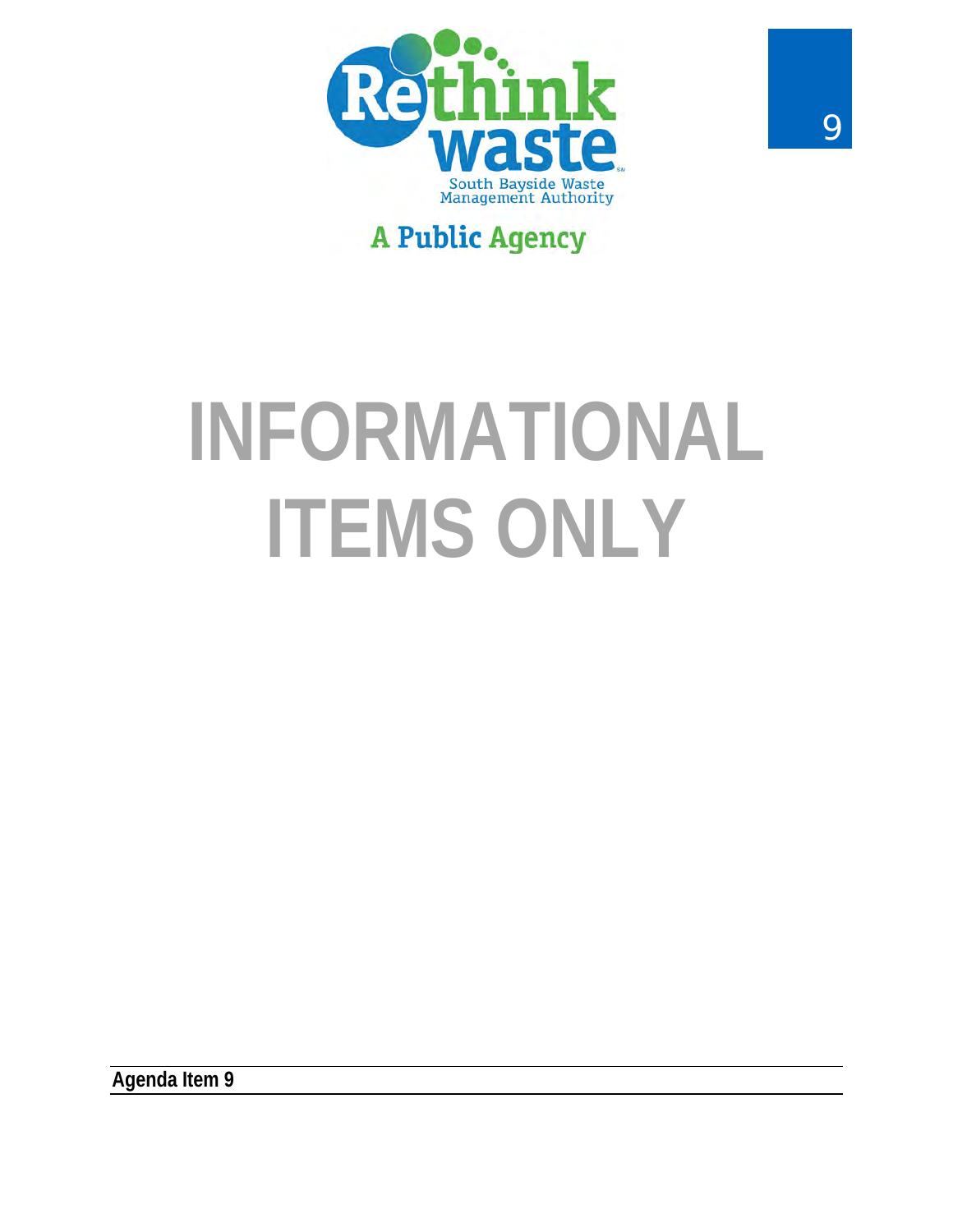

# **A Public Agency**

# **INFORMATIONAL ITEMS ONLY**

**Agenda Item 9**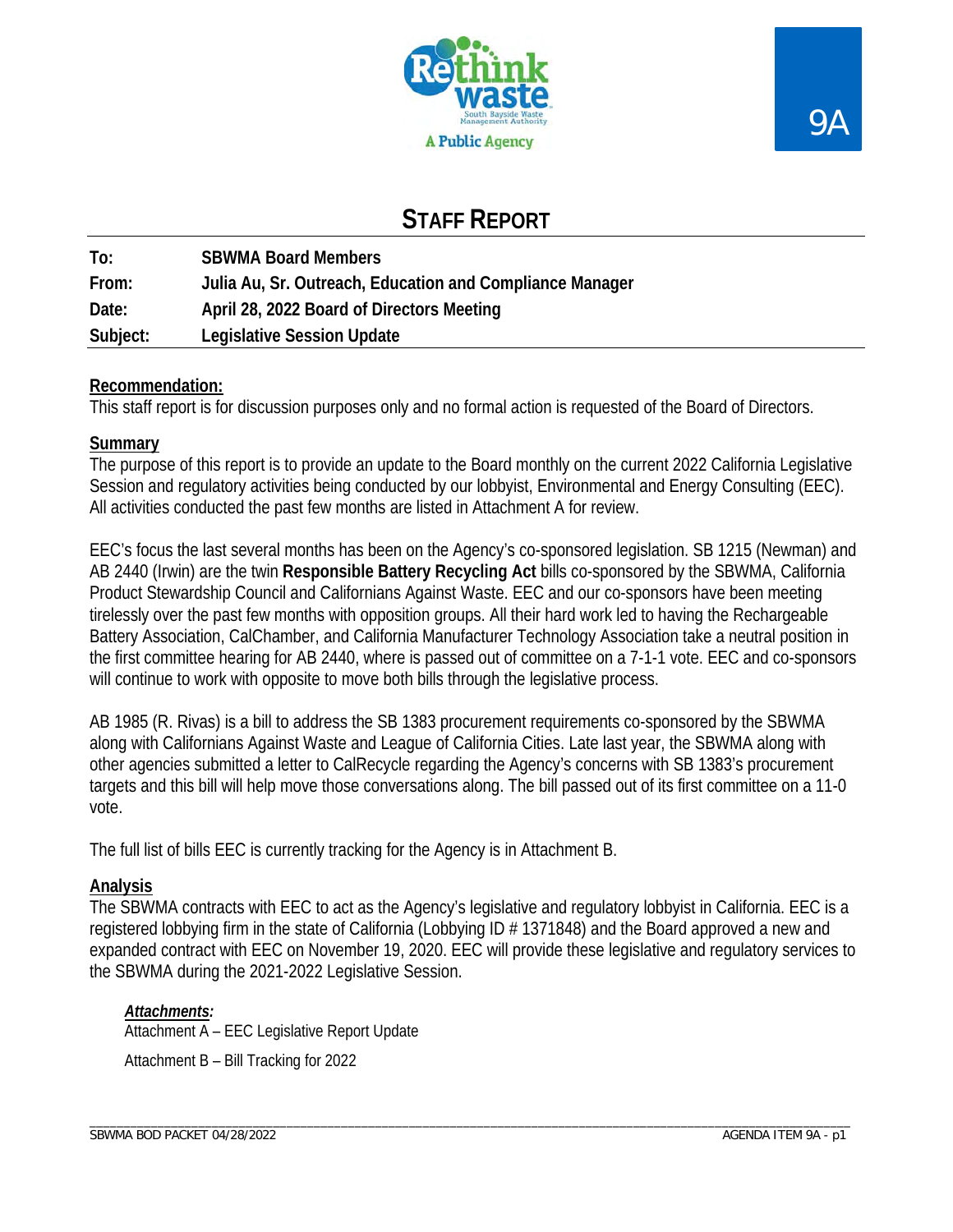

# 9A

# **STAFF REPORT**

| To:      | <b>SBWMA Board Members</b>                               |
|----------|----------------------------------------------------------|
| From:    | Julia Au, Sr. Outreach, Education and Compliance Manager |
| Date:    | April 28, 2022 Board of Directors Meeting                |
| Subject: | <b>Legislative Session Update</b>                        |

## **Recommendation:**

This staff report is for discussion purposes only and no formal action is requested of the Board of Directors.

## **Summary**

The purpose of this report is to provide an update to the Board monthly on the current 2022 California Legislative Session and regulatory activities being conducted by our lobbyist, Environmental and Energy Consulting (EEC). All activities conducted the past few months are listed in Attachment A for review.

EEC's focus the last several months has been on the Agency's co-sponsored legislation. SB 1215 (Newman) and AB 2440 (Irwin) are the twin **Responsible Battery Recycling Act** bills co-sponsored by the SBWMA, California Product Stewardship Council and Californians Against Waste. EEC and our co-sponsors have been meeting tirelessly over the past few months with opposition groups. All their hard work led to having the Rechargeable Battery Association, CalChamber, and California Manufacturer Technology Association take a neutral position in the first committee hearing for AB 2440, where is passed out of committee on a 7-1-1 vote. EEC and co-sponsors will continue to work with opposite to move both bills through the legislative process.

AB 1985 (R. Rivas) is a bill to address the SB 1383 procurement requirements co-sponsored by the SBWMA along with Californians Against Waste and League of California Cities. Late last year, the SBWMA along with other agencies submitted a letter to CalRecycle regarding the Agency's concerns with SB 1383's procurement targets and this bill will help move those conversations along. The bill passed out of its first committee on a 11-0 vote.

The full list of bills EEC is currently tracking for the Agency is in Attachment B.

## **Analysis**

The SBWMA contracts with EEC to act as the Agency's legislative and regulatory lobbyist in California. EEC is a registered lobbying firm in the state of California (Lobbying ID # 1371848) and the Board approved a new and expanded contract with EEC on November 19, 2020. EEC will provide these legislative and regulatory services to the SBWMA during the 2021-2022 Legislative Session.

## *Attachments:*

Attachment A – EEC Legislative Report Update Attachment B – Bill Tracking for 2022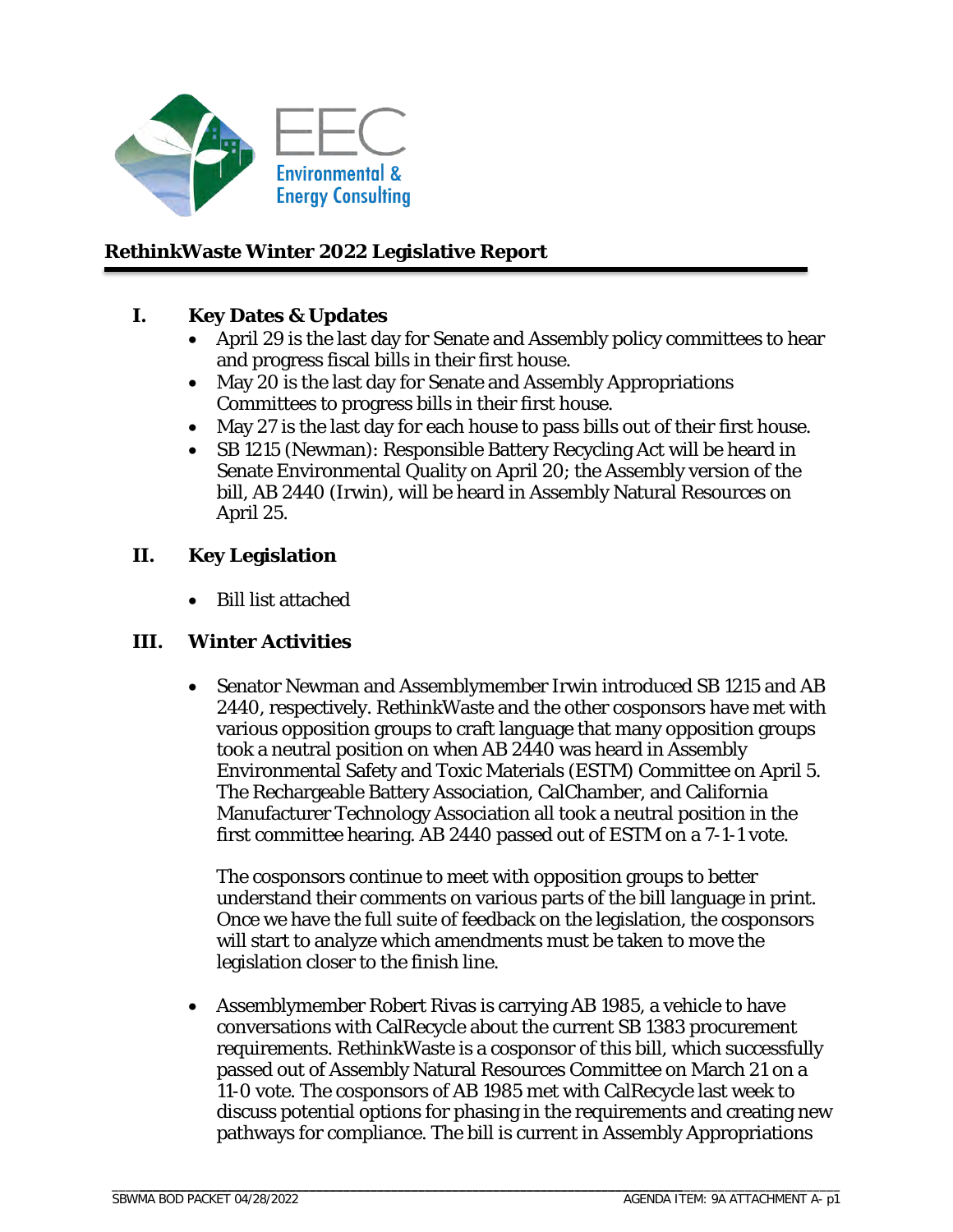

## **RethinkWaste Winter 2022 Legislative Report**

## **I. Key Dates & Updates**

- April 29 is the last day for Senate and Assembly policy committees to hear and progress fiscal bills in their first house.
- May 20 is the last day for Senate and Assembly Appropriations Committees to progress bills in their first house.
- May 27 is the last day for each house to pass bills out of their first house.
- SB 1215 (Newman): Responsible Battery Recycling Act will be heard in Senate Environmental Quality on April 20; the Assembly version of the bill, AB 2440 (Irwin), will be heard in Assembly Natural Resources on April 25.

## **II. Key Legislation**

• Bill list attached

## **III. Winter Activities**

• Senator Newman and Assemblymember Irwin introduced SB 1215 and AB 2440, respectively. RethinkWaste and the other cosponsors have met with various opposition groups to craft language that many opposition groups took a neutral position on when AB 2440 was heard in Assembly Environmental Safety and Toxic Materials (ESTM) Committee on April 5. The Rechargeable Battery Association, CalChamber, and California Manufacturer Technology Association all took a neutral position in the first committee hearing. AB 2440 passed out of ESTM on a 7-1-1 vote.

The cosponsors continue to meet with opposition groups to better understand their comments on various parts of the bill language in print. Once we have the full suite of feedback on the legislation, the cosponsors will start to analyze which amendments must be taken to move the legislation closer to the finish line.

• Assemblymember Robert Rivas is carrying AB 1985, a vehicle to have conversations with CalRecycle about the current SB 1383 procurement requirements. RethinkWaste is a cosponsor of this bill, which successfully passed out of Assembly Natural Resources Committee on March 21 on a 11-0 vote. The cosponsors of AB 1985 met with CalRecycle last week to discuss potential options for phasing in the requirements and creating new pathways for compliance. The bill is current in Assembly Appropriations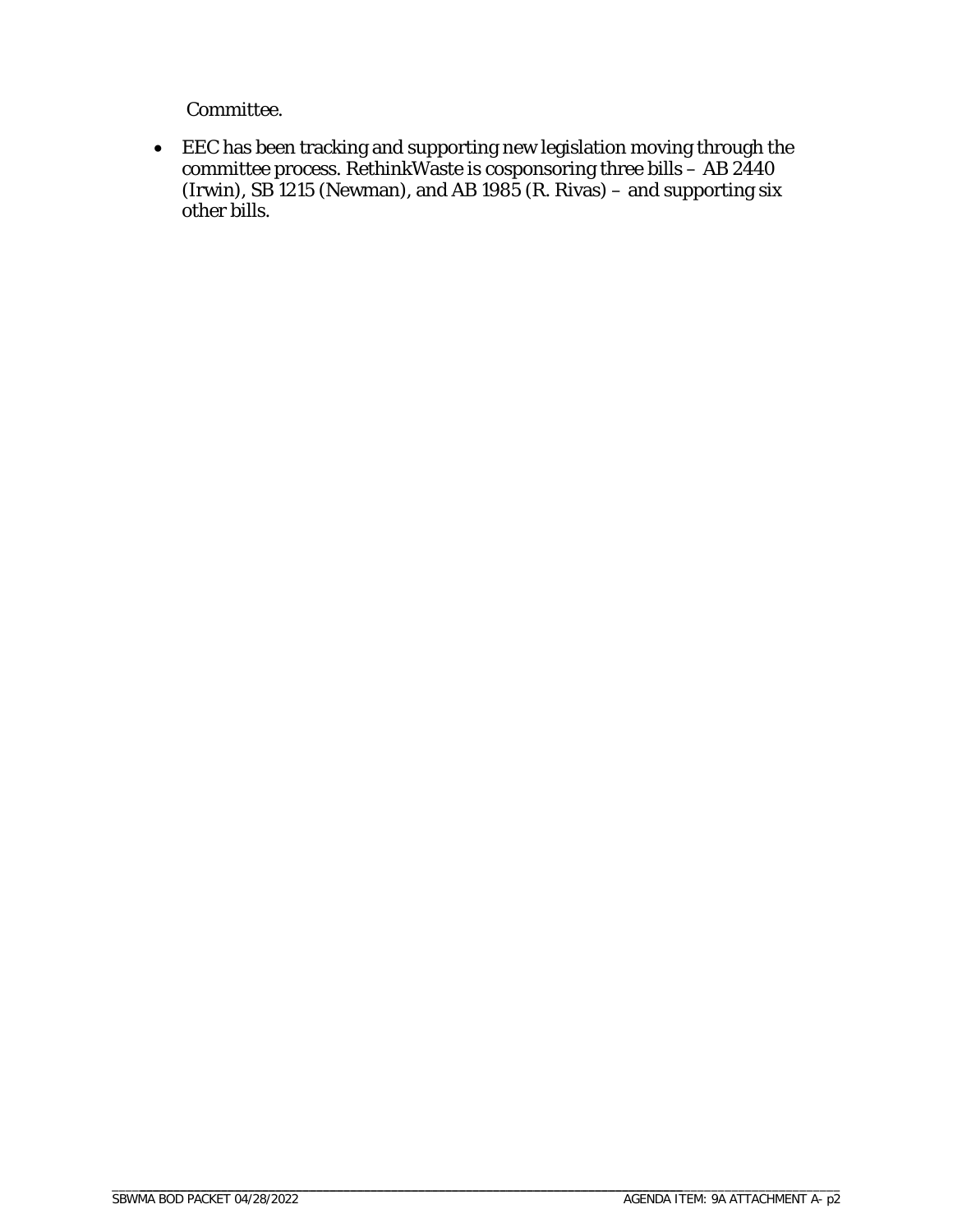Committee.

• EEC has been tracking and supporting new legislation moving through the committee process. RethinkWaste is cosponsoring three bills – AB 2440 (Irwin), SB 1215 (Newman), and AB 1985 (R. Rivas) – and supporting six other bills.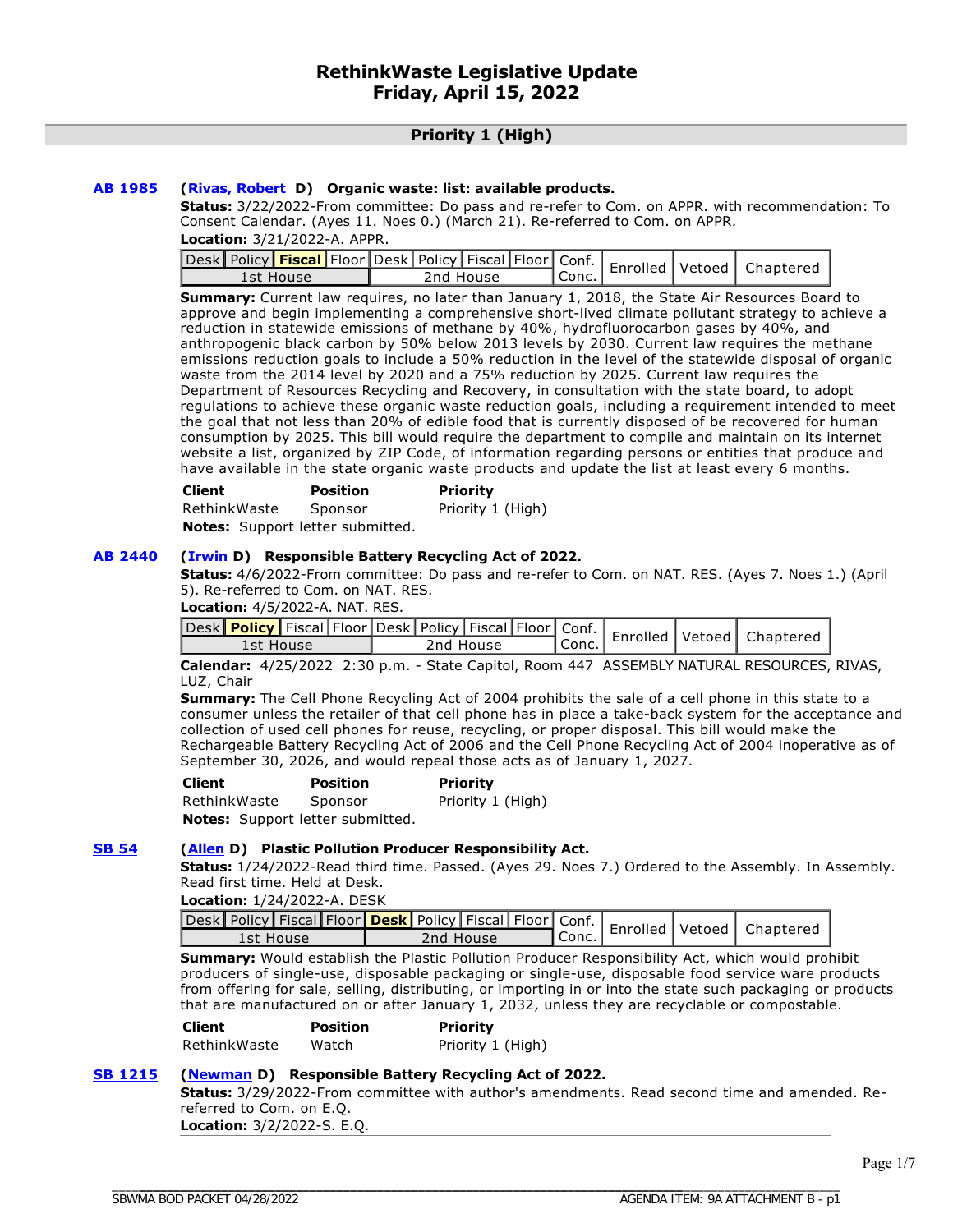#### **Priority 1 (High)**

#### **[AB 1985](https://ctweb.capitoltrack.com/public/publishbillinfo.aspx?bi=FE0GqpQ2y1k5N28x3ZDWeNunG0ivtQsAqly7OOFFZYHtf4S7cdSCzAKgmLuftxeY) ([Rivas, Robert](https://a30.asmdc.org/) D) Organic waste: list: available products.**

**Status:** 3/22/2022-From committee: Do pass and re-refer to Com. on APPR. with recommendation: To Consent Calendar. (Ayes 11. Noes 0.) (March 21). Re-referred to Com. on APPR.

**Location:** 3/21/2022-A. APPR.

| 1st House | 2nd House | Conc. |  |  |
|-----------|-----------|-------|--|--|

**Summary:** Current law requires, no later than January 1, 2018, the State Air Resources Board to approve and begin implementing a comprehensive short-lived climate pollutant strategy to achieve a reduction in statewide emissions of methane by 40%, hydrofluorocarbon gases by 40%, and anthropogenic black carbon by 50% below 2013 levels by 2030. Current law requires the methane emissions reduction goals to include a 50% reduction in the level of the statewide disposal of organic waste from the 2014 level by 2020 and a 75% reduction by 2025. Current law requires the Department of Resources Recycling and Recovery, in consultation with the state board, to adopt regulations to achieve these organic waste reduction goals, including a requirement intended to meet the goal that not less than 20% of edible food that is currently disposed of be recovered for human consumption by 2025. This bill would require the department to compile and maintain on its internet website a list, organized by ZIP Code, of information regarding persons or entities that produce and have available in the state organic waste products and update the list at least every 6 months.

| Client       | <b>Position</b> | <b>Priority</b>   |
|--------------|-----------------|-------------------|
| RethinkWaste | Sponsor         | Priority 1 (High) |
| ---          |                 |                   |

**Notes:** Support letter submitted.

#### **[AB 2440](https://ctweb.capitoltrack.com/public/publishbillinfo.aspx?bi=HEs8BduiCqLefgpoTu6bl%2BfLR1Pd%2B%2BKQXNmbY303VHxm35nPIbprz3LepsPQW4dN) ([Irwin](https://a44.asmdc.org/) D) Responsible Battery Recycling Act of 2022.**

**Status:** 4/6/2022-From committee: Do pass and re-refer to Com. on NAT. RES. (Ayes 7. Noes 1.) (April 5). Re-referred to Com. on NAT. RES.

**Location:** 4/5/2022-A. NAT. RES.

| <i>_J</i> esk <mark>Policy   Fiscal   Floor   Desk   Policy   Fiscal   Floor   Conf.   Enrolled   Vetoed   Chr</mark> |           |        |  | Chaptered |
|-----------------------------------------------------------------------------------------------------------------------|-----------|--------|--|-----------|
| rst House                                                                                                             | 2nd House | `Conc. |  |           |

**Calendar:** 4/25/2022 2:30 p.m. - State Capitol, Room 447 ASSEMBLY NATURAL RESOURCES, RIVAS, LUZ, Chair

**Summary:** The Cell Phone Recycling Act of 2004 prohibits the sale of a cell phone in this state to a consumer unless the retailer of that cell phone has in place a take-back system for the acceptance and collection of used cell phones for reuse, recycling, or proper disposal. This bill would make the Rechargeable Battery Recycling Act of 2006 and the Cell Phone Recycling Act of 2004 inoperative as of September 30, 2026, and would repeal those acts as of January 1, 2027.

| Client                           | <b>Position</b> | <b>Priority</b>   |
|----------------------------------|-----------------|-------------------|
| RethinkWaste                     | Sponsor         | Priority 1 (High) |
| Notes: Support letter submitted. |                 |                   |

#### **[SB 54](https://ctweb.capitoltrack.com/public/publishbillinfo.aspx?bi=4XfYQduGM5Z3hC4s5mzK0r4Gq1%2FZmtL0WPRzhBUV6tW%2FlpBJ8%2BM9jIp9W9flJjeJ) ([Allen](http://sd26.senate.ca.gov/) D) Plastic Pollution Producer Responsibility Act.**

**Status:** 1/24/2022-Read third time. Passed. (Ayes 29. Noes 7.) Ordered to the Assembly. In Assembly. Read first time. Held at Desk.

**Location:** 1/24/2022-A. DESK

|           | Sesk Policy   Fiscal   Floor   Desk   Policy   Fiscal   Floor   Conf.   Enrolled   Vetoed   Chaptered |       |  |  |
|-----------|-------------------------------------------------------------------------------------------------------|-------|--|--|
| 1st House | 2nd House                                                                                             | Conc. |  |  |

**Summary:** Would establish the Plastic Pollution Producer Responsibility Act, which would prohibit producers of single-use, disposable packaging or single-use, disposable food service ware products from offering for sale, selling, distributing, or importing in or into the state such packaging or products that are manufactured on or after January 1, 2032, unless they are recyclable or compostable.

| <b>Client</b> | <b>Position</b> | <b>Priority</b>   |
|---------------|-----------------|-------------------|
| RethinkWaste  | Watch           | Priority 1 (High) |

#### **[SB 1215](https://ctweb.capitoltrack.com/public/publishbillinfo.aspx?bi=YbzDN1T1ez3vFh4EP9vSG2g6gs7J8KWQMdnfWFSNw%2B0hYDboDIqpLS534XPmDSWF) ([Newman](https://sd29.senate.ca.gov/) D) Responsible Battery Recycling Act of 2022.**

**Status:** 3/29/2022-From committee with author's amendments. Read second time and amended. Rereferred to Com. on E.Q. **Location:** 3/2/2022-S. E.Q.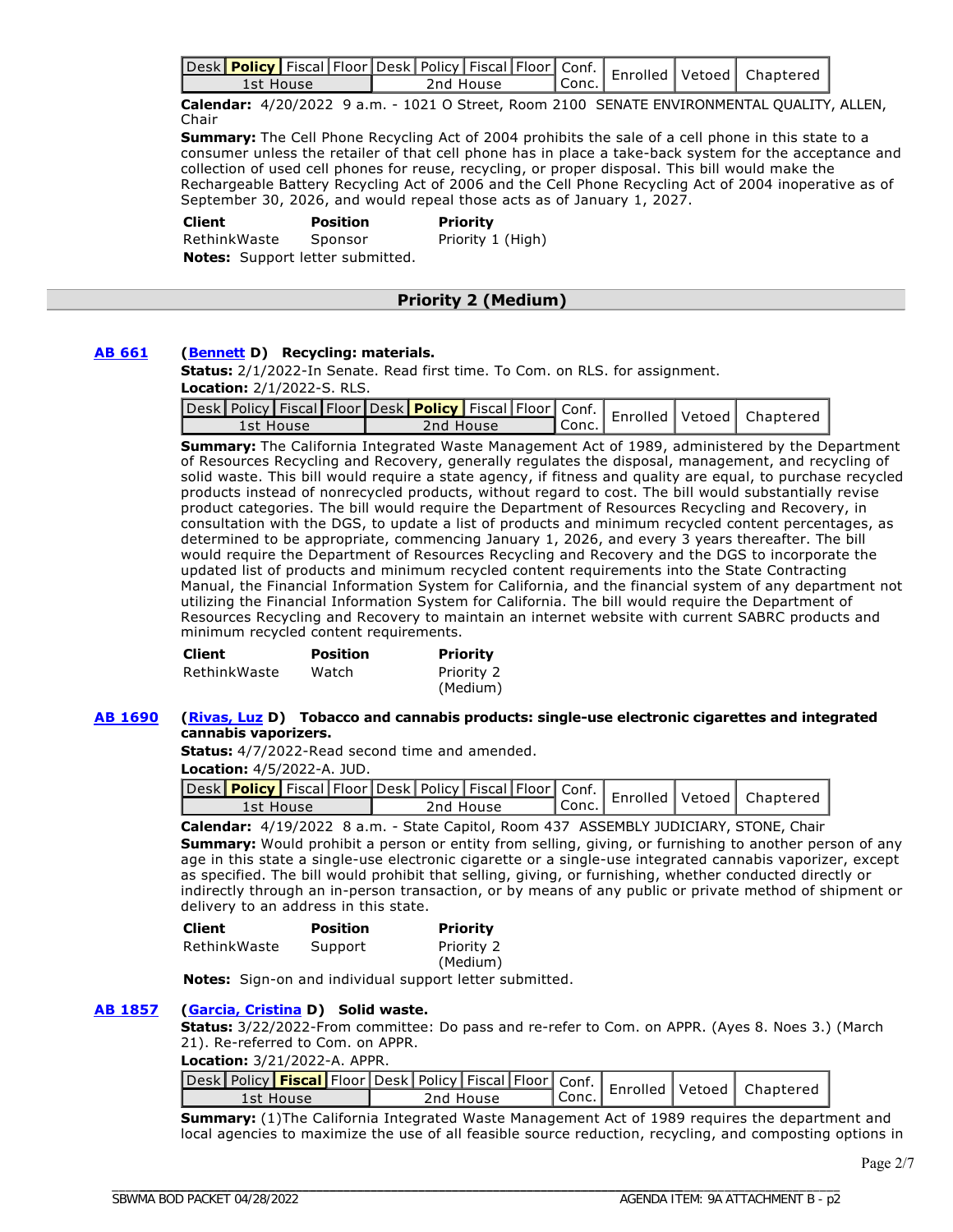|           |  |           |           |  | Jesk Policy   Fiscal Floor Desk Policy   Fiscal   Floor   Conf.   Enrolled   Vetoed   Chaptered |
|-----------|--|-----------|-----------|--|-------------------------------------------------------------------------------------------------|
| 1st House |  | 2nd House | ' Conc. . |  |                                                                                                 |

**Calendar:** 4/20/2022 9 a.m. - 1021 O Street, Room 2100 SENATE ENVIRONMENTAL QUALITY, ALLEN, Chair

**Summary:** The Cell Phone Recycling Act of 2004 prohibits the sale of a cell phone in this state to a consumer unless the retailer of that cell phone has in place a take-back system for the acceptance and collection of used cell phones for reuse, recycling, or proper disposal. This bill would make the Rechargeable Battery Recycling Act of 2006 and the Cell Phone Recycling Act of 2004 inoperative as of September 30, 2026, and would repeal those acts as of January 1, 2027.

 **Client Position Priority**  RethinkWaste Sponsor Priority 1 (High) **Notes:** Support letter submitted.

#### **Priority 2 (Medium)**

#### **[AB 661](https://ctweb.capitoltrack.com/public/publishbillinfo.aspx?bi=uKPiYI0Dd%2BdYr8UANE1hfzhKD8Lvn2L2OmCAV9KkMOaVqyiveJhUqPMhLZh%2FegTD) ([Bennett](https://a37.asmdc.org/) D) Recycling: materials.**

**Status:** 2/1/2022-In Senate. Read first time. To Com. on RLS. for assignment. **Location:** 2/1/2022-S. RLS.

| - esk Policy   Fiscal   Floor   Desk   Policy   Fiscal   Floor   Conf.   Enrolled   Vetoed   Chaptere |           |           |  |  |
|-------------------------------------------------------------------------------------------------------|-----------|-----------|--|--|
| 1st House                                                                                             | 2nd House | l Conc. I |  |  |

**Summary:** The California Integrated Waste Management Act of 1989, administered by the Department of Resources Recycling and Recovery, generally regulates the disposal, management, and recycling of solid waste. This bill would require a state agency, if fitness and quality are equal, to purchase recycled products instead of nonrecycled products, without regard to cost. The bill would substantially revise product categories. The bill would require the Department of Resources Recycling and Recovery, in consultation with the DGS, to update a list of products and minimum recycled content percentages, as determined to be appropriate, commencing January 1, 2026, and every 3 years thereafter. The bill would require the Department of Resources Recycling and Recovery and the DGS to incorporate the updated list of products and minimum recycled content requirements into the State Contracting Manual, the Financial Information System for California, and the financial system of any department not utilizing the Financial Information System for California. The bill would require the Department of Resources Recycling and Recovery to maintain an internet website with current SABRC products and minimum recycled content requirements.

| <b>Client</b> | <b>Position</b> | Priority   |
|---------------|-----------------|------------|
| RethinkWaste  | Watch           | Priority 2 |
|               |                 | (Medium)   |

#### **[AB 1690](https://ctweb.capitoltrack.com/public/publishbillinfo.aspx?bi=56oePYX93D77STHMf3On8rJObKONEdf9T8ygqUl66TfEk%2FftbKxY83uJs9PEp5Gx) ([Rivas, Luz](https://a39.asmdc.org/) D) Tobacco and cannabis products: single-use electronic cigarettes and integrated cannabis vaporizers.**

**Status:** 4/7/2022-Read second time and amended.

**Location:** 4/5/2022-A. JUD.

|           |  |           |           |  | Jesk Policy Fiscal Floor Desk Policy Fiscal Floor Conf.   Enrolled Vetoed   Chapterer |
|-----------|--|-----------|-----------|--|---------------------------------------------------------------------------------------|
| 1st House |  | 2nd House | ' Conc. ⊾ |  |                                                                                       |

**Calendar:** 4/19/2022 8 a.m. - State Capitol, Room 437 ASSEMBLY JUDICIARY, STONE, Chair **Summary:** Would prohibit a person or entity from selling, giving, or furnishing to another person of any age in this state a single-use electronic cigarette or a single-use integrated cannabis vaporizer, except as specified. The bill would prohibit that selling, giving, or furnishing, whether conducted directly or indirectly through an in-person transaction, or by means of any public or private method of shipment or delivery to an address in this state.

| <b>Client</b> | <b>Position</b> | <b>Priority</b>        |
|---------------|-----------------|------------------------|
| RethinkWaste  | Support         | Priority 2<br>(Medium) |

**Notes:** Sign-on and individual support letter submitted.

#### **[AB 1857](https://ctweb.capitoltrack.com/public/publishbillinfo.aspx?bi=9uKBZJo3EiRbqF2Z9mtX6LMRb5dNSdmHej0Yv7lD4L57tHZnoczPTupws0V%2FRsoh) ([Garcia, Cristina](https://a58.asmdc.org/) D) Solid waste.**

**Status:** 3/22/2022-From committee: Do pass and re-refer to Com. on APPR. (Ayes 8. Noes 3.) (March 21). Re-referred to Com. on APPR.

#### **Location:** 3/21/2022-A. APPR.

| esk Policy <mark>  Fiscal  </mark> Floor   Desk   Policy   Fiscal   Floor   Conf.   Enrolled   Vetoed   Chaptere<br>1st House | 2nd House | $\mathsf{I}$ Conc. |  |  |
|-------------------------------------------------------------------------------------------------------------------------------|-----------|--------------------|--|--|

**Summary:** (1)The California Integrated Waste Management Act of 1989 requires the department and local agencies to maximize the use of all feasible source reduction, recycling, and composting options in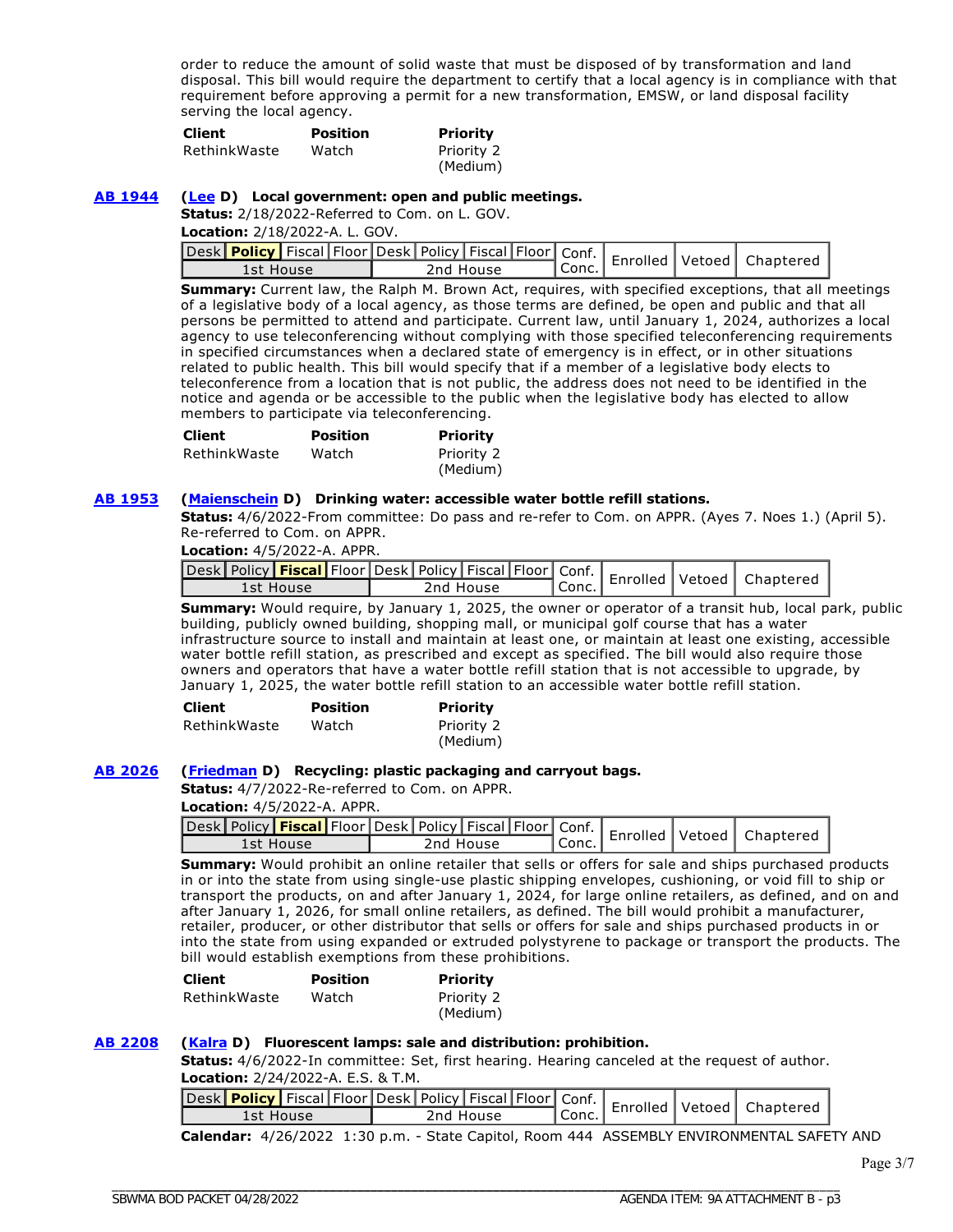order to reduce the amount of solid waste that must be disposed of by transformation and land disposal. This bill would require the department to certify that a local agency is in compliance with that requirement before approving a permit for a new transformation, EMSW, or land disposal facility serving the local agency.

| <b>Client</b> | <b>Position</b> | Priority   |
|---------------|-----------------|------------|
| RethinkWaste  | Watch           | Priority 2 |
|               |                 | (Medium)   |

#### **[AB 1944](https://ctweb.capitoltrack.com/public/publishbillinfo.aspx?bi=H3D2Qi3ng9CnfSiZBnOze9OViLlkXEah5%2FaUyAw5RUTXdkiuTaaejUeB7a%2FrCt1A) ([Lee](https://a25.asmdc.org/) D) Local government: open and public meetings.**

**Status:** 2/18/2022-Referred to Com. on L. GOV.

**Location:** 2/18/2022-A. L. GOV.

| Jesk Policy   Fiscal Floor   Desk   Policy   Fiscal   Floor   Conf.   Enrolled   Vetoed   Chapterer |           |           |  |  |
|-----------------------------------------------------------------------------------------------------|-----------|-----------|--|--|
| 1st House                                                                                           | 2nd House | l Conc. I |  |  |

**Summary:** Current law, the Ralph M. Brown Act, requires, with specified exceptions, that all meetings of a legislative body of a local agency, as those terms are defined, be open and public and that all persons be permitted to attend and participate. Current law, until January 1, 2024, authorizes a local agency to use teleconferencing without complying with those specified teleconferencing requirements in specified circumstances when a declared state of emergency is in effect, or in other situations related to public health. This bill would specify that if a member of a legislative body elects to teleconference from a location that is not public, the address does not need to be identified in the notice and agenda or be accessible to the public when the legislative body has elected to allow members to participate via teleconferencing.

| <b>Client</b> | <b>Position</b> | Priority   |
|---------------|-----------------|------------|
| RethinkWaste  | Watch           | Priority 2 |
|               |                 | (Medium)   |

#### **[AB 1953](https://ctweb.capitoltrack.com/public/publishbillinfo.aspx?bi=ZFmYxVnwubKjfYbZtUrLYItVgsAqTbcfjd1cEQaM5DYFFhdEr2KML78eGVOxnUu0) ([Maienschein](https://a77.asmdc.org/) D) Drinking water: accessible water bottle refill stations.**

**Status:** 4/6/2022-From committee: Do pass and re-refer to Com. on APPR. (Ayes 7. Noes 1.) (April 5). Re-referred to Com. on APPR.

**Location:** 4/5/2022-A. APPR.

| Jesk Policy <b>Fiscal Floor</b> Desk   Policy   Fiscal   Floor   Conf.   Enrolled   Vetoed   Chaptered |           |        |  |  |
|--------------------------------------------------------------------------------------------------------|-----------|--------|--|--|
| 1st House                                                                                              | 2nd House | `Conc. |  |  |

**Summary:** Would require, by January 1, 2025, the owner or operator of a transit hub, local park, public building, publicly owned building, shopping mall, or municipal golf course that has a water infrastructure source to install and maintain at least one, or maintain at least one existing, accessible water bottle refill station, as prescribed and except as specified. The bill would also require those owners and operators that have a water bottle refill station that is not accessible to upgrade, by January 1, 2025, the water bottle refill station to an accessible water bottle refill station.

| <b>Client</b> | <b>Position</b> | Priority   |
|---------------|-----------------|------------|
| RethinkWaste  | Watch           | Priority 2 |
|               |                 | (Medium)   |

#### **[AB 2026](https://ctweb.capitoltrack.com/public/publishbillinfo.aspx?bi=JaJC54%2FPtfrmywWkTEpaxVGFbfeQbg4MDStYcRyPqApXGxStFOqhr89dYDgF7I%2Fr) ([Friedman](https://a43.asmdc.org/) D) Recycling: plastic packaging and carryout bags.**

**Status:** 4/7/2022-Re-referred to Com. on APPR.

**Location:** 4/5/2022-A. APPR.

|  |  |  |  |  | Conf.   Enrolled   Vetoed   Chanters   Conf.   Conf.   Enrolled   Vetoed   Chanters   Conf.   Enrolled   Vetoed   Chanters   Conc.   Conc.   Conc.   Conc.   Conc.   Conc.   Conc.   Conc.   Conc.   Conc.   Conc.   Conc.   C |
|--|--|--|--|--|--------------------------------------------------------------------------------------------------------------------------------------------------------------------------------------------------------------------------------|
|  |  |  |  |  |                                                                                                                                                                                                                                |

**Summary:** Would prohibit an online retailer that sells or offers for sale and ships purchased products in or into the state from using single-use plastic shipping envelopes, cushioning, or void fill to ship or transport the products, on and after January 1, 2024, for large online retailers, as defined, and on and after January 1, 2026, for small online retailers, as defined. The bill would prohibit a manufacturer, retailer, producer, or other distributor that sells or offers for sale and ships purchased products in or into the state from using expanded or extruded polystyrene to package or transport the products. The bill would establish exemptions from these prohibitions.

| <b>Client</b> | <b>Position</b> | Priority   |
|---------------|-----------------|------------|
| RethinkWaste  | Watch           | Priority 2 |
|               |                 | (Medium)   |

#### **[AB 2208](https://ctweb.capitoltrack.com/public/publishbillinfo.aspx?bi=KvS7nmbXg0sbYppg2a6Jk4nB0BfALgTmWxqezUzLDGeYeN%2F2W4n9Bf3b9xKTpZA1) ([Kalra](https://a27.asmdc.org/) D) Fluorescent lamps: sale and distribution: prohibition.**

**Status:** 4/6/2022-In committee: Set, first hearing. Hearing canceled at the request of author. **Location:** 2/24/2022-A. E.S. & T.M.

|           |  |           |  |         |  | Jesk Policy   Fiscal   Floor Desk   Policy   Fiscal   Floor   Conf.   Enrolled   Vetoed   Chaptered |
|-----------|--|-----------|--|---------|--|-----------------------------------------------------------------------------------------------------|
| 1st House |  | 2nd House |  | l Conc. |  |                                                                                                     |

**Calendar:** 4/26/2022 1:30 p.m. - State Capitol, Room 444 ASSEMBLY ENVIRONMENTAL SAFETY AND

Page 3/7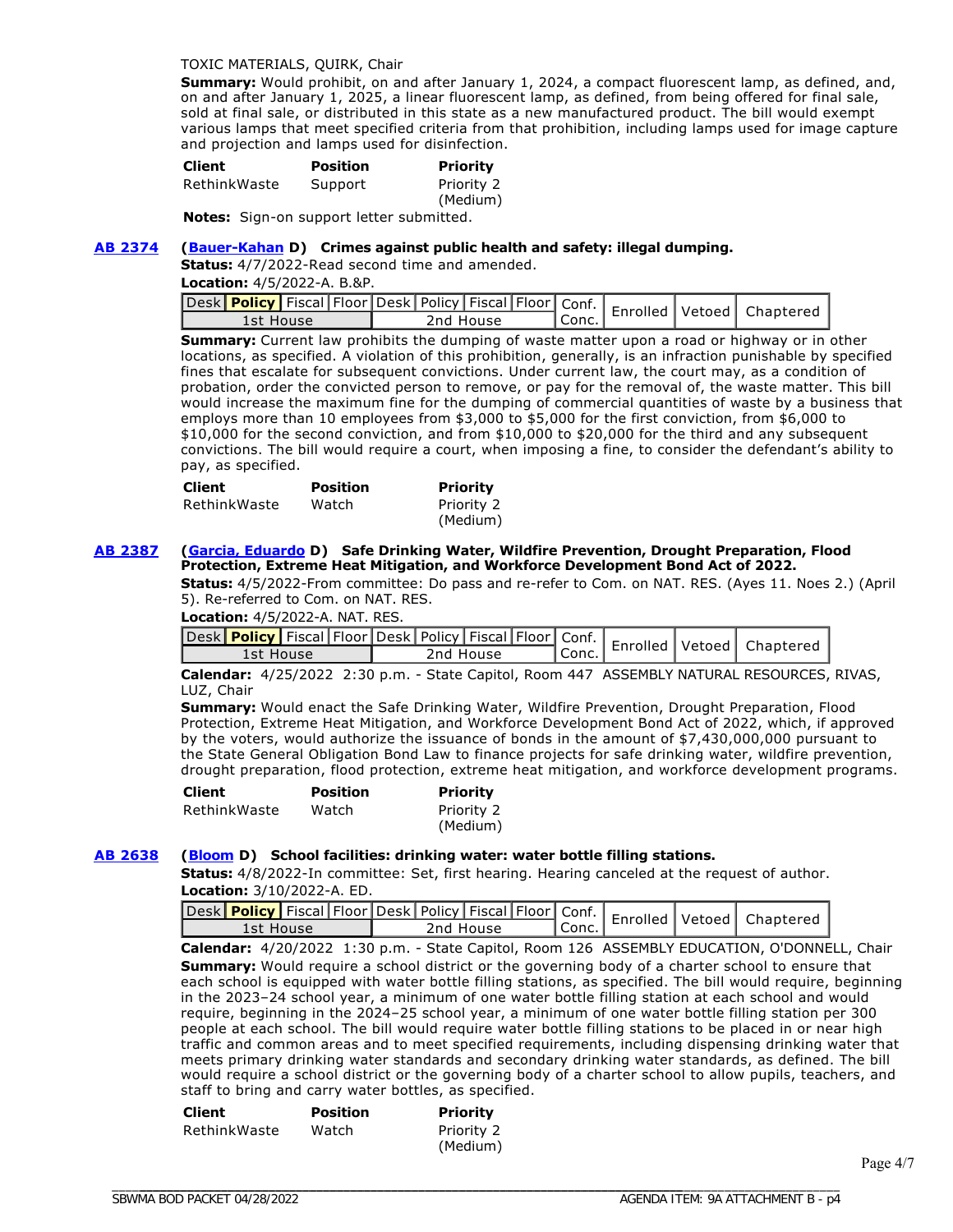#### TOXIC MATERIALS, QUIRK, Chair

**Summary:** Would prohibit, on and after January 1, 2024, a compact fluorescent lamp, as defined, and, on and after January 1, 2025, a linear fluorescent lamp, as defined, from being offered for final sale, sold at final sale, or distributed in this state as a new manufactured product. The bill would exempt various lamps that meet specified criteria from that prohibition, including lamps used for image capture and projection and lamps used for disinfection.

| <b>Client</b> | <b>Position</b> | Priority               |
|---------------|-----------------|------------------------|
| RethinkWaste  | Support         | Priority 2<br>(Medium) |

Notes: Sign-on support letter submitted.

#### **[AB 2374](https://ctweb.capitoltrack.com/public/publishbillinfo.aspx?bi=LbcMw1849OSoRnh%2BT5877LHvsGAt1k%2BwWqXue8IqKM9sY4HiD3wvRRL60ctWcOZb) ([Bauer-Kahan](https://a16.asmdc.org/) D) Crimes against public health and safety: illegal dumping.**

**Status:** 4/7/2022-Read second time and amended.

**Location:** 4/5/2022-A. B.&P.

| Lesk Policy   Fiscal Floor Desk   Policy   Fiscal   Floor   Conf.   Enrolled   Vetoed   Chaptered |  |           |       |  |  |
|---------------------------------------------------------------------------------------------------|--|-----------|-------|--|--|
| 1st House                                                                                         |  | 2nd House | Conc. |  |  |

**Summary:** Current law prohibits the dumping of waste matter upon a road or highway or in other locations, as specified. A violation of this prohibition, generally, is an infraction punishable by specified fines that escalate for subsequent convictions. Under current law, the court may, as a condition of probation, order the convicted person to remove, or pay for the removal of, the waste matter. This bill would increase the maximum fine for the dumping of commercial quantities of waste by a business that employs more than 10 employees from \$3,000 to \$5,000 for the first conviction, from \$6,000 to \$10,000 for the second conviction, and from \$10,000 to \$20,000 for the third and any subsequent convictions. The bill would require a court, when imposing a fine, to consider the defendant's ability to pay, as specified.

| <b>Client</b> | <b>Position</b> | Priority               |
|---------------|-----------------|------------------------|
| RethinkWaste  | Watch           | Priority 2<br>(Medium) |

#### **[AB 2387](https://ctweb.capitoltrack.com/public/publishbillinfo.aspx?bi=wRwfvx%2FmmLnm3FIptfAPusR2vrw1WbtudmG740DcGygVYYhoVv1KQ8ProvMizteI) ([Garcia, Eduardo](https://a56.asmdc.org/) D) Safe Drinking Water, Wildfire Prevention, Drought Preparation, Flood Protection, Extreme Heat Mitigation, and Workforce Development Bond Act of 2022.**

**Status:** 4/5/2022-From committee: Do pass and re-refer to Com. on NAT. RES. (Ayes 11. Noes 2.) (April 5). Re-referred to Com. on NAT. RES.

**Location:** 4/5/2022-A. NAT. RES.

| Jesk Policy   Fiscal Floor Desk   Policy   Fiscal   Floor   Conf.   Enrolled   Vetoed   Chaptered |           |         |  |  |
|---------------------------------------------------------------------------------------------------|-----------|---------|--|--|
| 1st House                                                                                         | 2nd House | l Conc. |  |  |

**Calendar:** 4/25/2022 2:30 p.m. - State Capitol, Room 447 ASSEMBLY NATURAL RESOURCES, RIVAS, LUZ, Chair

**Summary:** Would enact the Safe Drinking Water, Wildfire Prevention, Drought Preparation, Flood Protection, Extreme Heat Mitigation, and Workforce Development Bond Act of 2022, which, if approved by the voters, would authorize the issuance of bonds in the amount of \$7,430,000,000 pursuant to the State General Obligation Bond Law to finance projects for safe drinking water, wildfire prevention, drought preparation, flood protection, extreme heat mitigation, and workforce development programs.

| <b>Client</b> | <b>Position</b> | Priority               |
|---------------|-----------------|------------------------|
| RethinkWaste  | Watch           | Priority 2<br>(Medium) |
|               |                 |                        |

#### **[AB 2638](https://ctweb.capitoltrack.com/public/publishbillinfo.aspx?bi=Js50HrMFj%2F5wo39QUYc8trtdJ7zXudpImhAH9Q9sKoP%2BQNSidya6WaIKVHY9YHUe) ([Bloom](https://a50.asmdc.org/) D) School facilities: drinking water: water bottle filling stations.**

**Status:** 4/8/2022-In committee: Set, first hearing. Hearing canceled at the request of author. **Location:** 3/10/2022-A. ED.

| Jesk Policy Fiscal Floor Desk   Policy   Fiscal   Floor   Conf.   Enrolled   Vetoed   Chaptered |           |                    |  |  |
|-------------------------------------------------------------------------------------------------|-----------|--------------------|--|--|
| 1st House                                                                                       | 2nd House | <sup>I</sup> Conc. |  |  |

**Calendar:** 4/20/2022 1:30 p.m. - State Capitol, Room 126 ASSEMBLY EDUCATION, O'DONNELL, Chair **Summary:** Would require a school district or the governing body of a charter school to ensure that each school is equipped with water bottle filling stations, as specified. The bill would require, beginning in the 2023–24 school year, a minimum of one water bottle filling station at each school and would require, beginning in the 2024–25 school year, a minimum of one water bottle filling station per 300 people at each school. The bill would require water bottle filling stations to be placed in or near high traffic and common areas and to meet specified requirements, including dispensing drinking water that meets primary drinking water standards and secondary drinking water standards, as defined. The bill would require a school district or the governing body of a charter school to allow pupils, teachers, and staff to bring and carry water bottles, as specified.

| <b>Client</b> | <b>Position</b> | Priority               |
|---------------|-----------------|------------------------|
| RethinkWaste  | Watch           | Priority 2<br>(Medium) |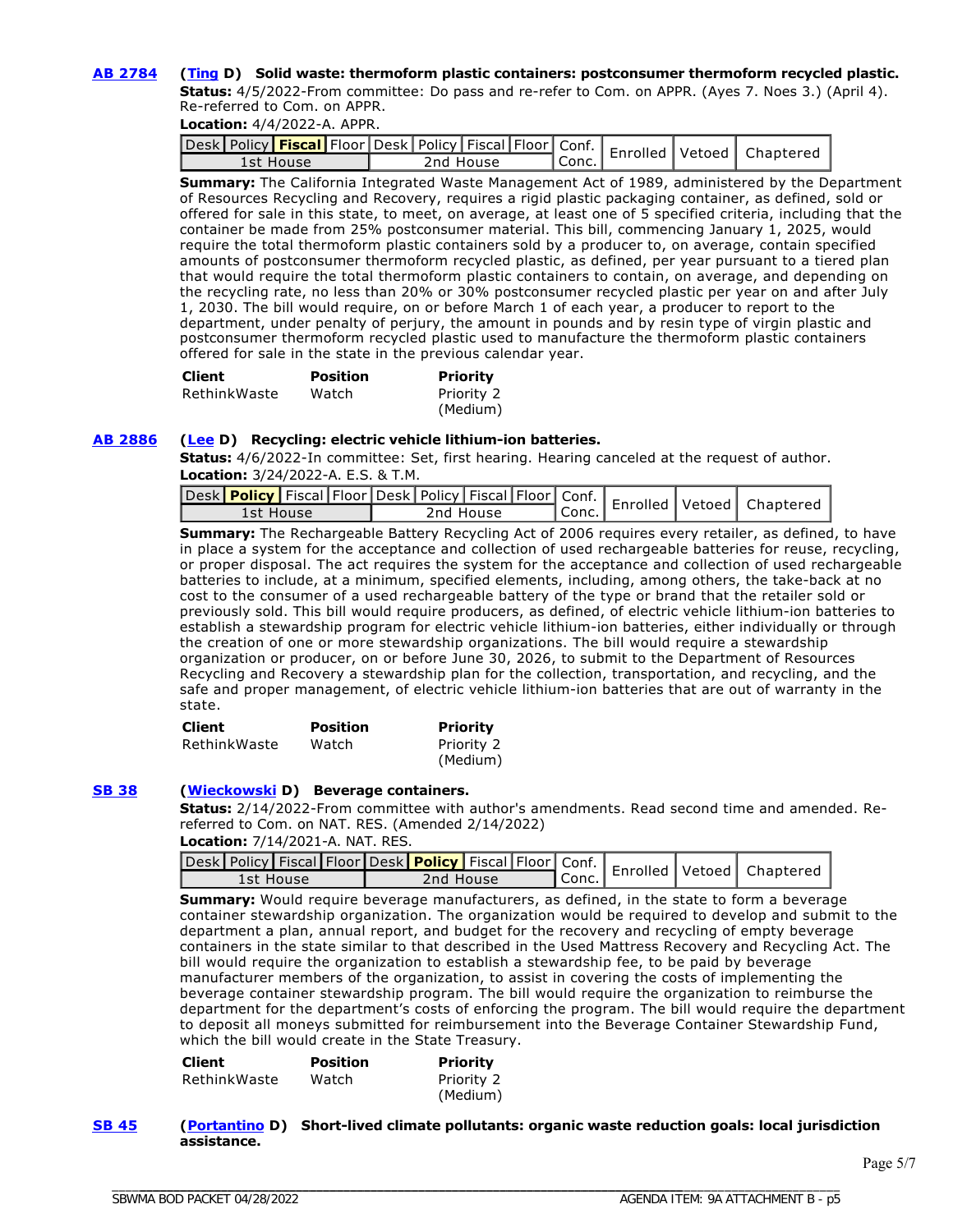#### **[AB 2784](https://ctweb.capitoltrack.com/public/publishbillinfo.aspx?bi=aLbfzWiqJTyibTRu8PRJHgyuVDwuYz%2F7PvzEbt3Y4OX0kknV0TEL9P6gdIzWPkJk) ([Ting](https://a19.asmdc.org/) D) Solid waste: thermoform plastic containers: postconsumer thermoform recycled plastic.**

**Status:** 4/5/2022-From committee: Do pass and re-refer to Com. on APPR. (Ayes 7. Noes 3.) (April 4). Re-referred to Com. on APPR.

**Location:** 4/4/2022-A. APPR.

|           |  |           |        |  | Jesk Policy <b>Fiscal</b> Floor Desk   Policy   Fiscal   Floor   Conf.   Enrolled   Vetoed   Chaptere |
|-----------|--|-----------|--------|--|-------------------------------------------------------------------------------------------------------|
| 1st House |  | 2nd House | `Conc. |  |                                                                                                       |

**Summary:** The California Integrated Waste Management Act of 1989, administered by the Department of Resources Recycling and Recovery, requires a rigid plastic packaging container, as defined, sold or offered for sale in this state, to meet, on average, at least one of 5 specified criteria, including that the container be made from 25% postconsumer material. This bill, commencing January 1, 2025, would require the total thermoform plastic containers sold by a producer to, on average, contain specified amounts of postconsumer thermoform recycled plastic, as defined, per year pursuant to a tiered plan that would require the total thermoform plastic containers to contain, on average, and depending on the recycling rate, no less than 20% or 30% postconsumer recycled plastic per year on and after July 1, 2030. The bill would require, on or before March 1 of each year, a producer to report to the department, under penalty of perjury, the amount in pounds and by resin type of virgin plastic and postconsumer thermoform recycled plastic used to manufacture the thermoform plastic containers offered for sale in the state in the previous calendar year.

| <b>Client</b> | Position | <b>Priority</b> |
|---------------|----------|-----------------|
| RethinkWaste  | Watch    | Priority 2      |
|               |          | (Medium)        |

#### **[AB 2886](https://ctweb.capitoltrack.com/public/publishbillinfo.aspx?bi=QvIOBBlwYluPyojR0hcbXDc%2BqsqK8ysQiGC0jY8kbz0cn94MdXFBbKz1xFIcdFNG) ([Lee](https://a25.asmdc.org/) D) Recycling: electric vehicle lithium-ion batteries.**

**Status:** 4/6/2022-In committee: Set, first hearing. Hearing canceled at the request of author. **Location:** 3/24/2022-A. E.S. & T.M.

| and Fiscal Policy   Fiscal   Floor   Desk   Policy   Fiscal   Floor   Conf.   Enrolled   Vetoed   Chaptered |           |         |  |  |
|-------------------------------------------------------------------------------------------------------------|-----------|---------|--|--|
| 1st House                                                                                                   | 2nd House | ' Conc. |  |  |

**Summary:** The Rechargeable Battery Recycling Act of 2006 requires every retailer, as defined, to have in place a system for the acceptance and collection of used rechargeable batteries for reuse, recycling, or proper disposal. The act requires the system for the acceptance and collection of used rechargeable batteries to include, at a minimum, specified elements, including, among others, the take-back at no cost to the consumer of a used rechargeable battery of the type or brand that the retailer sold or previously sold. This bill would require producers, as defined, of electric vehicle lithium-ion batteries to establish a stewardship program for electric vehicle lithium-ion batteries, either individually or through the creation of one or more stewardship organizations. The bill would require a stewardship organization or producer, on or before June 30, 2026, to submit to the Department of Resources Recycling and Recovery a stewardship plan for the collection, transportation, and recycling, and the safe and proper management, of electric vehicle lithium-ion batteries that are out of warranty in the state.

| <b>Client</b> | <b>Position</b>       | <b>Priority</b> |
|---------------|-----------------------|-----------------|
|               | RethinkWaste<br>Watch | Priority 2      |
|               |                       | (Medium)        |

#### **[SB 38](https://ctweb.capitoltrack.com/public/publishbillinfo.aspx?bi=%2Bgr7qJYfvAmI1mBHpNEQocjIi0h7C99EddPb0IKpwM%2BHDotLNyy7QHwd4gwXzzV5) ([Wieckowski](http://sd10.senate.ca.gov/) D) Beverage containers.**

**Status:** 2/14/2022-From committee with author's amendments. Read second time and amended. Rereferred to Com. on NAT. RES. (Amended 2/14/2022)

**Location:** 7/14/2021-A. NAT. RES.

| 1st House | 2nd House | ¶ Conc. . |  |  |
|-----------|-----------|-----------|--|--|

**Summary:** Would require beverage manufacturers, as defined, in the state to form a beverage container stewardship organization. The organization would be required to develop and submit to the department a plan, annual report, and budget for the recovery and recycling of empty beverage containers in the state similar to that described in the Used Mattress Recovery and Recycling Act. The bill would require the organization to establish a stewardship fee, to be paid by beverage manufacturer members of the organization, to assist in covering the costs of implementing the beverage container stewardship program. The bill would require the organization to reimburse the department for the department's costs of enforcing the program. The bill would require the department to deposit all moneys submitted for reimbursement into the Beverage Container Stewardship Fund, which the bill would create in the State Treasury.

| <b>Client</b> | <b>Position</b> | <b>Priority</b>        |
|---------------|-----------------|------------------------|
| RethinkWaste  | Watch           | Priority 2<br>(Medium) |

\_\_\_\_\_\_\_\_\_\_\_\_\_\_\_\_\_\_\_\_\_\_\_\_\_\_\_\_\_\_\_\_\_\_\_\_\_\_\_\_\_\_\_\_\_\_\_\_\_\_\_\_\_\_\_\_\_\_\_\_\_\_\_\_\_\_\_\_\_\_\_\_\_\_\_\_\_\_\_\_\_\_\_\_

**[SB 45](https://ctweb.capitoltrack.com/public/publishbillinfo.aspx?bi=8odCzWwSvgLYNlAvfSvx6DTyq%2BbXfkunp0af9qKd%2Fji6OIOeoeMtsblocwV23W%2Bf) ([Portantino](http://sd25.senate.ca.gov/) D) Short-lived climate pollutants: organic waste reduction goals: local jurisdiction assistance.**

\_\_\_\_\_\_\_\_\_\_\_\_\_\_\_\_\_\_\_\_\_\_\_\_\_\_\_\_\_\_\_\_\_\_\_\_\_\_\_\_\_\_\_\_\_\_\_\_\_\_\_\_\_\_\_\_\_\_\_\_\_\_\_\_\_\_\_\_\_\_\_\_\_\_\_\_\_\_\_\_\_\_\_\_\_\_\_\_\_\_\_\_\_\_\_\_\_\_\_\_\_\_\_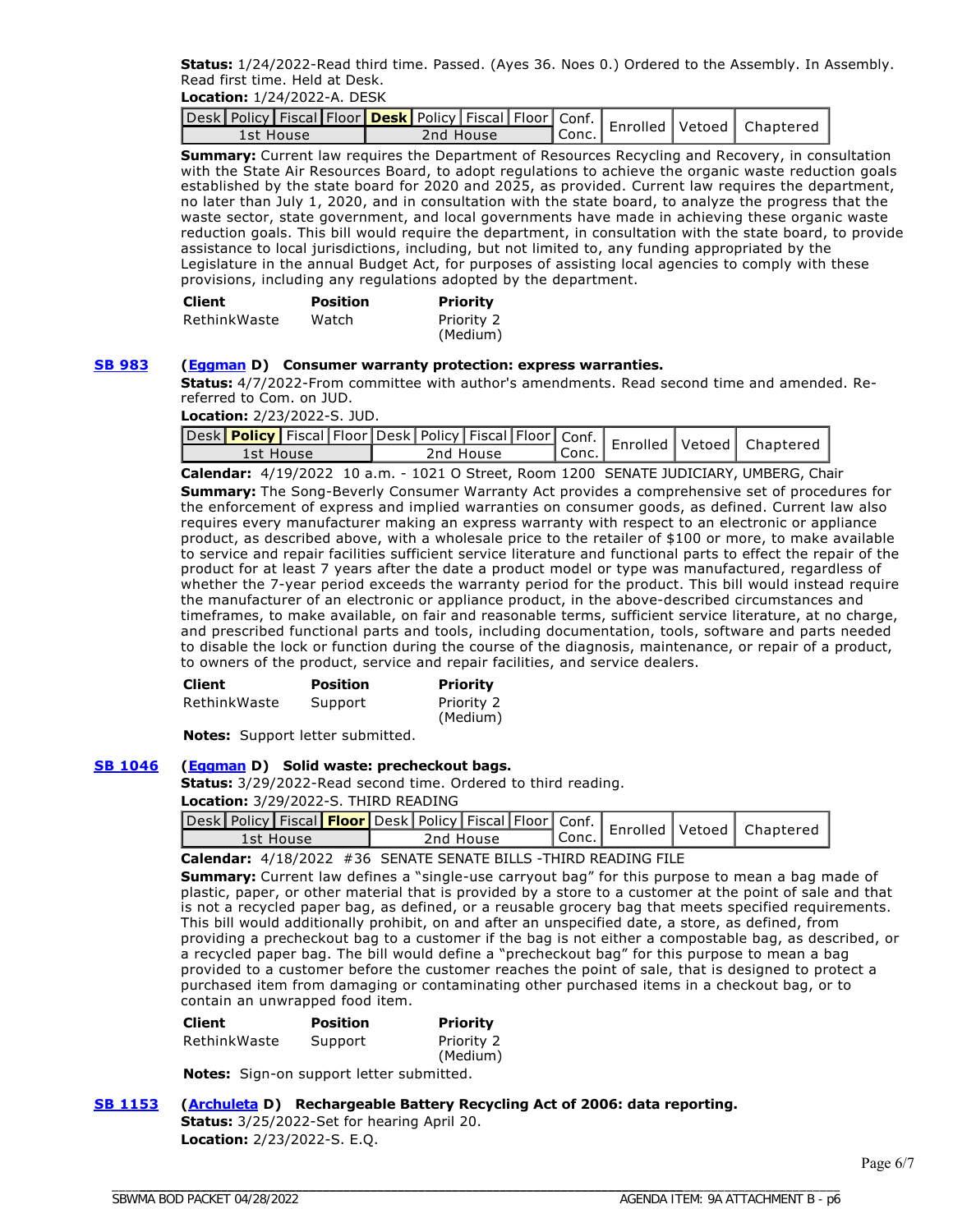**Status:** 1/24/2022-Read third time. Passed. (Ayes 36. Noes 0.) Ordered to the Assembly. In Assembly. Read first time. Held at Desk.

**Location:** 1/24/2022-A. DESK

| 1st House | 2nd House | ¶ Conc.⊥ |  |  |
|-----------|-----------|----------|--|--|

**Summary:** Current law requires the Department of Resources Recycling and Recovery, in consultation with the State Air Resources Board, to adopt regulations to achieve the organic waste reduction goals established by the state board for 2020 and 2025, as provided. Current law requires the department, no later than July 1, 2020, and in consultation with the state board, to analyze the progress that the waste sector, state government, and local governments have made in achieving these organic waste reduction goals. This bill would require the department, in consultation with the state board, to provide assistance to local jurisdictions, including, but not limited to, any funding appropriated by the Legislature in the annual Budget Act, for purposes of assisting local agencies to comply with these provisions, including any regulations adopted by the department.

| <b>Client</b> | <b>Position</b> | <b>Priority</b>        |
|---------------|-----------------|------------------------|
| RethinkWaste  | Watch           | Priority 2<br>(Medium) |

#### **[SB 983](https://ctweb.capitoltrack.com/public/publishbillinfo.aspx?bi=ebqGIX05nSPNjTOr6CgNP3NXC8rmPDz3WofjwRD51TxPQmeiCMTGZfWzRbTkZcg8) ([Eggman](http://sd05.senate.ca.gov/) D) Consumer warranty protection: express warranties.**

**Status:** 4/7/2022-From committee with author's amendments. Read second time and amended. Rereferred to Com. on JUD.

**Location:** 2/23/2022-S. JUD.

| Lesk Policy Fiscal Floor Desk   Policy   Fiscal   Floor   Conf.   Enrolled   Vetoed   Chapterer<br>1st House | 2nd House | ' Conc. |  |  |
|--------------------------------------------------------------------------------------------------------------|-----------|---------|--|--|

**Calendar:** 4/19/2022 10 a.m. - 1021 O Street, Room 1200 SENATE JUDICIARY, UMBERG, Chair

**Summary:** The Song-Beverly Consumer Warranty Act provides a comprehensive set of procedures for the enforcement of express and implied warranties on consumer goods, as defined. Current law also requires every manufacturer making an express warranty with respect to an electronic or appliance product, as described above, with a wholesale price to the retailer of \$100 or more, to make available to service and repair facilities sufficient service literature and functional parts to effect the repair of the product for at least 7 years after the date a product model or type was manufactured, regardless of whether the 7-year period exceeds the warranty period for the product. This bill would instead require the manufacturer of an electronic or appliance product, in the above-described circumstances and timeframes, to make available, on fair and reasonable terms, sufficient service literature, at no charge, and prescribed functional parts and tools, including documentation, tools, software and parts needed to disable the lock or function during the course of the diagnosis, maintenance, or repair of a product, to owners of the product, service and repair facilities, and service dealers.

| <b>Client</b> | <b>Position</b> | Priority               |
|---------------|-----------------|------------------------|
| RethinkWaste  | Support         | Priority 2<br>(Medium) |

**Notes:** Support letter submitted.

#### **[SB 1046](https://ctweb.capitoltrack.com/public/publishbillinfo.aspx?bi=abf35RUjcPte%2F%2F74jp4DFTRbpP%2Flosq10U3WrT5%2BoKKPDt0GNUZLgmcLTmKrD0%2Fu) ([Eggman](http://sd05.senate.ca.gov/) D) Solid waste: precheckout bags.**

**Status:** 3/29/2022-Read second time. Ordered to third reading.

**Location:** 3/29/2022-S. THIRD READING

| -esk Policy Fiscal <mark>  Floor  </mark> Desk   Policy   Fiscal   Floor   Conf.   Enrolled   Vetoed   Chaptere |           |        |  |  |
|-----------------------------------------------------------------------------------------------------------------|-----------|--------|--|--|
| 1st House                                                                                                       | 2nd House | `Conc. |  |  |

**Calendar:** 4/18/2022 #36 SENATE SENATE BILLS -THIRD READING FILE

**Summary:** Current law defines a "single-use carryout bag" for this purpose to mean a bag made of plastic, paper, or other material that is provided by a store to a customer at the point of sale and that is not a recycled paper bag, as defined, or a reusable grocery bag that meets specified requirements. This bill would additionally prohibit, on and after an unspecified date, a store, as defined, from providing a precheckout bag to a customer if the bag is not either a compostable bag, as described, or a recycled paper bag. The bill would define a "precheckout bag" for this purpose to mean a bag provided to a customer before the customer reaches the point of sale, that is designed to protect a purchased item from damaging or contaminating other purchased items in a checkout bag, or to contain an unwrapped food item.

| <b>Client</b> | <b>Position</b> | <b>Priority</b>      |
|---------------|-----------------|----------------------|
| RethinkWaste  | Support         | Priority 2<br>$\sim$ |

(Medium)

**Notes:** Sign-on support letter submitted.

#### **[SB 1153](https://ctweb.capitoltrack.com/public/publishbillinfo.aspx?bi=KXWIkY6uy9GGOzpQP5uJ8%2FS8Mfw18EQfImIOYHb2I1DepcYaN%2B5EgBOMwMqELnrJ) ([Archuleta](http://sd32.senate.ca.gov/) D) Rechargeable Battery Recycling Act of 2006: data reporting.**

**Status:** 3/25/2022-Set for hearing April 20. **Location:** 2/23/2022-S. E.Q.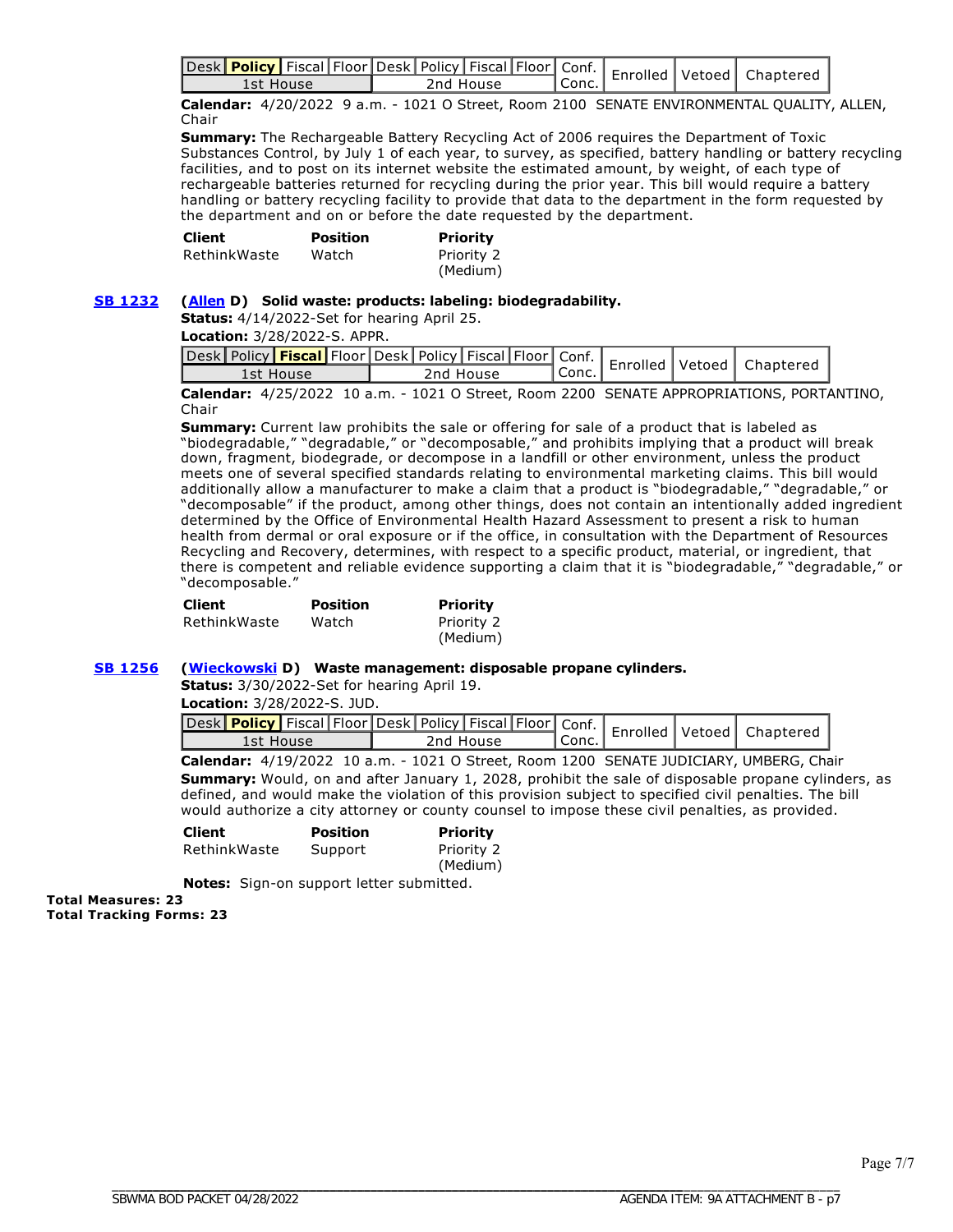|           |  |           |         |  | Jesk Policy Fiscal Floor Desk Policy Fiscal Floor Conf.   Enrolled   Vetoed   Chaptered |
|-----------|--|-----------|---------|--|-----------------------------------------------------------------------------------------|
| Ist House |  | 2nd House | ' Conc. |  |                                                                                         |

**Calendar:** 4/20/2022 9 a.m. - 1021 O Street, Room 2100 SENATE ENVIRONMENTAL QUALITY, ALLEN, Chair

**Summary:** The Rechargeable Battery Recycling Act of 2006 requires the Department of Toxic Substances Control, by July 1 of each year, to survey, as specified, battery handling or battery recycling facilities, and to post on its internet website the estimated amount, by weight, of each type of rechargeable batteries returned for recycling during the prior year. This bill would require a battery handling or battery recycling facility to provide that data to the department in the form requested by the department and on or before the date requested by the department.

| Client       | Position | Priority   |
|--------------|----------|------------|
| RethinkWaste | Watch    | Priority 2 |
|              |          | (Medium)   |

#### **[SB 1232](https://ctweb.capitoltrack.com/public/publishbillinfo.aspx?bi=aJhRZzHiXig9VvQUtl6nC%2FcPotq4E7Ff8gLF0kk0FusONJggz%2BVahLEgkklpwLKE) ([Allen](http://sd26.senate.ca.gov/) D) Solid waste: products: labeling: biodegradability.**

**Status:** 4/14/2022-Set for hearing April 25.

**Location:** 3/28/2022-S. APPR.

| حدود   Policy <mark>  Fiscal  </mark> Floor   Desk   Policy   Fiscal   Floor   Conf.   Enrolled   Vetoed   مصر<br>Conc.<br>2nd House<br>1st House |  |  | Chaptered |
|---------------------------------------------------------------------------------------------------------------------------------------------------|--|--|-----------|
|                                                                                                                                                   |  |  |           |

**Calendar:** 4/25/2022 10 a.m. - 1021 O Street, Room 2200 SENATE APPROPRIATIONS, PORTANTINO, Chair

**Summary:** Current law prohibits the sale or offering for sale of a product that is labeled as "biodegradable," "degradable," or "decomposable," and prohibits implying that a product will break down, fragment, biodegrade, or decompose in a landfill or other environment, unless the product meets one of several specified standards relating to environmental marketing claims. This bill would additionally allow a manufacturer to make a claim that a product is "biodegradable," "degradable," or "decomposable" if the product, among other things, does not contain an intentionally added ingredient determined by the Office of Environmental Health Hazard Assessment to present a risk to human health from dermal or oral exposure or if the office, in consultation with the Department of Resources Recycling and Recovery, determines, with respect to a specific product, material, or ingredient, that there is competent and reliable evidence supporting a claim that it is "biodegradable," "degradable," or "decomposable."

| Client       | <b>Position</b> | <b>Priority</b> |
|--------------|-----------------|-----------------|
| RethinkWaste | Watch           | Priority 2      |
|              |                 | (Medium)        |

#### **[SB 1256](https://ctweb.capitoltrack.com/public/publishbillinfo.aspx?bi=nxYWkyAeKkreXG%2B1JJWRVUp6H8wlO6AiwoI1u74xRqHNI3Uu%2BD%2Fl7VRTXsqv22dT) ([Wieckowski](http://sd10.senate.ca.gov/) D) Waste management: disposable propane cylinders.**

**Status:** 3/30/2022-Set for hearing April 19.

**Location:** 3/28/2022-S. JUD.

|           |  |  |           |         |  | vesk Policy   Fiscal Floor Desk Policy   Fiscal   Floor   Conf.   Enrolled   Vetoed   Chaptered |
|-----------|--|--|-----------|---------|--|-------------------------------------------------------------------------------------------------|
| 1st House |  |  | 2nd House | ' Conc. |  |                                                                                                 |

**Calendar:** 4/19/2022 10 a.m. - 1021 O Street, Room 1200 SENATE JUDICIARY, UMBERG, Chair **Summary:** Would, on and after January 1, 2028, prohibit the sale of disposable propane cylinders, as defined, and would make the violation of this provision subject to specified civil penalties. The bill would authorize a city attorney or county counsel to impose these civil penalties, as provided.

| <b>Client</b> | <b>Position</b> | Priority               |
|---------------|-----------------|------------------------|
| RethinkWaste  | Support         | Priority 2<br>(Medium) |

Notes: Sign-on support letter submitted.

**Total Measures: 23 Total Tracking Forms: 23**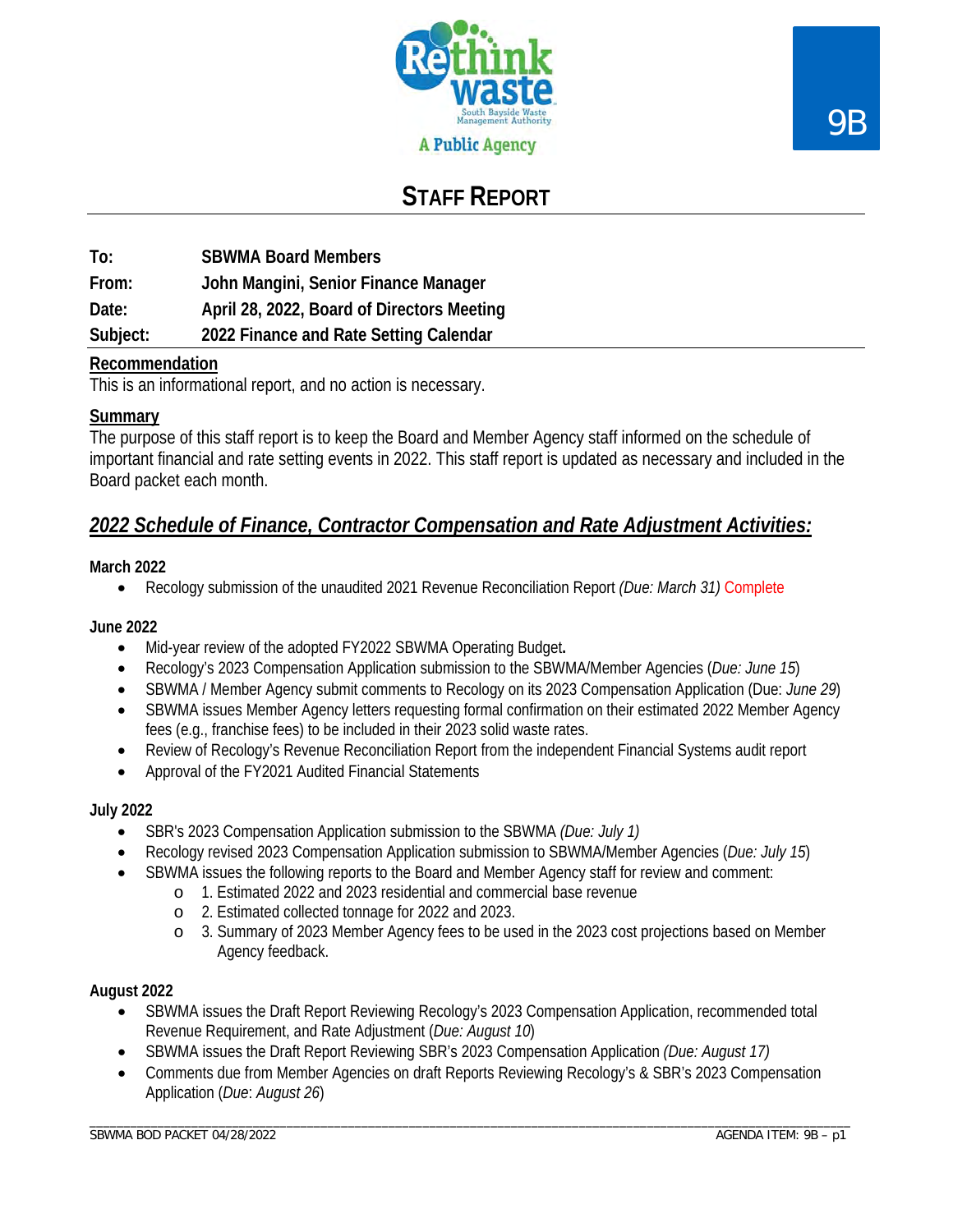

# **STAFF REPORT**

**To: SBWMA Board Members From: John Mangini, Senior Finance Manager Date: April 28, 2022, Board of Directors Meeting Subject: 2022 Finance and Rate Setting Calendar**

### **Recommendation**

This is an informational report, and no action is necessary.

#### **Summary**

The purpose of this staff report is to keep the Board and Member Agency staff informed on the schedule of important financial and rate setting events in 2022. This staff report is updated as necessary and included in the Board packet each month.

## *2022 Schedule of Finance, Contractor Compensation and Rate Adjustment Activities:*

#### **March 2022**

• Recology submission of the unaudited 2021 Revenue Reconciliation Report *(Due: March 31)* Complete

#### **June 2022**

- Mid-year review of the adopted FY2022 SBWMA Operating Budget**.**
- Recology's 2023 Compensation Application submission to the SBWMA/Member Agencies (*Due: June 15*)
- SBWMA / Member Agency submit comments to Recology on its 2023 Compensation Application (Due: *June 29*)
- SBWMA issues Member Agency letters requesting formal confirmation on their estimated 2022 Member Agency fees (e.g., franchise fees) to be included in their 2023 solid waste rates.
- Review of Recology's Revenue Reconciliation Report from the independent Financial Systems audit report
- Approval of the FY2021 Audited Financial Statements

#### **July 2022**

- SBR's 2023 Compensation Application submission to the SBWMA *(Due: July 1)*
- Recology revised 2023 Compensation Application submission to SBWMA/Member Agencies (*Due: July 15*)
- SBWMA issues the following reports to the Board and Member Agency staff for review and comment:
	- o 1. Estimated 2022 and 2023 residential and commercial base revenue
		- o 2. Estimated collected tonnage for 2022 and 2023.
		- o 3. Summary of 2023 Member Agency fees to be used in the 2023 cost projections based on Member Agency feedback.

#### **August 2022**

- SBWMA issues the Draft Report Reviewing Recology's 2023 Compensation Application, recommended total Revenue Requirement, and Rate Adjustment (*Due: August 10*)
- SBWMA issues the Draft Report Reviewing SBR's 2023 Compensation Application *(Due: August 17)*
- Comments due from Member Agencies on draft Reports Reviewing Recology's & SBR's 2023 Compensation Application (*Due*: *August 26*)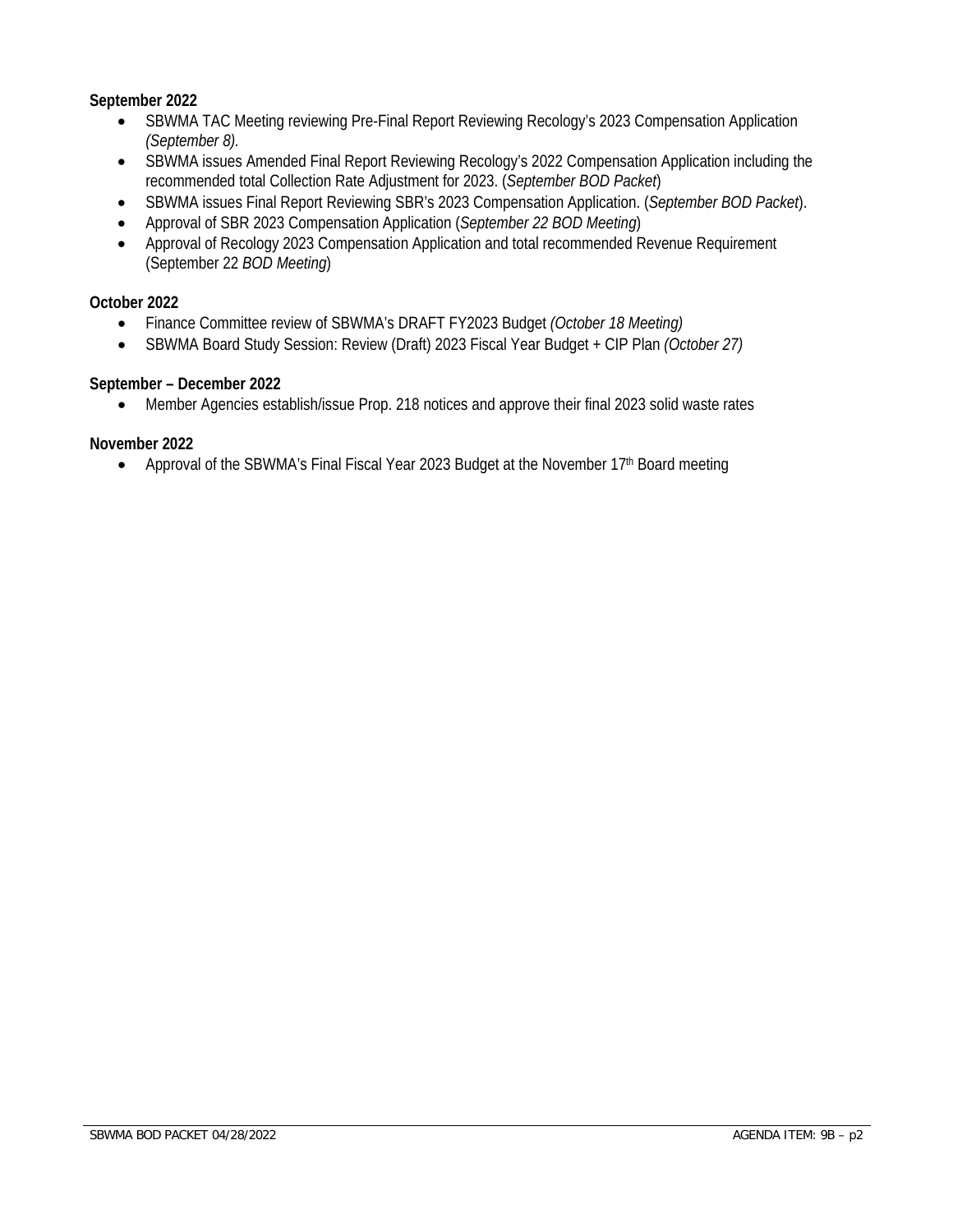#### **September 2022**

- SBWMA TAC Meeting reviewing Pre-Final Report Reviewing Recology's 2023 Compensation Application *(September 8).*
- SBWMA issues Amended Final Report Reviewing Recology's 2022 Compensation Application including the recommended total Collection Rate Adjustment for 2023. (*September BOD Packet*)
- SBWMA issues Final Report Reviewing SBR's 2023 Compensation Application. (*September BOD Packet*).
- Approval of SBR 2023 Compensation Application (*September 22 BOD Meeting*)
- Approval of Recology 2023 Compensation Application and total recommended Revenue Requirement (September 22 *BOD Meeting*)

#### **October 2022**

- Finance Committee review of SBWMA's DRAFT FY2023 Budget *(October 18 Meeting)*
- SBWMA Board Study Session: Review (Draft) 2023 Fiscal Year Budget + CIP Plan *(October 27)*

#### **September – December 2022**

• Member Agencies establish/issue Prop. 218 notices and approve their final 2023 solid waste rates

#### **November 2022**

• Approval of the SBWMA's Final Fiscal Year 2023 Budget at the November 17<sup>th</sup> Board meeting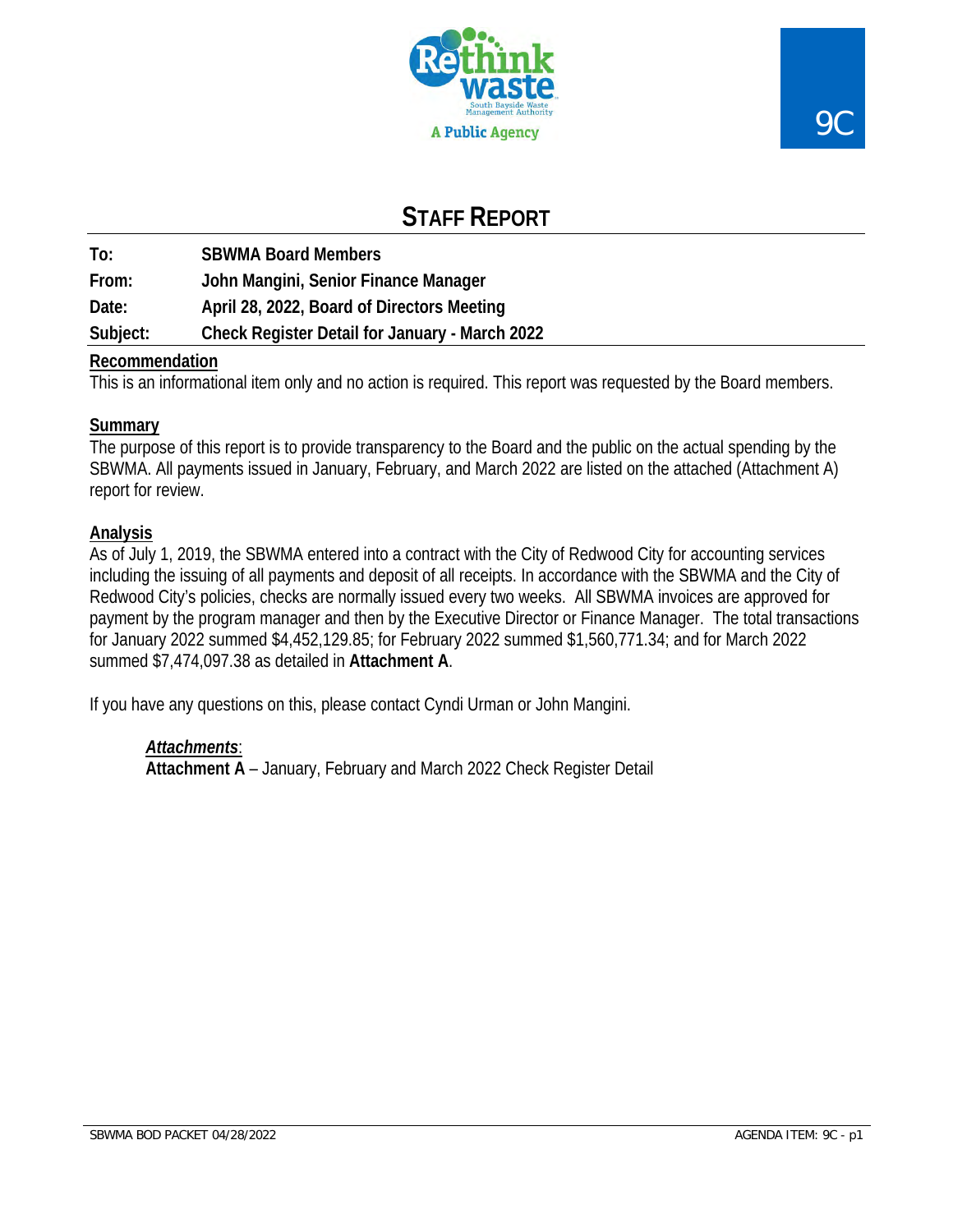

## **STAFF REPORT**

**To: SBWMA Board Members From: John Mangini, Senior Finance Manager Date: April 28, 2022, Board of Directors Meeting Subject: Check Register Detail for January - March 2022** 

## **Recommendation**

This is an informational item only and no action is required. This report was requested by the Board members.

## **Summary**

The purpose of this report is to provide transparency to the Board and the public on the actual spending by the SBWMA. All payments issued in January, February, and March 2022 are listed on the attached (Attachment A) report for review.

## **Analysis**

As of July 1, 2019, the SBWMA entered into a contract with the City of Redwood City for accounting services including the issuing of all payments and deposit of all receipts. In accordance with the SBWMA and the City of Redwood City's policies, checks are normally issued every two weeks. All SBWMA invoices are approved for payment by the program manager and then by the Executive Director or Finance Manager. The total transactions for January 2022 summed \$4,452,129.85; for February 2022 summed \$1,560,771.34; and for March 2022 summed \$7,474,097.38 as detailed in **Attachment A**.

If you have any questions on this, please contact Cyndi Urman or John Mangini.

## *Attachments*:

**Attachment A** – January, February and March 2022 Check Register Detail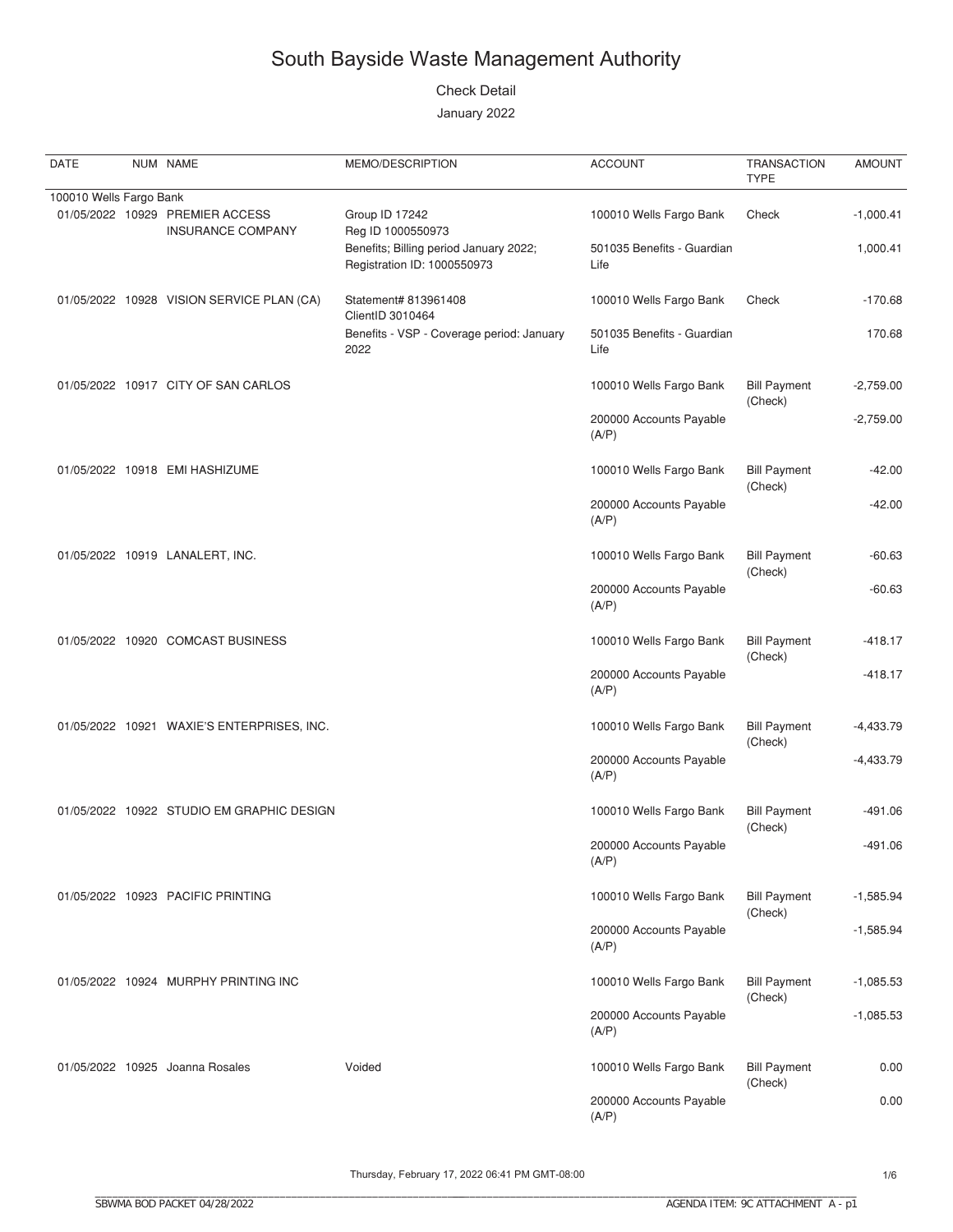#### **Check Detail**

January 2022

| DATE                    | NUM NAME                                             | MEMO/DESCRIPTION                                                      | <b>ACCOUNT</b>                     | <b>TRANSACTION</b><br><b>TYPE</b> | <b>AMOUNT</b> |
|-------------------------|------------------------------------------------------|-----------------------------------------------------------------------|------------------------------------|-----------------------------------|---------------|
| 100010 Wells Fargo Bank |                                                      |                                                                       |                                    |                                   |               |
|                         | 01/05/2022 10929 PREMIER ACCESS<br>INSURANCE COMPANY | Group ID 17242<br>Reg ID 1000550973                                   | 100010 Wells Fargo Bank            | Check                             | $-1,000.41$   |
|                         |                                                      | Benefits; Billing period January 2022;<br>Registration ID: 1000550973 | 501035 Benefits - Guardian<br>Life |                                   | 1,000.41      |
|                         | 01/05/2022 10928 VISION SERVICE PLAN (CA)            | Statement# 813961408<br>ClientID 3010464                              | 100010 Wells Fargo Bank            | Check                             | $-170.68$     |
|                         |                                                      | Benefits - VSP - Coverage period: January<br>2022                     | 501035 Benefits - Guardian<br>Life |                                   | 170.68        |
|                         | 01/05/2022 10917 CITY OF SAN CARLOS                  |                                                                       | 100010 Wells Fargo Bank            | <b>Bill Payment</b><br>(Check)    | $-2,759.00$   |
|                         |                                                      |                                                                       | 200000 Accounts Payable<br>(A/P)   |                                   | $-2,759.00$   |
|                         | 01/05/2022 10918 EMI HASHIZUME                       |                                                                       | 100010 Wells Fargo Bank            | <b>Bill Payment</b><br>(Check)    | $-42.00$      |
|                         |                                                      |                                                                       | 200000 Accounts Payable<br>(A/P)   |                                   | $-42.00$      |
|                         | 01/05/2022 10919 LANALERT, INC.                      |                                                                       | 100010 Wells Fargo Bank            | <b>Bill Payment</b><br>(Check)    | $-60.63$      |
|                         |                                                      |                                                                       | 200000 Accounts Payable<br>(A/P)   |                                   | $-60.63$      |
|                         | 01/05/2022 10920 COMCAST BUSINESS                    |                                                                       | 100010 Wells Fargo Bank            | <b>Bill Payment</b><br>(Check)    | $-418.17$     |
|                         |                                                      |                                                                       | 200000 Accounts Payable<br>(A/P)   |                                   | $-418.17$     |
|                         | 01/05/2022 10921 WAXIE'S ENTERPRISES, INC.           |                                                                       | 100010 Wells Fargo Bank            | <b>Bill Payment</b><br>(Check)    | $-4,433.79$   |
|                         |                                                      |                                                                       | 200000 Accounts Payable<br>(A/P)   |                                   | $-4,433.79$   |
|                         | 01/05/2022 10922 STUDIO EM GRAPHIC DESIGN            |                                                                       | 100010 Wells Fargo Bank            | <b>Bill Payment</b><br>(Check)    | $-491.06$     |
|                         |                                                      |                                                                       | 200000 Accounts Payable<br>(A/P)   |                                   | $-491.06$     |
|                         | 01/05/2022 10923 PACIFIC PRINTING                    |                                                                       | 100010 Wells Fargo Bank            | <b>Bill Payment</b><br>(Check)    | $-1,585.94$   |
|                         |                                                      |                                                                       | 200000 Accounts Payable<br>(A/P)   |                                   | $-1,585.94$   |
|                         | 01/05/2022 10924 MURPHY PRINTING INC                 |                                                                       | 100010 Wells Fargo Bank            | <b>Bill Payment</b><br>(Check)    | $-1,085.53$   |
|                         |                                                      |                                                                       | 200000 Accounts Payable<br>(A/P)   |                                   | $-1,085.53$   |
|                         | 01/05/2022 10925 Joanna Rosales                      | Voided                                                                | 100010 Wells Fargo Bank            | <b>Bill Payment</b><br>(Check)    | 0.00          |
|                         |                                                      |                                                                       | 200000 Accounts Payable<br>(A/P)   |                                   | 0.00          |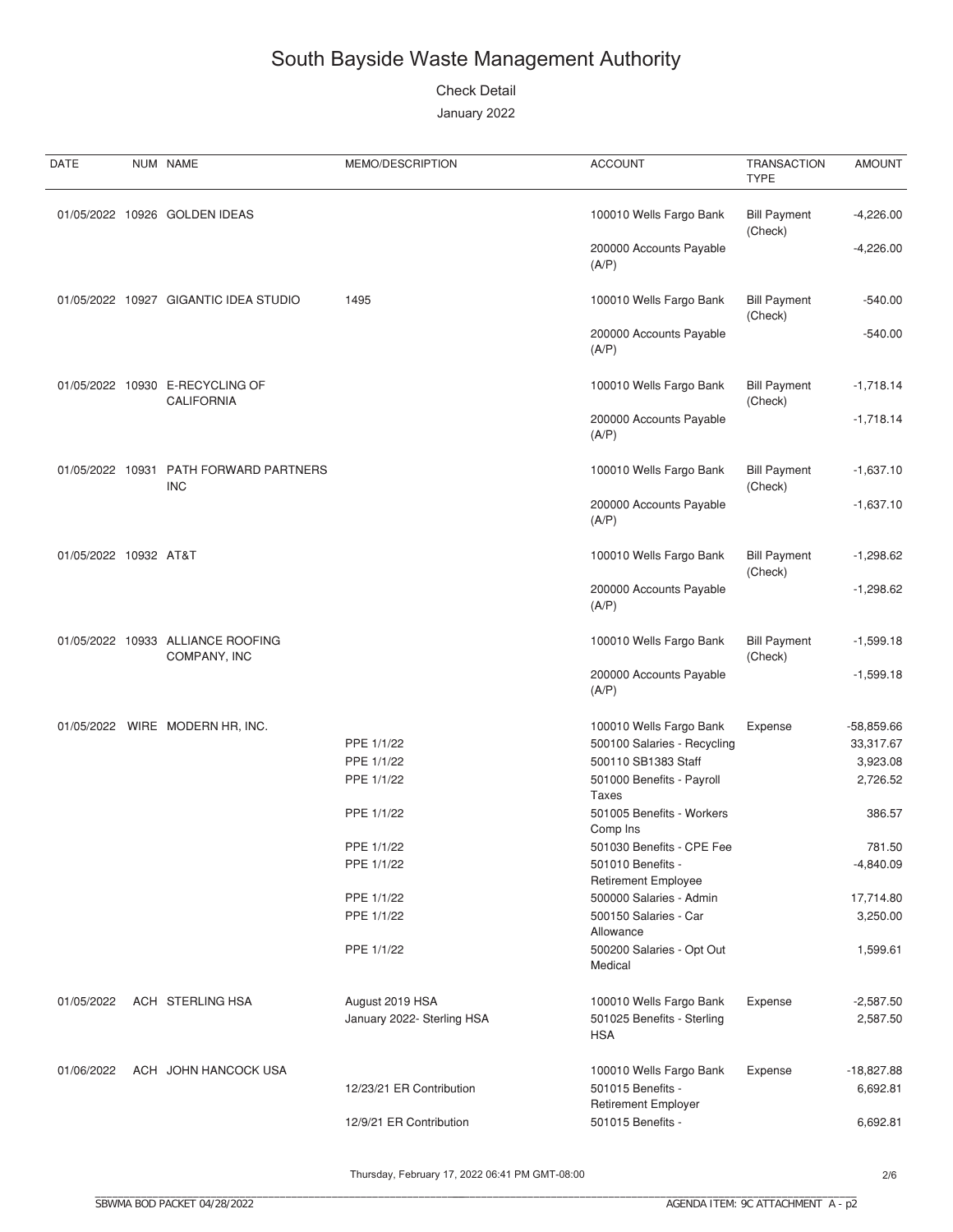**Check Detail** 

January 2022

| DATE                  | NUM NAME                                             | MEMO/DESCRIPTION           | <b>ACCOUNT</b>                                  | <b>TRANSACTION</b><br><b>TYPE</b> | <b>AMOUNT</b> |
|-----------------------|------------------------------------------------------|----------------------------|-------------------------------------------------|-----------------------------------|---------------|
|                       | 01/05/2022 10926 GOLDEN IDEAS                        |                            | 100010 Wells Fargo Bank                         | <b>Bill Payment</b><br>(Check)    | $-4,226.00$   |
|                       |                                                      |                            | 200000 Accounts Payable<br>(A/P)                |                                   | $-4,226.00$   |
|                       | 01/05/2022 10927 GIGANTIC IDEA STUDIO                | 1495                       | 100010 Wells Fargo Bank                         | <b>Bill Payment</b><br>(Check)    | $-540.00$     |
|                       |                                                      |                            | 200000 Accounts Payable<br>(A/P)                |                                   | $-540.00$     |
|                       | 01/05/2022 10930 E-RECYCLING OF<br><b>CALIFORNIA</b> |                            | 100010 Wells Fargo Bank                         | <b>Bill Payment</b><br>(Check)    | $-1,718.14$   |
|                       |                                                      |                            | 200000 Accounts Payable<br>(A/P)                |                                   | $-1,718.14$   |
| 01/05/2022 10931      | <b>PATH FORWARD PARTNERS</b><br><b>INC</b>           |                            | 100010 Wells Fargo Bank                         | <b>Bill Payment</b><br>(Check)    | $-1,637.10$   |
|                       |                                                      |                            | 200000 Accounts Payable<br>(A/P)                |                                   | $-1,637.10$   |
| 01/05/2022 10932 AT&T |                                                      |                            | 100010 Wells Fargo Bank                         | <b>Bill Payment</b><br>(Check)    | $-1,298.62$   |
|                       |                                                      |                            | 200000 Accounts Payable<br>(A/P)                |                                   | $-1,298.62$   |
|                       | 01/05/2022 10933 ALLIANCE ROOFING<br>COMPANY, INC    |                            | 100010 Wells Fargo Bank                         | <b>Bill Payment</b><br>(Check)    | $-1,599.18$   |
|                       |                                                      |                            | 200000 Accounts Payable<br>(A/P)                |                                   | $-1,599.18$   |
|                       | 01/05/2022 WIRE MODERN HR, INC.                      |                            | 100010 Wells Fargo Bank                         | Expense                           | $-58,859.66$  |
|                       |                                                      | PPE 1/1/22                 | 500100 Salaries - Recycling                     |                                   | 33,317.67     |
|                       |                                                      | PPE 1/1/22                 | 500110 SB1383 Staff                             |                                   | 3,923.08      |
|                       |                                                      | PPE 1/1/22                 | 501000 Benefits - Payroll<br><b>Taxes</b>       |                                   | 2,726.52      |
|                       |                                                      | PPE 1/1/22                 | 501005 Benefits - Workers<br>Comp Ins           |                                   | 386.57        |
|                       |                                                      | PPE 1/1/22                 | 501030 Benefits - CPE Fee                       |                                   | 781.50        |
|                       |                                                      | PPE 1/1/22                 | 501010 Benefits -<br><b>Retirement Employee</b> |                                   | $-4,840.09$   |
|                       |                                                      | PPE 1/1/22                 | 500000 Salaries - Admin                         |                                   | 17,714.80     |
|                       |                                                      | PPE 1/1/22                 | 500150 Salaries - Car<br>Allowance              |                                   | 3,250.00      |
|                       |                                                      | PPE 1/1/22                 | 500200 Salaries - Opt Out<br>Medical            |                                   | 1,599.61      |
| 01/05/2022            | ACH STERLING HSA                                     | August 2019 HSA            | 100010 Wells Fargo Bank                         | Expense                           | $-2,587.50$   |
|                       |                                                      | January 2022- Sterling HSA | 501025 Benefits - Sterling<br><b>HSA</b>        |                                   | 2,587.50      |
| 01/06/2022            | ACH JOHN HANCOCK USA                                 |                            | 100010 Wells Fargo Bank                         | Expense                           | $-18,827.88$  |
|                       |                                                      | 12/23/21 ER Contribution   | 501015 Benefits -<br><b>Retirement Employer</b> |                                   | 6,692.81      |
|                       |                                                      | 12/9/21 ER Contribution    | 501015 Benefits -                               |                                   | 6,692.81      |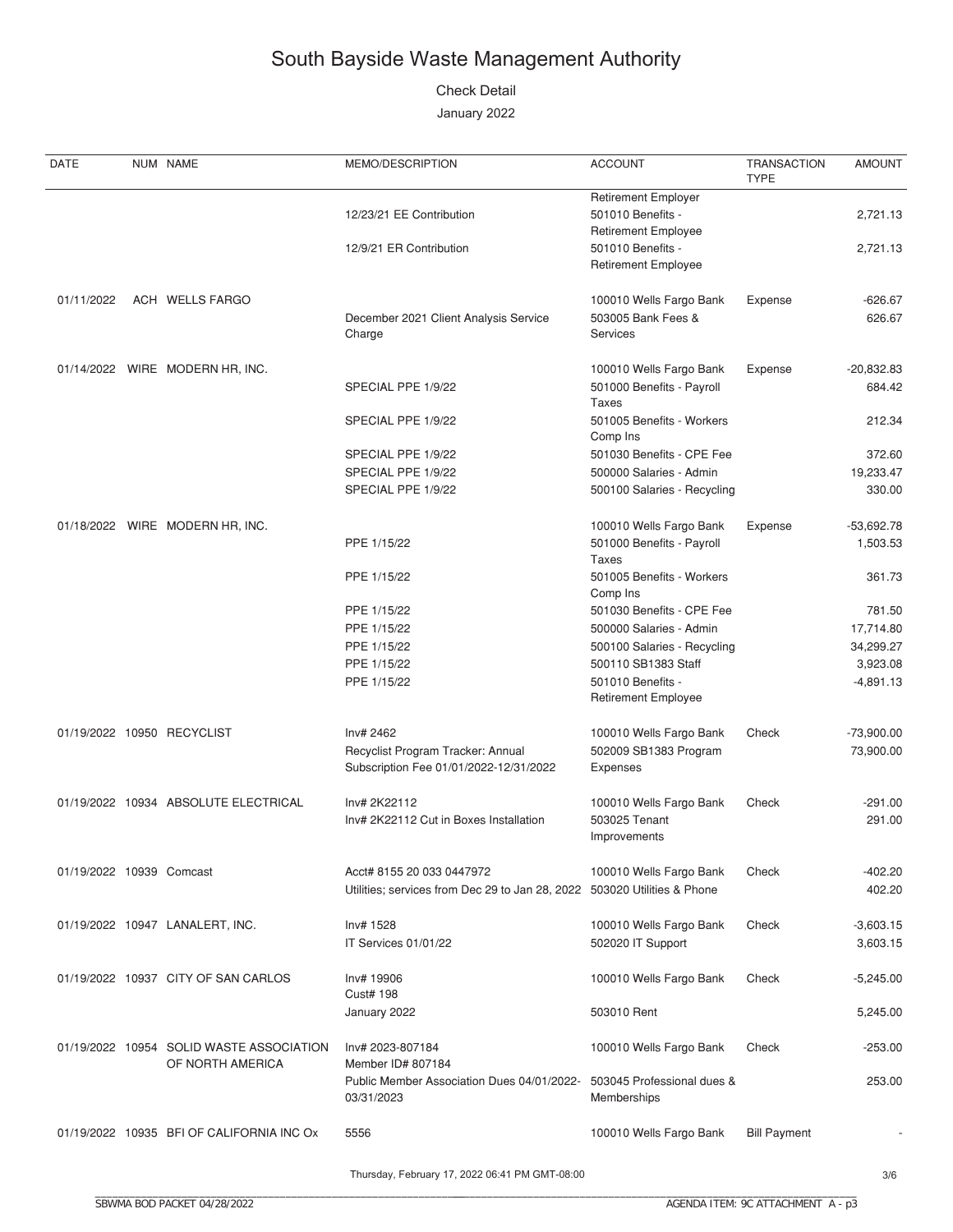**Check Detail** 

January 2022

| DATE                     | NUM NAME                                                     | MEMO/DESCRIPTION                                                         | <b>ACCOUNT</b>                                  | <b>TRANSACTION</b><br><b>TYPE</b> | <b>AMOUNT</b>       |
|--------------------------|--------------------------------------------------------------|--------------------------------------------------------------------------|-------------------------------------------------|-----------------------------------|---------------------|
|                          |                                                              |                                                                          | <b>Retirement Employer</b>                      |                                   |                     |
|                          |                                                              | 12/23/21 EE Contribution                                                 | 501010 Benefits -                               |                                   | 2,721.13            |
|                          |                                                              |                                                                          | <b>Retirement Employee</b>                      |                                   |                     |
|                          |                                                              | 12/9/21 ER Contribution                                                  | 501010 Benefits -<br><b>Retirement Employee</b> |                                   | 2,721.13            |
| 01/11/2022               | ACH WELLS FARGO                                              |                                                                          |                                                 |                                   |                     |
|                          |                                                              | December 2021 Client Analysis Service                                    | 100010 Wells Fargo Bank<br>503005 Bank Fees &   | Expense                           | $-626.67$<br>626.67 |
|                          |                                                              | Charge                                                                   | <b>Services</b>                                 |                                   |                     |
|                          | 01/14/2022 WIRE MODERN HR, INC.                              |                                                                          | 100010 Wells Fargo Bank                         | Expense                           | $-20,832.83$        |
|                          |                                                              | SPECIAL PPE 1/9/22                                                       | 501000 Benefits - Payroll                       |                                   | 684.42              |
|                          |                                                              |                                                                          | Taxes                                           |                                   |                     |
|                          |                                                              | SPECIAL PPE 1/9/22                                                       | 501005 Benefits - Workers                       |                                   | 212.34              |
|                          |                                                              |                                                                          | Comp Ins                                        |                                   |                     |
|                          |                                                              | SPECIAL PPE 1/9/22                                                       | 501030 Benefits - CPE Fee                       |                                   | 372.60              |
|                          |                                                              | SPECIAL PPE 1/9/22                                                       | 500000 Salaries - Admin                         |                                   | 19,233.47           |
|                          |                                                              | SPECIAL PPE 1/9/22                                                       | 500100 Salaries - Recycling                     |                                   | 330.00              |
|                          | 01/18/2022 WIRE MODERN HR, INC.                              |                                                                          | 100010 Wells Fargo Bank                         | Expense                           | $-53,692.78$        |
|                          |                                                              | PPE 1/15/22                                                              | 501000 Benefits - Payroll<br>Taxes              |                                   | 1,503.53            |
|                          |                                                              | PPE 1/15/22                                                              | 501005 Benefits - Workers                       |                                   | 361.73              |
|                          |                                                              |                                                                          | Comp Ins                                        |                                   |                     |
|                          |                                                              | PPE 1/15/22                                                              | 501030 Benefits - CPE Fee                       |                                   | 781.50              |
|                          |                                                              | PPE 1/15/22                                                              | 500000 Salaries - Admin                         |                                   | 17,714.80           |
|                          |                                                              | PPE 1/15/22                                                              | 500100 Salaries - Recycling                     |                                   | 34,299.27           |
|                          |                                                              | PPE 1/15/22                                                              | 500110 SB1383 Staff                             |                                   | 3,923.08            |
|                          |                                                              | PPE 1/15/22                                                              | 501010 Benefits -<br><b>Retirement Employee</b> |                                   | $-4,891.13$         |
|                          | 01/19/2022 10950 RECYCLIST                                   | Inv# 2462                                                                | 100010 Wells Fargo Bank                         | Check                             | $-73,900.00$        |
|                          |                                                              | Recyclist Program Tracker: Annual                                        | 502009 SB1383 Program                           |                                   | 73,900.00           |
|                          |                                                              | Subscription Fee 01/01/2022-12/31/2022                                   | Expenses                                        |                                   |                     |
|                          | 01/19/2022 10934 ABSOLUTE ELECTRICAL                         | Inv# 2K22112                                                             | 100010 Wells Fargo Bank                         | Check                             | $-291.00$           |
|                          |                                                              | Inv# 2K22112 Cut in Boxes Installation                                   | 503025 Tenant                                   |                                   | 291.00              |
|                          |                                                              |                                                                          | Improvements                                    |                                   |                     |
|                          |                                                              |                                                                          |                                                 |                                   |                     |
| 01/19/2022 10939 Comcast |                                                              | Acct# 8155 20 033 0447972                                                | 100010 Wells Fargo Bank                         | Check                             | $-402.20$           |
|                          |                                                              | Utilities; services from Dec 29 to Jan 28, 2022 503020 Utilities & Phone |                                                 |                                   | 402.20              |
|                          | 01/19/2022 10947 LANALERT, INC.                              | Inv# 1528                                                                | 100010 Wells Fargo Bank                         | Check                             | $-3,603.15$         |
|                          |                                                              | IT Services 01/01/22                                                     | 502020 IT Support                               |                                   | 3,603.15            |
|                          |                                                              |                                                                          |                                                 |                                   |                     |
|                          | 01/19/2022 10937 CITY OF SAN CARLOS                          | Inv# 19906<br><b>Cust# 198</b>                                           | 100010 Wells Fargo Bank                         | Check                             | $-5,245.00$         |
|                          |                                                              | January 2022                                                             | 503010 Rent                                     |                                   | 5,245.00            |
|                          |                                                              |                                                                          |                                                 |                                   |                     |
|                          | 01/19/2022 10954 SOLID WASTE ASSOCIATION<br>OF NORTH AMERICA | Inv# 2023-807184<br>Member ID# 807184                                    | 100010 Wells Fargo Bank                         | Check                             | $-253.00$           |
|                          |                                                              | Public Member Association Dues 04/01/2022- 503045 Professional dues &    |                                                 |                                   | 253.00              |
|                          |                                                              | 03/31/2023                                                               | Memberships                                     |                                   |                     |
|                          |                                                              |                                                                          |                                                 |                                   |                     |
|                          | 01/19/2022 10935 BFI OF CALIFORNIA INC Ox                    | 5556                                                                     | 100010 Wells Fargo Bank                         | <b>Bill Payment</b>               |                     |
|                          |                                                              |                                                                          |                                                 |                                   |                     |

Thursday, February 17, 2022 06:41 PM GMT-08:00

 $3/6$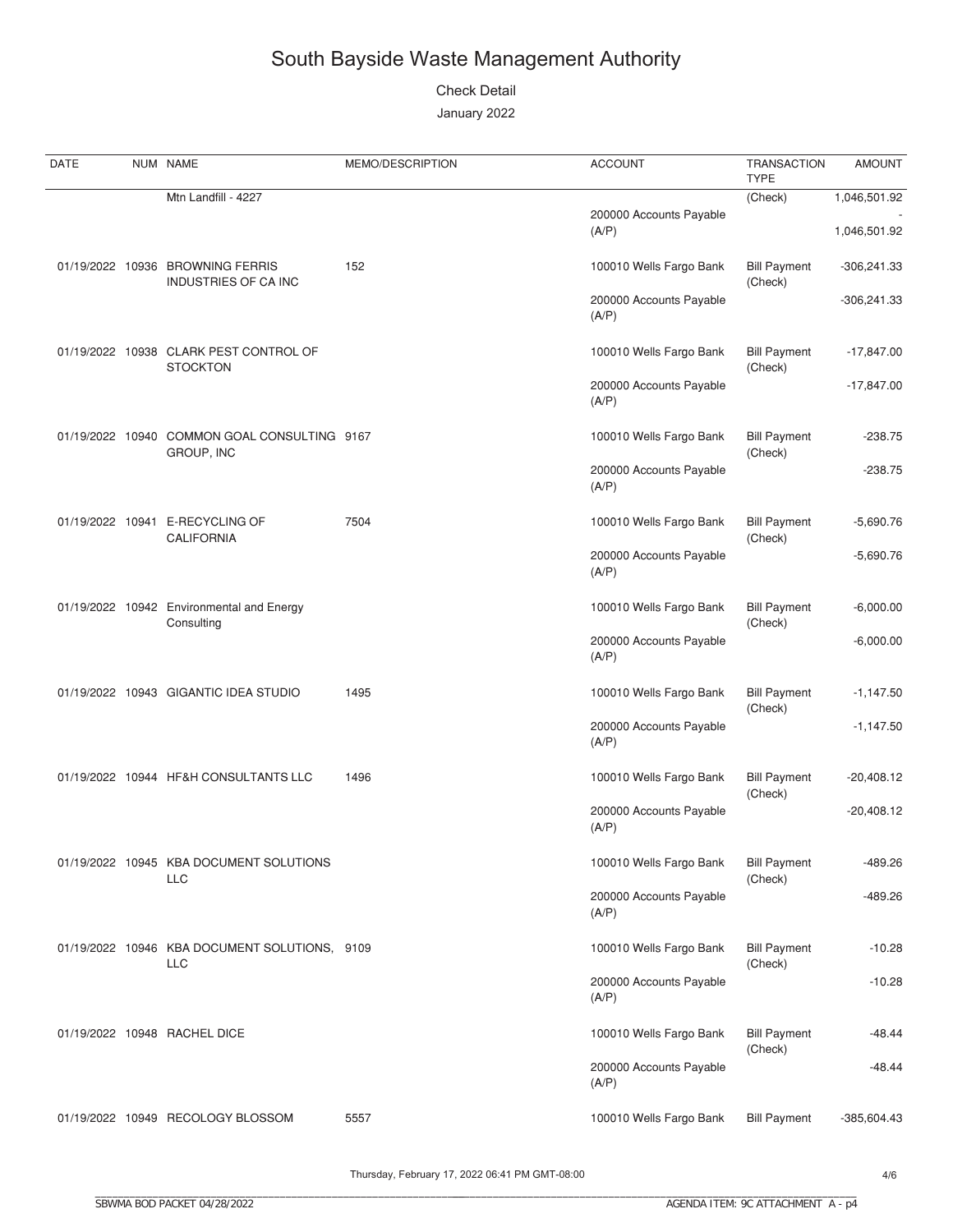**Check Detail** 

January 2022

| DATE | NUM NAME                                                    | MEMO/DESCRIPTION | <b>ACCOUNT</b>                   | <b>TRANSACTION</b><br><b>TYPE</b> | <b>AMOUNT</b> |
|------|-------------------------------------------------------------|------------------|----------------------------------|-----------------------------------|---------------|
|      | Mtn Landfill - 4227                                         |                  |                                  | (Check)                           | 1,046,501.92  |
|      |                                                             |                  | 200000 Accounts Payable<br>(A/P) |                                   | 1,046,501.92  |
|      | 01/19/2022 10936 BROWNING FERRIS<br>INDUSTRIES OF CA INC    | 152              | 100010 Wells Fargo Bank          | <b>Bill Payment</b><br>(Check)    | $-306,241.33$ |
|      |                                                             |                  | 200000 Accounts Payable<br>(A/P) |                                   | $-306,241.33$ |
|      | 01/19/2022 10938 CLARK PEST CONTROL OF<br><b>STOCKTON</b>   |                  | 100010 Wells Fargo Bank          | <b>Bill Payment</b><br>(Check)    | $-17,847.00$  |
|      |                                                             |                  | 200000 Accounts Payable<br>(A/P) |                                   | $-17,847.00$  |
|      | 01/19/2022 10940 COMMON GOAL CONSULTING 9167<br>GROUP, INC  |                  | 100010 Wells Fargo Bank          | <b>Bill Payment</b><br>(Check)    | $-238.75$     |
|      |                                                             |                  | 200000 Accounts Payable<br>(A/P) |                                   | $-238.75$     |
|      | 01/19/2022 10941 E-RECYCLING OF<br><b>CALIFORNIA</b>        | 7504             | 100010 Wells Fargo Bank          | <b>Bill Payment</b><br>(Check)    | $-5,690.76$   |
|      |                                                             |                  | 200000 Accounts Payable<br>(A/P) |                                   | $-5,690.76$   |
|      | 01/19/2022 10942 Environmental and Energy<br>Consulting     |                  | 100010 Wells Fargo Bank          | <b>Bill Payment</b><br>(Check)    | $-6,000.00$   |
|      |                                                             |                  | 200000 Accounts Payable<br>(A/P) |                                   | $-6,000.00$   |
|      | 01/19/2022 10943 GIGANTIC IDEA STUDIO                       | 1495             | 100010 Wells Fargo Bank          | <b>Bill Payment</b><br>(Check)    | $-1,147.50$   |
|      |                                                             |                  | 200000 Accounts Payable<br>(A/P) |                                   | $-1,147.50$   |
|      | 01/19/2022 10944 HF&H CONSULTANTS LLC                       | 1496             | 100010 Wells Fargo Bank          | <b>Bill Payment</b><br>(Check)    | $-20,408.12$  |
|      |                                                             |                  | 200000 Accounts Payable<br>(A/P) |                                   | $-20,408.12$  |
|      | 01/19/2022 10945 KBA DOCUMENT SOLUTIONS<br><b>LLC</b>       |                  | 100010 Wells Fargo Bank          | <b>Bill Payment</b><br>(Check)    | -489.26       |
|      |                                                             |                  | 200000 Accounts Payable<br>(A/P) |                                   | -489.26       |
|      | 01/19/2022 10946 KBA DOCUMENT SOLUTIONS, 9109<br><b>LLC</b> |                  | 100010 Wells Fargo Bank          | <b>Bill Payment</b><br>(Check)    | $-10.28$      |
|      |                                                             |                  | 200000 Accounts Payable<br>(A/P) |                                   | $-10.28$      |
|      | 01/19/2022 10948 RACHEL DICE                                |                  | 100010 Wells Fargo Bank          | <b>Bill Payment</b><br>(Check)    | -48.44        |
|      |                                                             |                  | 200000 Accounts Payable<br>(A/P) |                                   | $-48.44$      |
|      | 01/19/2022 10949 RECOLOGY BLOSSOM                           | 5557             | 100010 Wells Fargo Bank          | <b>Bill Payment</b>               | $-385,604.43$ |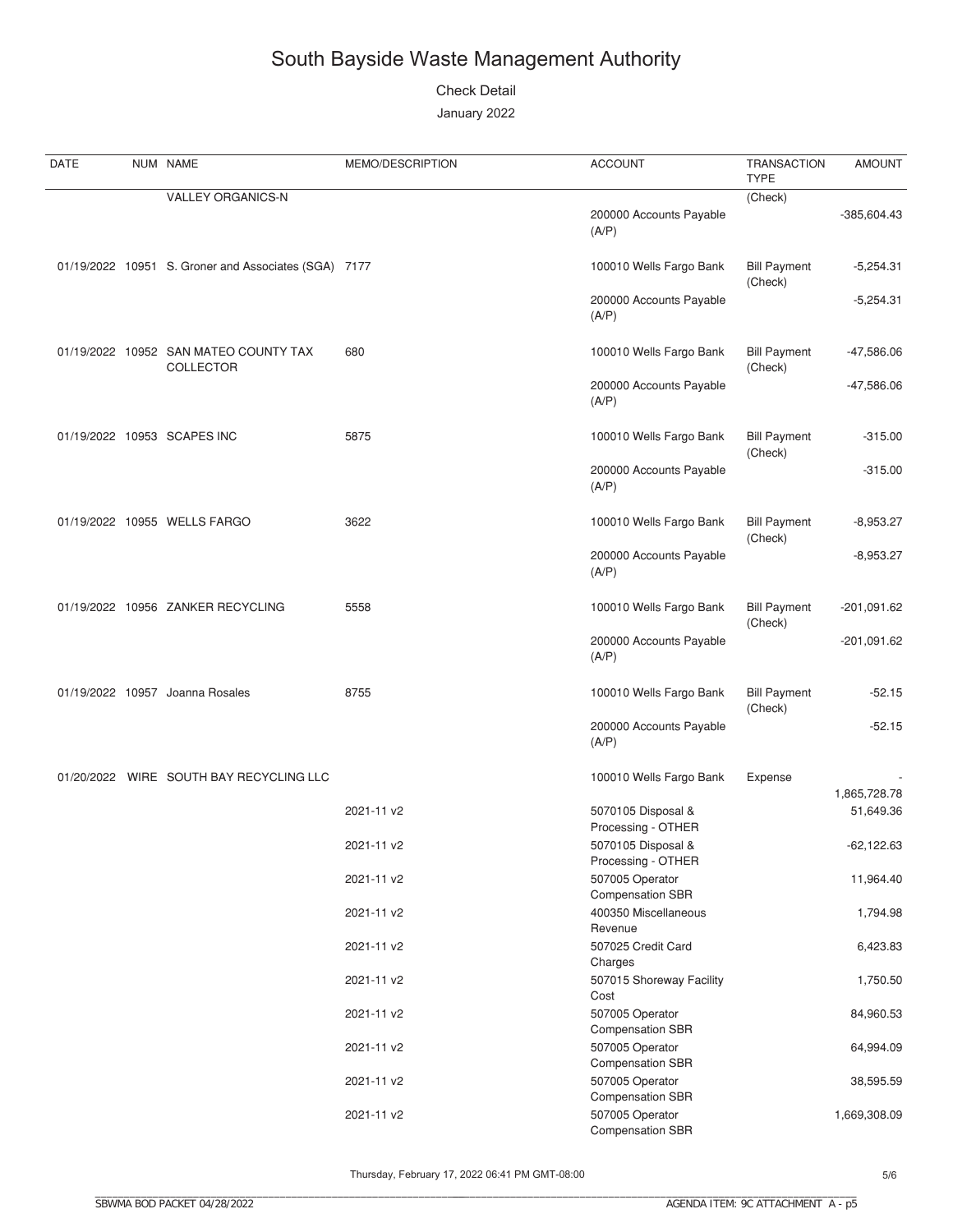**Check Detail** 

January 2022

| DATE | NUM NAME                                                  | MEMO/DESCRIPTION | <b>ACCOUNT</b>                             | <b>TRANSACTION</b><br><b>TYPE</b> | <b>AMOUNT</b> |
|------|-----------------------------------------------------------|------------------|--------------------------------------------|-----------------------------------|---------------|
|      | <b>VALLEY ORGANICS-N</b>                                  |                  |                                            | (Check)                           |               |
|      |                                                           |                  | 200000 Accounts Payable<br>(A/P)           |                                   | $-385,604.43$ |
|      | 01/19/2022 10951 S. Groner and Associates (SGA) 7177      |                  | 100010 Wells Fargo Bank                    | <b>Bill Payment</b><br>(Check)    | $-5,254.31$   |
|      |                                                           |                  | 200000 Accounts Payable<br>(A/P)           |                                   | $-5,254.31$   |
|      | 01/19/2022 10952 SAN MATEO COUNTY TAX<br><b>COLLECTOR</b> | 680              | 100010 Wells Fargo Bank                    | <b>Bill Payment</b><br>(Check)    | -47,586.06    |
|      |                                                           |                  | 200000 Accounts Payable<br>(A/P)           |                                   | $-47,586.06$  |
|      | 01/19/2022 10953 SCAPES INC                               | 5875             | 100010 Wells Fargo Bank                    | <b>Bill Payment</b><br>(Check)    | $-315.00$     |
|      |                                                           |                  | 200000 Accounts Payable<br>(A/P)           |                                   | $-315.00$     |
|      | 01/19/2022 10955 WELLS FARGO                              | 3622             | 100010 Wells Fargo Bank                    | <b>Bill Payment</b><br>(Check)    | $-8,953.27$   |
|      |                                                           |                  | 200000 Accounts Payable<br>(A/P)           |                                   | $-8,953.27$   |
|      | 01/19/2022 10956 ZANKER RECYCLING                         | 5558             | 100010 Wells Fargo Bank                    | <b>Bill Payment</b><br>(Check)    | $-201,091.62$ |
|      |                                                           |                  | 200000 Accounts Payable<br>(A/P)           |                                   | $-201,091.62$ |
|      | 01/19/2022 10957 Joanna Rosales                           | 8755             | 100010 Wells Fargo Bank                    | <b>Bill Payment</b><br>(Check)    | $-52.15$      |
|      |                                                           |                  | 200000 Accounts Payable<br>(A/P)           |                                   | $-52.15$      |
|      | 01/20/2022 WIRE SOUTH BAY RECYCLING LLC                   |                  | 100010 Wells Fargo Bank                    | Expense                           | 1,865,728.78  |
|      |                                                           | 2021-11 v2       | 5070105 Disposal &<br>Processing - OTHER   |                                   | 51,649.36     |
|      |                                                           | 2021-11 v2       | 5070105 Disposal &<br>Processing - OTHER   |                                   | $-62,122.63$  |
|      |                                                           | 2021-11 v2       | 507005 Operator<br><b>Compensation SBR</b> |                                   | 11,964.40     |
|      |                                                           | 2021-11 v2       | 400350 Miscellaneous<br>Revenue            |                                   | 1,794.98      |
|      |                                                           | 2021-11 v2       | 507025 Credit Card<br>Charges              |                                   | 6,423.83      |
|      |                                                           | 2021-11 v2       | 507015 Shoreway Facility<br>Cost           |                                   | 1,750.50      |
|      |                                                           | 2021-11 v2       | 507005 Operator<br><b>Compensation SBR</b> |                                   | 84,960.53     |
|      |                                                           | 2021-11 v2       | 507005 Operator<br><b>Compensation SBR</b> |                                   | 64,994.09     |
|      |                                                           | 2021-11 v2       | 507005 Operator<br><b>Compensation SBR</b> |                                   | 38,595.59     |
|      |                                                           | 2021-11 v2       | 507005 Operator<br>Compensation SBR        |                                   | 1,669,308.09  |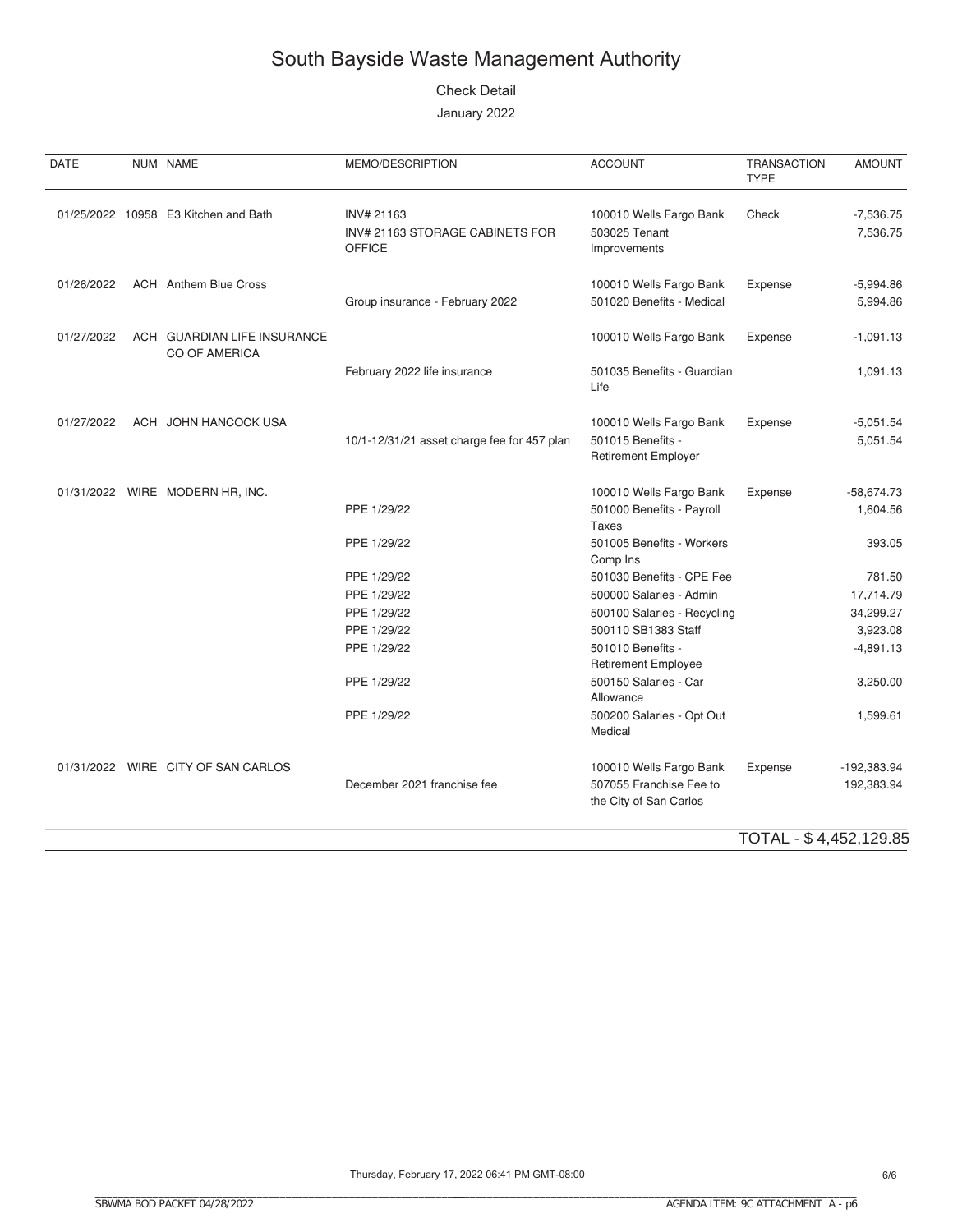**Check Detail** 

January 2022

| NUM NAME                                            | MEMO/DESCRIPTION                                               | <b>ACCOUNT</b>                                                               | <b>TRANSACTION</b><br><b>TYPE</b> | <b>AMOUNT</b>               |
|-----------------------------------------------------|----------------------------------------------------------------|------------------------------------------------------------------------------|-----------------------------------|-----------------------------|
| 01/25/2022 10958 E3 Kitchen and Bath                | INV# 21163<br>INV# 21163 STORAGE CABINETS FOR<br><b>OFFICE</b> | 100010 Wells Fargo Bank<br>503025 Tenant<br>Improvements                     | Check                             | $-7,536.75$<br>7,536.75     |
| <b>ACH</b> Anthem Blue Cross                        | Group insurance - February 2022                                | 100010 Wells Fargo Bank<br>501020 Benefits - Medical                         | Expense                           | $-5,994.86$<br>5,994.86     |
| ACH GUARDIAN LIFE INSURANCE<br><b>CO OF AMERICA</b> |                                                                | 100010 Wells Fargo Bank                                                      | Expense                           | $-1,091.13$                 |
|                                                     | February 2022 life insurance                                   | 501035 Benefits - Guardian<br>Life                                           |                                   | 1,091.13                    |
| ACH JOHN HANCOCK USA                                |                                                                | 100010 Wells Fargo Bank<br>501015 Benefits -<br><b>Retirement Employer</b>   | Expense                           | $-5,051.54$<br>5,051.54     |
| 01/31/2022 WIRE MODERN HR, INC.                     | PPE 1/29/22                                                    | 100010 Wells Fargo Bank<br>501000 Benefits - Payroll                         | Expense                           | $-58,674.73$<br>1,604.56    |
|                                                     | PPE 1/29/22                                                    | 501005 Benefits - Workers<br>Comp Ins                                        |                                   | 393.05                      |
|                                                     | PPE 1/29/22                                                    | 501030 Benefits - CPE Fee                                                    |                                   | 781.50                      |
|                                                     | PPE 1/29/22                                                    | 500000 Salaries - Admin                                                      |                                   | 17,714.79                   |
|                                                     | PPE 1/29/22                                                    | 500100 Salaries - Recycling                                                  |                                   | 34,299.27                   |
|                                                     | PPE 1/29/22                                                    | 500110 SB1383 Staff                                                          |                                   | 3,923.08                    |
|                                                     | PPE 1/29/22                                                    | 501010 Benefits -<br><b>Retirement Employee</b>                              |                                   | $-4,891.13$                 |
|                                                     | PPE 1/29/22                                                    | 500150 Salaries - Car<br>Allowance                                           |                                   | 3,250.00                    |
|                                                     | PPE 1/29/22                                                    | 500200 Salaries - Opt Out<br>Medical                                         |                                   | 1,599.61                    |
| 01/31/2022 WIRE CITY OF SAN CARLOS                  | December 2021 franchise fee                                    | 100010 Wells Fargo Bank<br>507055 Franchise Fee to<br>the City of San Carlos | Expense                           | $-192,383.94$<br>192,383.94 |
|                                                     |                                                                | 10/1-12/31/21 asset charge fee for 457 plan                                  | <b>Taxes</b>                      |                             |

TOTAL - \$ 4,452,129.85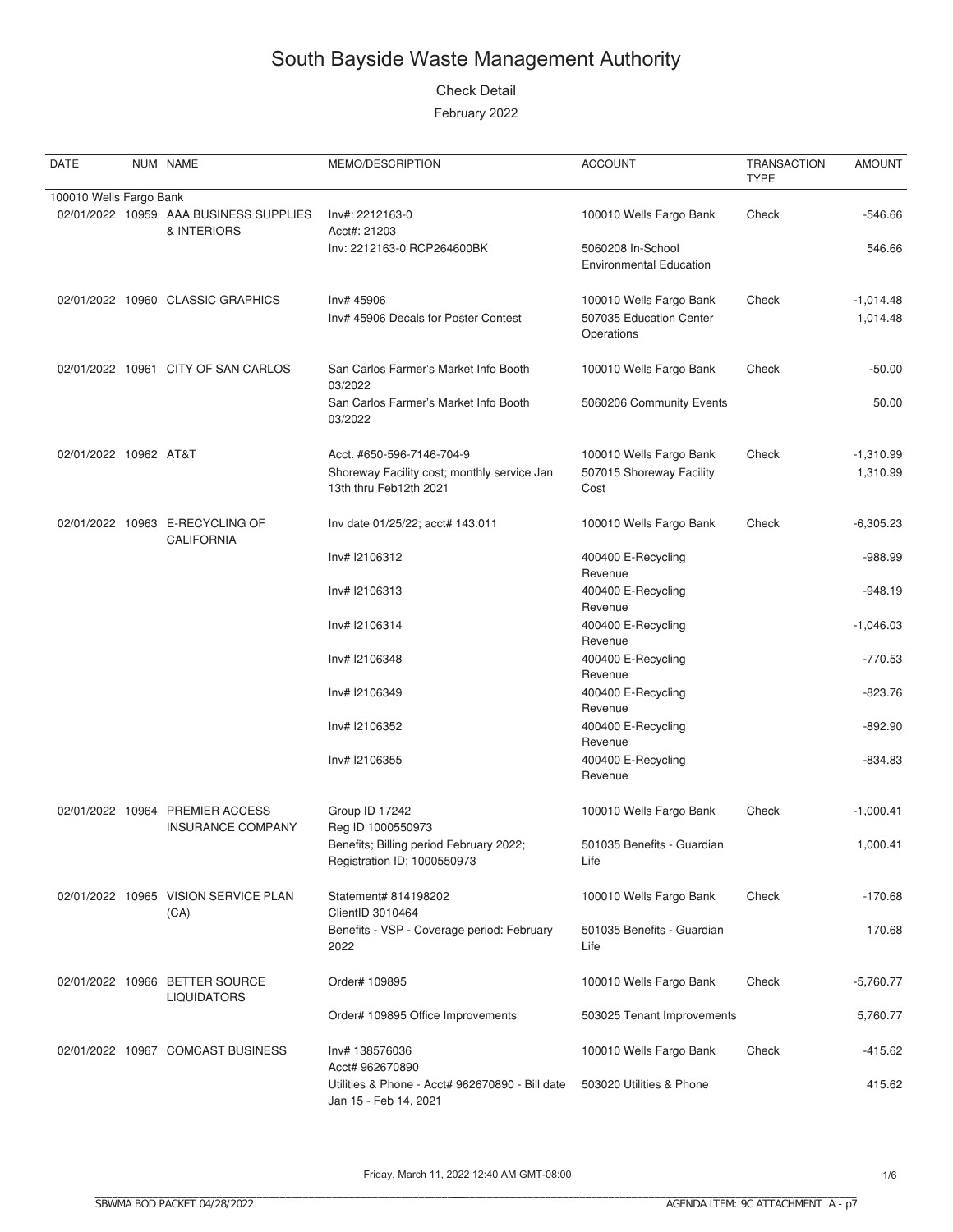#### **Check Detail**

| DATE                    | NUM NAME                                                    | MEMO/DESCRIPTION                                                                                   | <b>ACCOUNT</b>                                                   | <b>TRANSACTION</b><br><b>TYPE</b> | <b>AMOUNT</b>           |
|-------------------------|-------------------------------------------------------------|----------------------------------------------------------------------------------------------------|------------------------------------------------------------------|-----------------------------------|-------------------------|
| 100010 Wells Fargo Bank |                                                             |                                                                                                    |                                                                  |                                   |                         |
|                         | 02/01/2022 10959 AAA BUSINESS SUPPLIES<br>& INTERIORS       | Inv#: 2212163-0<br>Acct#: 21203                                                                    | 100010 Wells Fargo Bank                                          | Check                             | $-546.66$               |
|                         |                                                             | Inv: 2212163-0 RCP264600BK                                                                         | 5060208 In-School<br><b>Environmental Education</b>              |                                   | 546.66                  |
|                         | 02/01/2022 10960 CLASSIC GRAPHICS                           | Inv# 45906<br>Inv# 45906 Decals for Poster Contest                                                 | 100010 Wells Fargo Bank<br>507035 Education Center<br>Operations | Check                             | $-1,014.48$<br>1,014.48 |
|                         | 02/01/2022 10961 CITY OF SAN CARLOS                         | San Carlos Farmer's Market Info Booth<br>03/2022                                                   | 100010 Wells Fargo Bank                                          | Check                             | $-50.00$                |
|                         |                                                             | San Carlos Farmer's Market Info Booth<br>03/2022                                                   | 5060206 Community Events                                         |                                   | 50.00                   |
| 02/01/2022 10962 AT&T   |                                                             | Acct. #650-596-7146-704-9<br>Shoreway Facility cost; monthly service Jan<br>13th thru Feb12th 2021 | 100010 Wells Fargo Bank<br>507015 Shoreway Facility<br>Cost      | Check                             | $-1,310.99$<br>1,310.99 |
|                         | 02/01/2022 10963 E-RECYCLING OF<br><b>CALIFORNIA</b>        | Inv date 01/25/22; acct# 143.011                                                                   | 100010 Wells Fargo Bank                                          | Check                             | $-6,305.23$             |
|                         |                                                             | Inv# I2106312                                                                                      | 400400 E-Recycling<br>Revenue                                    |                                   | $-988.99$               |
|                         |                                                             | Inv# I2106313                                                                                      | 400400 E-Recycling<br>Revenue                                    |                                   | $-948.19$               |
|                         |                                                             | Inv# I2106314                                                                                      | 400400 E-Recycling<br>Revenue                                    |                                   | $-1,046.03$             |
|                         |                                                             | Inv# I2106348                                                                                      | 400400 E-Recycling<br>Revenue                                    |                                   | $-770.53$               |
|                         |                                                             | Inv# I2106349                                                                                      | 400400 E-Recycling<br>Revenue                                    |                                   | $-823.76$               |
|                         |                                                             | Inv# I2106352                                                                                      | 400400 E-Recycling<br>Revenue                                    |                                   | $-892.90$               |
|                         |                                                             | Inv# I2106355                                                                                      | 400400 E-Recycling<br>Revenue                                    |                                   | $-834.83$               |
|                         | 02/01/2022 10964 PREMIER ACCESS<br><b>INSURANCE COMPANY</b> | Group ID 17242<br>Reg ID 1000550973                                                                | 100010 Wells Fargo Bank                                          | Check                             | $-1,000.41$             |
|                         |                                                             | Benefits; Billing period February 2022;<br>Registration ID: 1000550973                             | 501035 Benefits - Guardian<br>Life                               |                                   | 1,000.41                |
|                         | 02/01/2022 10965 VISION SERVICE PLAN<br>(CA)                | Statement# 814198202<br>ClientID 3010464                                                           | 100010 Wells Fargo Bank                                          | Check                             | $-170.68$               |
|                         |                                                             | Benefits - VSP - Coverage period: February<br>2022                                                 | 501035 Benefits - Guardian<br>Life                               |                                   | 170.68                  |
|                         | 02/01/2022 10966 BETTER SOURCE<br><b>LIQUIDATORS</b>        | Order# 109895                                                                                      | 100010 Wells Fargo Bank                                          | Check                             | $-5,760.77$             |
|                         |                                                             | Order# 109895 Office Improvements                                                                  | 503025 Tenant Improvements                                       |                                   | 5,760.77                |
|                         | 02/01/2022 10967 COMCAST BUSINESS                           | Inv# 138576036<br>Acct# 962670890                                                                  | 100010 Wells Fargo Bank                                          | Check                             | $-415.62$               |
|                         |                                                             | Utilities & Phone - Acct# 962670890 - Bill date<br>Jan 15 - Feb 14, 2021                           | 503020 Utilities & Phone                                         |                                   | 415.62                  |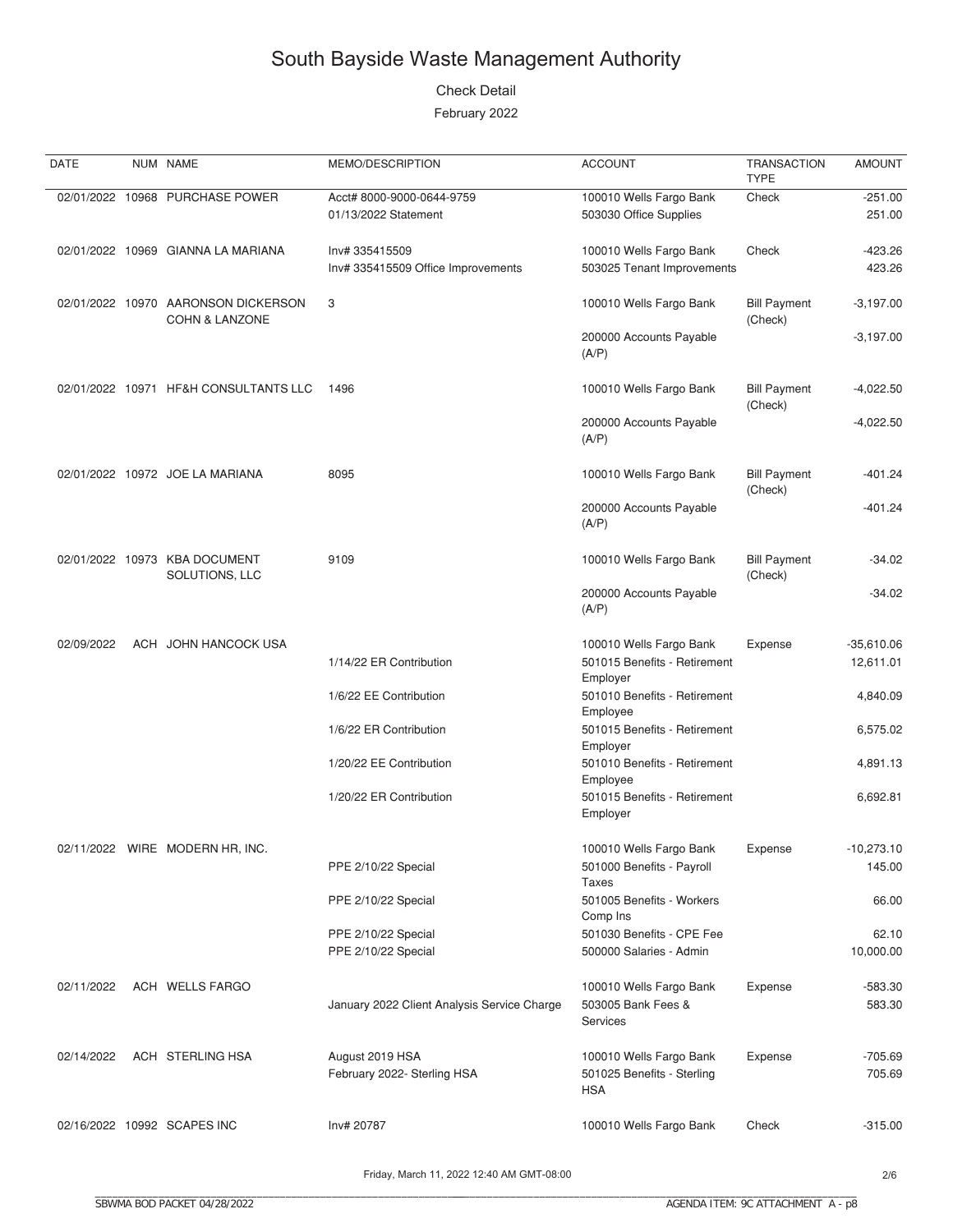#### **Check Detail**

February 2022

| DATE       | NUM NAME                                                         | MEMO/DESCRIPTION                            | <b>ACCOUNT</b>                                            | <b>TRANSACTION</b><br><b>TYPE</b> | <b>AMOUNT</b>     |
|------------|------------------------------------------------------------------|---------------------------------------------|-----------------------------------------------------------|-----------------------------------|-------------------|
|            | 02/01/2022 10968 PURCHASE POWER                                  | Acct# 8000-9000-0644-9759                   | 100010 Wells Fargo Bank                                   | Check                             | $-251.00$         |
|            |                                                                  | 01/13/2022 Statement                        | 503030 Office Supplies                                    |                                   | 251.00            |
|            |                                                                  |                                             |                                                           |                                   |                   |
|            | 02/01/2022 10969 GIANNA LA MARIANA                               | Inv# 335415509                              | 100010 Wells Fargo Bank                                   | Check                             | $-423.26$         |
|            |                                                                  | Inv# 335415509 Office Improvements          | 503025 Tenant Improvements                                |                                   | 423.26            |
|            |                                                                  |                                             |                                                           |                                   |                   |
|            | 02/01/2022 10970 AARONSON DICKERSON<br><b>COHN &amp; LANZONE</b> | 3                                           | 100010 Wells Fargo Bank                                   | <b>Bill Payment</b><br>(Check)    | $-3,197.00$       |
|            |                                                                  |                                             | 200000 Accounts Payable<br>(A/P)                          |                                   | $-3,197.00$       |
|            | 02/01/2022 10971 HF&H CONSULTANTS LLC                            | 1496                                        | 100010 Wells Fargo Bank                                   | <b>Bill Payment</b><br>(Check)    | $-4,022.50$       |
|            |                                                                  |                                             | 200000 Accounts Payable<br>(A/P)                          |                                   | $-4,022.50$       |
|            | 02/01/2022 10972 JOE LA MARIANA                                  | 8095                                        | 100010 Wells Fargo Bank                                   | <b>Bill Payment</b><br>(Check)    | $-401.24$         |
|            |                                                                  |                                             | 200000 Accounts Payable<br>(A/P)                          |                                   | $-401.24$         |
|            | 02/01/2022 10973 KBA DOCUMENT<br>SOLUTIONS, LLC                  | 9109                                        | 100010 Wells Fargo Bank                                   | <b>Bill Payment</b><br>(Check)    | $-34.02$          |
|            |                                                                  |                                             | 200000 Accounts Payable<br>(A/P)                          |                                   | $-34.02$          |
| 02/09/2022 | ACH JOHN HANCOCK USA                                             |                                             | 100010 Wells Fargo Bank                                   | Expense                           | $-35,610.06$      |
|            |                                                                  | 1/14/22 ER Contribution                     | 501015 Benefits - Retirement<br>Employer                  |                                   | 12,611.01         |
|            |                                                                  | 1/6/22 EE Contribution                      | 501010 Benefits - Retirement<br>Employee                  |                                   | 4,840.09          |
|            |                                                                  | 1/6/22 ER Contribution                      | 501015 Benefits - Retirement<br>Employer                  |                                   | 6,575.02          |
|            |                                                                  | 1/20/22 EE Contribution                     | 501010 Benefits - Retirement<br>Employee                  |                                   | 4,891.13          |
|            |                                                                  | 1/20/22 ER Contribution                     | 501015 Benefits - Retirement<br>Employer                  |                                   | 6,692.81          |
|            | 02/11/2022 WIRE MODERN HR, INC.                                  |                                             | 100010 Wells Fargo Bank                                   | Expense                           | $-10,273.10$      |
|            |                                                                  | PPE 2/10/22 Special                         | 501000 Benefits - Payroll<br>Taxes                        |                                   | 145.00            |
|            |                                                                  | PPE 2/10/22 Special                         | 501005 Benefits - Workers<br>Comp Ins                     |                                   | 66.00             |
|            |                                                                  | PPE 2/10/22 Special                         | 501030 Benefits - CPE Fee                                 |                                   | 62.10             |
|            |                                                                  | PPE 2/10/22 Special                         | 500000 Salaries - Admin                                   |                                   | 10,000.00         |
|            |                                                                  |                                             |                                                           |                                   |                   |
|            |                                                                  |                                             |                                                           |                                   |                   |
| 02/11/2022 | ACH WELLS FARGO                                                  | January 2022 Client Analysis Service Charge | 100010 Wells Fargo Bank<br>503005 Bank Fees &<br>Services | Expense                           | -583.30<br>583.30 |
| 02/14/2022 | ACH STERLING HSA                                                 | August 2019 HSA                             | 100010 Wells Fargo Bank                                   | Expense                           | $-705.69$         |
|            |                                                                  | February 2022- Sterling HSA                 | 501025 Benefits - Sterling<br>HSA                         |                                   | 705.69            |
|            | 02/16/2022 10992 SCAPES INC                                      | Inv# 20787                                  | 100010 Wells Fargo Bank                                   | Check                             | $-315.00$         |

Friday, March 11, 2022 12:40 AM GMT-08:00

 $2/6$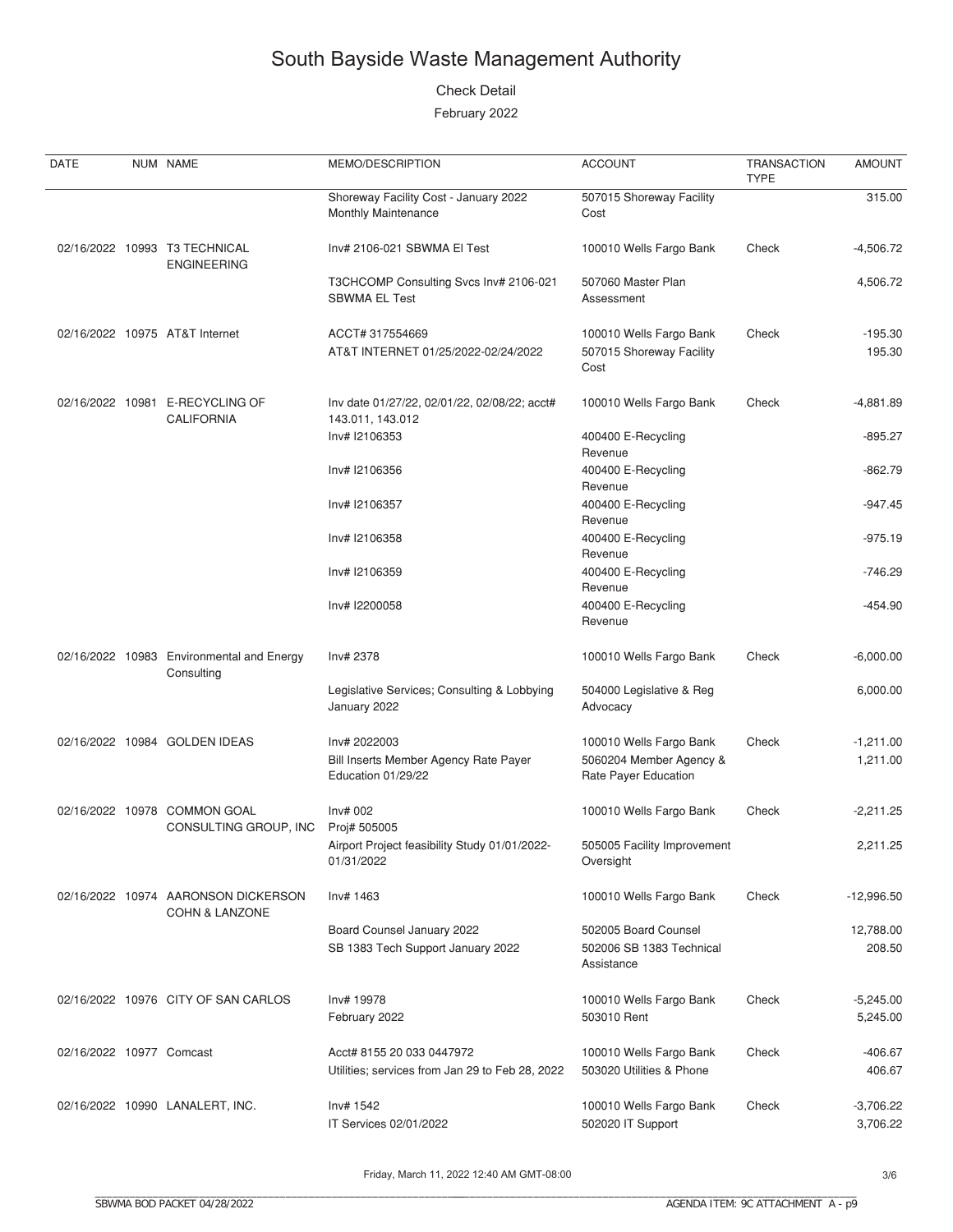#### **Check Detail**

| DATE                     | NUM NAME                                                         | MEMO/DESCRIPTION                                                             | <b>ACCOUNT</b>                                                             | <b>TRANSACTION</b><br><b>TYPE</b> | <b>AMOUNT</b>           |
|--------------------------|------------------------------------------------------------------|------------------------------------------------------------------------------|----------------------------------------------------------------------------|-----------------------------------|-------------------------|
|                          |                                                                  | Shoreway Facility Cost - January 2022<br><b>Monthly Maintenance</b>          | 507015 Shoreway Facility<br>Cost                                           |                                   | 315.00                  |
|                          | 02/16/2022 10993 T3 TECHNICAL<br><b>ENGINEERING</b>              | Inv# 2106-021 SBWMA EI Test                                                  | 100010 Wells Fargo Bank                                                    | Check                             | $-4,506.72$             |
|                          |                                                                  | T3CHCOMP Consulting Svcs Inv# 2106-021<br><b>SBWMA EL Test</b>               | 507060 Master Plan<br>Assessment                                           |                                   | 4,506.72                |
|                          | 02/16/2022 10975 AT&T Internet                                   | ACCT# 317554669<br>AT&T INTERNET 01/25/2022-02/24/2022                       | 100010 Wells Fargo Bank<br>507015 Shoreway Facility<br>Cost                | Check                             | $-195.30$<br>195.30     |
|                          | 02/16/2022 10981 E-RECYCLING OF<br><b>CALIFORNIA</b>             | Inv date 01/27/22, 02/01/22, 02/08/22; acct#<br>143.011, 143.012             | 100010 Wells Fargo Bank                                                    | Check                             | $-4,881.89$             |
|                          |                                                                  | Inv# I2106353                                                                | 400400 E-Recycling<br>Revenue                                              |                                   | $-895.27$               |
|                          |                                                                  | Inv# I2106356                                                                | 400400 E-Recycling<br>Revenue                                              |                                   | $-862.79$               |
|                          |                                                                  | Inv# I2106357                                                                | 400400 E-Recycling<br>Revenue                                              |                                   | $-947.45$               |
|                          |                                                                  | Inv# I2106358                                                                | 400400 E-Recycling<br>Revenue                                              |                                   | $-975.19$               |
|                          |                                                                  | Inv# I2106359                                                                | 400400 E-Recycling<br>Revenue                                              |                                   | $-746.29$               |
|                          |                                                                  | Inv# I2200058                                                                | 400400 E-Recycling<br>Revenue                                              |                                   | $-454.90$               |
|                          | 02/16/2022 10983 Environmental and Energy<br>Consulting          | Inv# 2378                                                                    | 100010 Wells Fargo Bank                                                    | Check                             | $-6,000.00$             |
|                          |                                                                  | Legislative Services; Consulting & Lobbying<br>January 2022                  | 504000 Legislative & Reg<br>Advocacy                                       |                                   | 6,000.00                |
|                          | 02/16/2022 10984 GOLDEN IDEAS                                    | Inv# 2022003<br>Bill Inserts Member Agency Rate Payer<br>Education 01/29/22  | 100010 Wells Fargo Bank<br>5060204 Member Agency &<br>Rate Payer Education | Check                             | $-1,211.00$<br>1,211.00 |
|                          | 02/16/2022 10978 COMMON GOAL<br>CONSULTING GROUP, INC            | Inv# 002<br>Proj# 505005                                                     | 100010 Wells Fargo Bank                                                    | Check                             | $-2,211.25$             |
|                          |                                                                  | Airport Project feasibility Study 01/01/2022-<br>01/31/2022                  | 505005 Facility Improvement<br>Oversight                                   |                                   | 2,211.25                |
|                          | 02/16/2022 10974 AARONSON DICKERSON<br><b>COHN &amp; LANZONE</b> | Inv# 1463                                                                    | 100010 Wells Fargo Bank                                                    | Check                             | $-12,996.50$            |
|                          |                                                                  | Board Counsel January 2022<br>SB 1383 Tech Support January 2022              | 502005 Board Counsel<br>502006 SB 1383 Technical<br>Assistance             |                                   | 12,788.00<br>208.50     |
|                          | 02/16/2022 10976 CITY OF SAN CARLOS                              | Inv# 19978<br>February 2022                                                  | 100010 Wells Fargo Bank<br>503010 Rent                                     | Check                             | $-5,245.00$<br>5,245.00 |
| 02/16/2022 10977 Comcast |                                                                  | Acct# 8155 20 033 0447972<br>Utilities; services from Jan 29 to Feb 28, 2022 | 100010 Wells Fargo Bank<br>503020 Utilities & Phone                        | Check                             | $-406.67$<br>406.67     |
|                          | 02/16/2022 10990 LANALERT, INC.                                  | Inv# 1542<br>IT Services 02/01/2022                                          | 100010 Wells Fargo Bank<br>502020 IT Support                               | Check                             | $-3,706.22$<br>3,706.22 |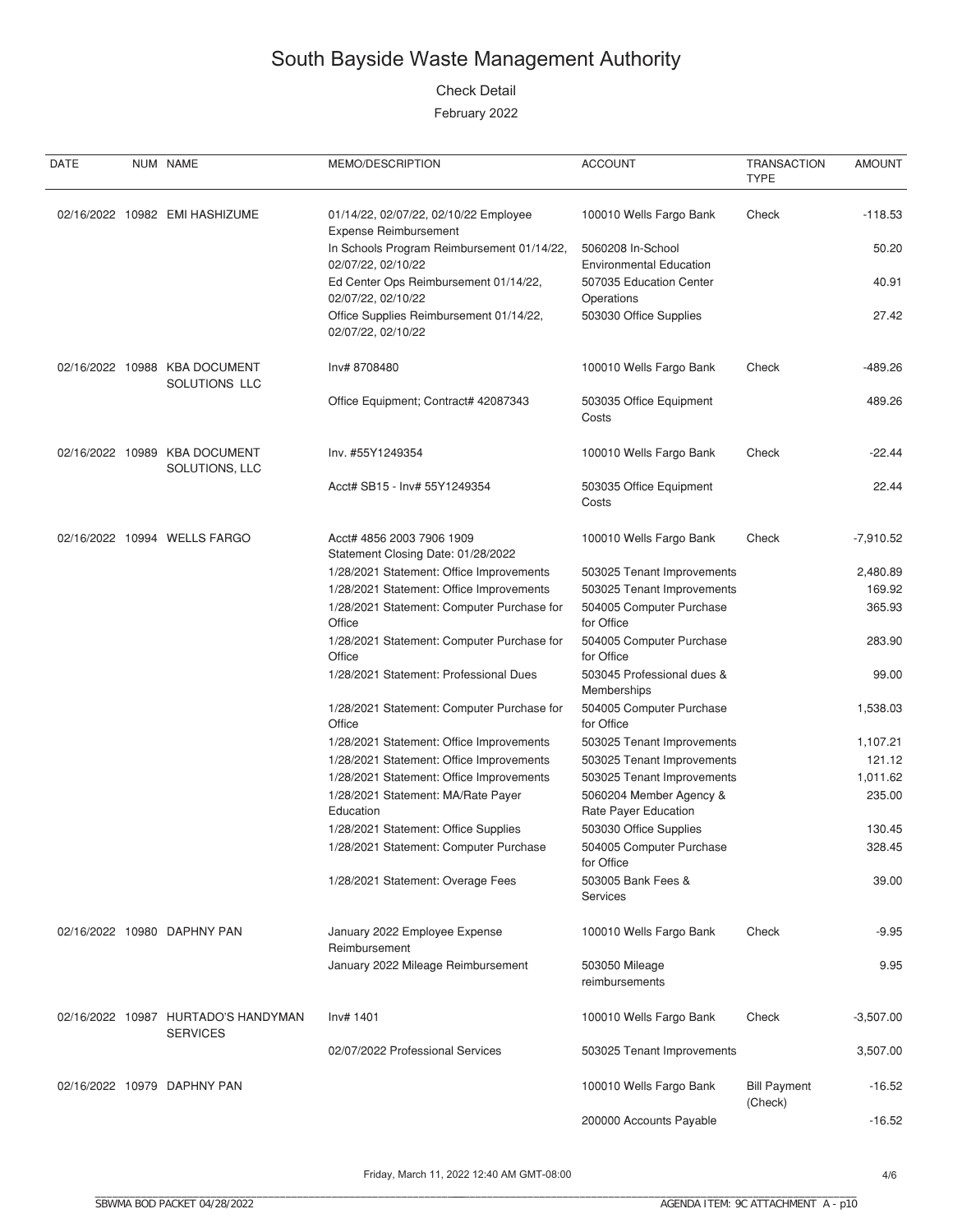#### **Check Detail**

| DATE | NUM NAME                                               | MEMO/DESCRIPTION                                                                    | <b>ACCOUNT</b>                                            | <b>TRANSACTION</b><br><b>TYPE</b> | <b>AMOUNT</b> |
|------|--------------------------------------------------------|-------------------------------------------------------------------------------------|-----------------------------------------------------------|-----------------------------------|---------------|
|      | 02/16/2022 10982 EMI HASHIZUME                         | 01/14/22, 02/07/22, 02/10/22 Employee<br><b>Expense Reimbursement</b>               | 100010 Wells Fargo Bank                                   | Check                             | $-118.53$     |
|      |                                                        | In Schools Program Reimbursement 01/14/22,                                          | 5060208 In-School                                         |                                   | 50.20         |
|      |                                                        | 02/07/22, 02/10/22<br>Ed Center Ops Reimbursement 01/14/22,                         | <b>Environmental Education</b><br>507035 Education Center |                                   | 40.91         |
|      |                                                        | 02/07/22, 02/10/22<br>Office Supplies Reimbursement 01/14/22,<br>02/07/22, 02/10/22 | Operations<br>503030 Office Supplies                      |                                   | 27.42         |
|      | 02/16/2022 10988 KBA DOCUMENT<br>SOLUTIONS LLC         | Inv# 8708480                                                                        | 100010 Wells Fargo Bank                                   | Check                             | -489.26       |
|      |                                                        | Office Equipment; Contract# 42087343                                                | 503035 Office Equipment<br>Costs                          |                                   | 489.26        |
|      | 02/16/2022 10989 KBA DOCUMENT<br>SOLUTIONS, LLC        | Inv. #55Y1249354                                                                    | 100010 Wells Fargo Bank                                   | Check                             | $-22.44$      |
|      |                                                        | Acct# SB15 - Inv# 55Y1249354                                                        | 503035 Office Equipment<br>Costs                          |                                   | 22.44         |
|      | 02/16/2022 10994 WELLS FARGO                           | Acct# 4856 2003 7906 1909<br>Statement Closing Date: 01/28/2022                     | 100010 Wells Fargo Bank                                   | Check                             | $-7,910.52$   |
|      |                                                        | 1/28/2021 Statement: Office Improvements                                            | 503025 Tenant Improvements                                |                                   | 2,480.89      |
|      |                                                        | 1/28/2021 Statement: Office Improvements                                            | 503025 Tenant Improvements                                |                                   | 169.92        |
|      |                                                        | 1/28/2021 Statement: Computer Purchase for<br>Office                                | 504005 Computer Purchase<br>for Office                    |                                   | 365.93        |
|      |                                                        | 1/28/2021 Statement: Computer Purchase for<br>Office                                | 504005 Computer Purchase<br>for Office                    |                                   | 283.90        |
|      |                                                        | 1/28/2021 Statement: Professional Dues                                              | 503045 Professional dues &<br>Memberships                 |                                   | 99.00         |
|      |                                                        | 1/28/2021 Statement: Computer Purchase for<br>Office                                | 504005 Computer Purchase<br>for Office                    |                                   | 1,538.03      |
|      |                                                        | 1/28/2021 Statement: Office Improvements                                            | 503025 Tenant Improvements                                |                                   | 1,107.21      |
|      |                                                        | 1/28/2021 Statement: Office Improvements                                            | 503025 Tenant Improvements                                |                                   | 121.12        |
|      |                                                        | 1/28/2021 Statement: Office Improvements                                            | 503025 Tenant Improvements                                |                                   | 1,011.62      |
|      |                                                        | 1/28/2021 Statement: MA/Rate Payer<br>Education                                     | 5060204 Member Agency &<br>Rate Payer Education           |                                   | 235.00        |
|      |                                                        | 1/28/2021 Statement: Office Supplies                                                | 503030 Office Supplies                                    |                                   | 130.45        |
|      |                                                        | 1/28/2021 Statement: Computer Purchase                                              | 504005 Computer Purchase<br>for Office                    |                                   | 328.45        |
|      |                                                        | 1/28/2021 Statement: Overage Fees                                                   | 503005 Bank Fees &<br><b>Services</b>                     |                                   | 39.00         |
|      | 02/16/2022 10980 DAPHNY PAN                            | January 2022 Employee Expense<br>Reimbursement                                      | 100010 Wells Fargo Bank                                   | Check                             | $-9.95$       |
|      |                                                        | January 2022 Mileage Reimbursement                                                  | 503050 Mileage<br>reimbursements                          |                                   | 9.95          |
|      | 02/16/2022 10987 HURTADO'S HANDYMAN<br><b>SERVICES</b> | Inv# 1401                                                                           | 100010 Wells Fargo Bank                                   | Check                             | $-3,507.00$   |
|      |                                                        | 02/07/2022 Professional Services                                                    | 503025 Tenant Improvements                                |                                   | 3,507.00      |
|      | 02/16/2022 10979 DAPHNY PAN                            |                                                                                     | 100010 Wells Fargo Bank                                   | <b>Bill Payment</b><br>(Check)    | $-16.52$      |
|      |                                                        |                                                                                     | 200000 Accounts Payable                                   |                                   | $-16.52$      |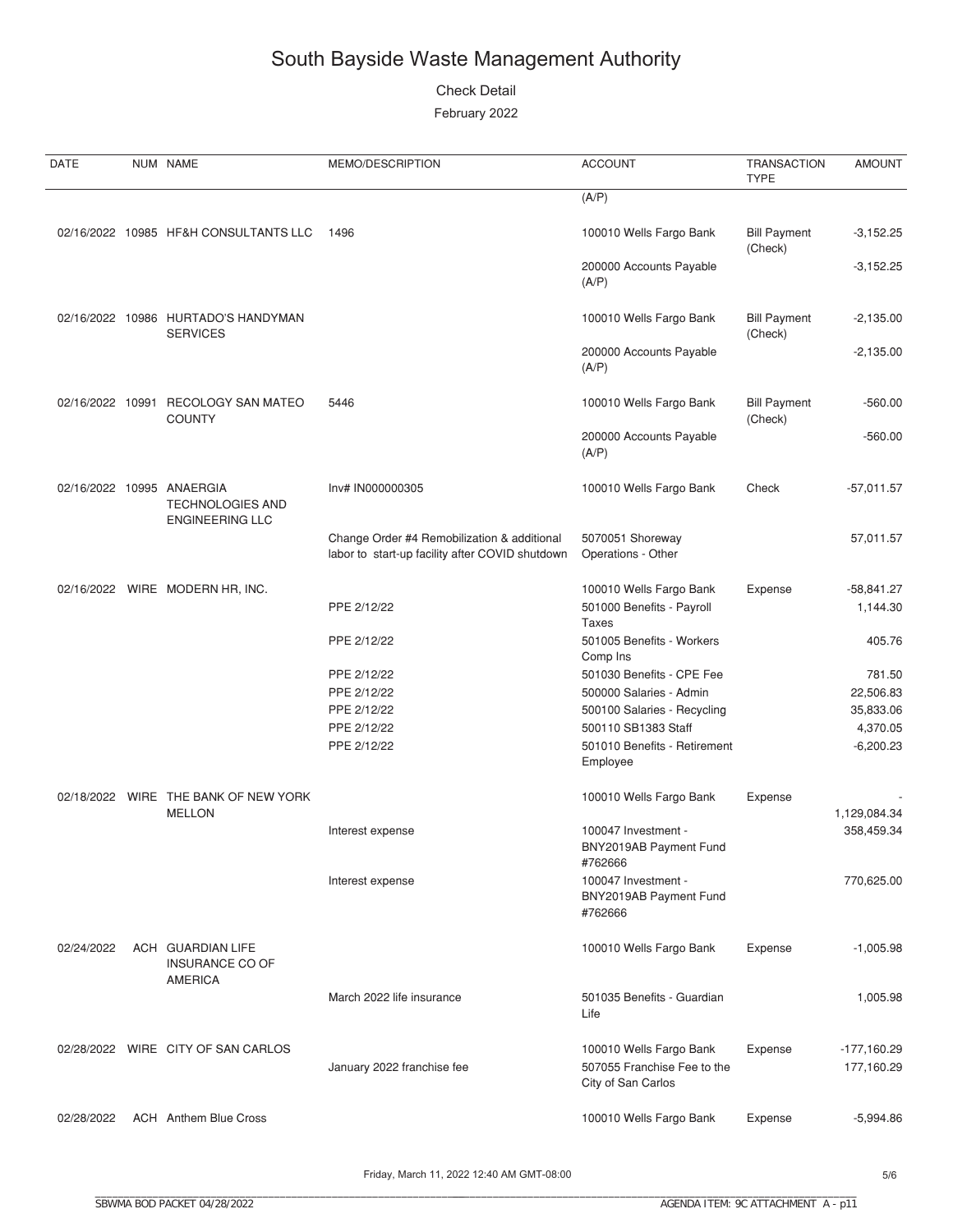#### **Check Detail**

| DATE       | NUM NAME                                                                       | MEMO/DESCRIPTION                                                                               | <b>ACCOUNT</b>                                                               | <b>TRANSACTION</b><br><b>TYPE</b> | <b>AMOUNT</b>               |
|------------|--------------------------------------------------------------------------------|------------------------------------------------------------------------------------------------|------------------------------------------------------------------------------|-----------------------------------|-----------------------------|
|            |                                                                                |                                                                                                | (A/P)                                                                        |                                   |                             |
|            | 02/16/2022 10985 HF&H CONSULTANTS LLC                                          | 1496                                                                                           | 100010 Wells Fargo Bank                                                      | <b>Bill Payment</b><br>(Check)    | $-3,152.25$                 |
|            |                                                                                |                                                                                                | 200000 Accounts Payable<br>(A/P)                                             |                                   | $-3,152.25$                 |
|            | 02/16/2022 10986 HURTADO'S HANDYMAN<br><b>SERVICES</b>                         |                                                                                                | 100010 Wells Fargo Bank                                                      | <b>Bill Payment</b><br>(Check)    | $-2,135.00$                 |
|            |                                                                                |                                                                                                | 200000 Accounts Payable<br>(A/P)                                             |                                   | $-2,135.00$                 |
|            | 02/16/2022 10991 RECOLOGY SAN MATEO<br><b>COUNTY</b>                           | 5446                                                                                           | 100010 Wells Fargo Bank                                                      | <b>Bill Payment</b><br>(Check)    | $-560.00$                   |
|            |                                                                                |                                                                                                | 200000 Accounts Payable<br>(A/P)                                             |                                   | $-560.00$                   |
|            | 02/16/2022 10995 ANAERGIA<br><b>TECHNOLOGIES AND</b><br><b>ENGINEERING LLC</b> | Inv# IN000000305                                                                               | 100010 Wells Fargo Bank                                                      | Check                             | $-57,011.57$                |
|            |                                                                                | Change Order #4 Remobilization & additional<br>labor to start-up facility after COVID shutdown | 5070051 Shoreway<br>Operations - Other                                       |                                   | 57,011.57                   |
|            | 02/16/2022 WIRE MODERN HR, INC.                                                | PPE 2/12/22                                                                                    | 100010 Wells Fargo Bank<br>501000 Benefits - Payroll<br>Taxes                | Expense                           | $-58,841.27$<br>1,144.30    |
|            |                                                                                | PPE 2/12/22                                                                                    | 501005 Benefits - Workers<br>Comp Ins                                        |                                   | 405.76                      |
|            |                                                                                | PPE 2/12/22                                                                                    | 501030 Benefits - CPE Fee                                                    |                                   | 781.50                      |
|            |                                                                                | PPE 2/12/22                                                                                    | 500000 Salaries - Admin                                                      |                                   | 22,506.83                   |
|            |                                                                                | PPE 2/12/22                                                                                    | 500100 Salaries - Recycling                                                  |                                   | 35,833.06                   |
|            |                                                                                | PPE 2/12/22                                                                                    | 500110 SB1383 Staff                                                          |                                   | 4,370.05                    |
|            |                                                                                | PPE 2/12/22                                                                                    | 501010 Benefits - Retirement<br>Employee                                     |                                   | $-6,200.23$                 |
|            | 02/18/2022 WIRE THE BANK OF NEW YORK<br><b>MELLON</b>                          |                                                                                                | 100010 Wells Fargo Bank                                                      | Expense                           | 1,129,084.34                |
|            |                                                                                | Interest expense                                                                               | 100047 Investment -<br>BNY2019AB Payment Fund<br>#762666                     |                                   | 358,459.34                  |
|            |                                                                                | Interest expense                                                                               | 100047 Investment -<br>BNY2019AB Payment Fund<br>#762666                     |                                   | 770,625.00                  |
| 02/24/2022 | ACH GUARDIAN LIFE<br>INSURANCE CO OF<br><b>AMERICA</b>                         |                                                                                                | 100010 Wells Fargo Bank                                                      | Expense                           | $-1,005.98$                 |
|            |                                                                                | March 2022 life insurance                                                                      | 501035 Benefits - Guardian<br>Life                                           |                                   | 1,005.98                    |
|            | 02/28/2022 WIRE CITY OF SAN CARLOS                                             | January 2022 franchise fee                                                                     | 100010 Wells Fargo Bank<br>507055 Franchise Fee to the<br>City of San Carlos | Expense                           | $-177,160.29$<br>177,160.29 |
| 02/28/2022 | <b>ACH</b> Anthem Blue Cross                                                   |                                                                                                | 100010 Wells Fargo Bank                                                      | Expense                           | $-5,994.86$                 |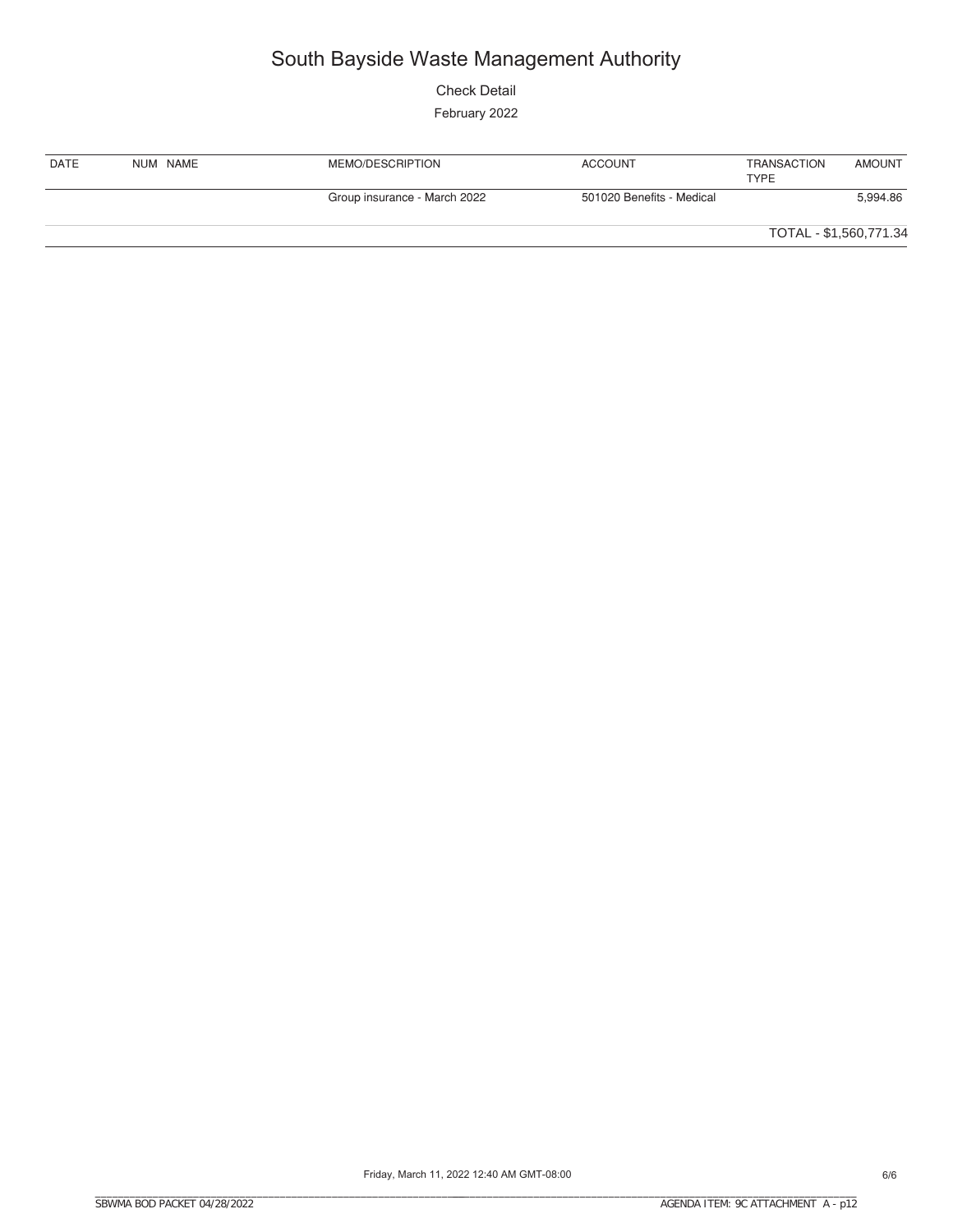**Check Detail** 

| DATE | NUM NAME | MEMO/DESCRIPTION             | <b>ACCOUNT</b>            | TRANSACTION<br><b>TYPE</b> | <b>AMOUNT</b> |
|------|----------|------------------------------|---------------------------|----------------------------|---------------|
|      |          | Group insurance - March 2022 | 501020 Benefits - Medical |                            | 5,994.86      |
|      |          |                              |                           | TOTAL - \$1,560,771.34     |               |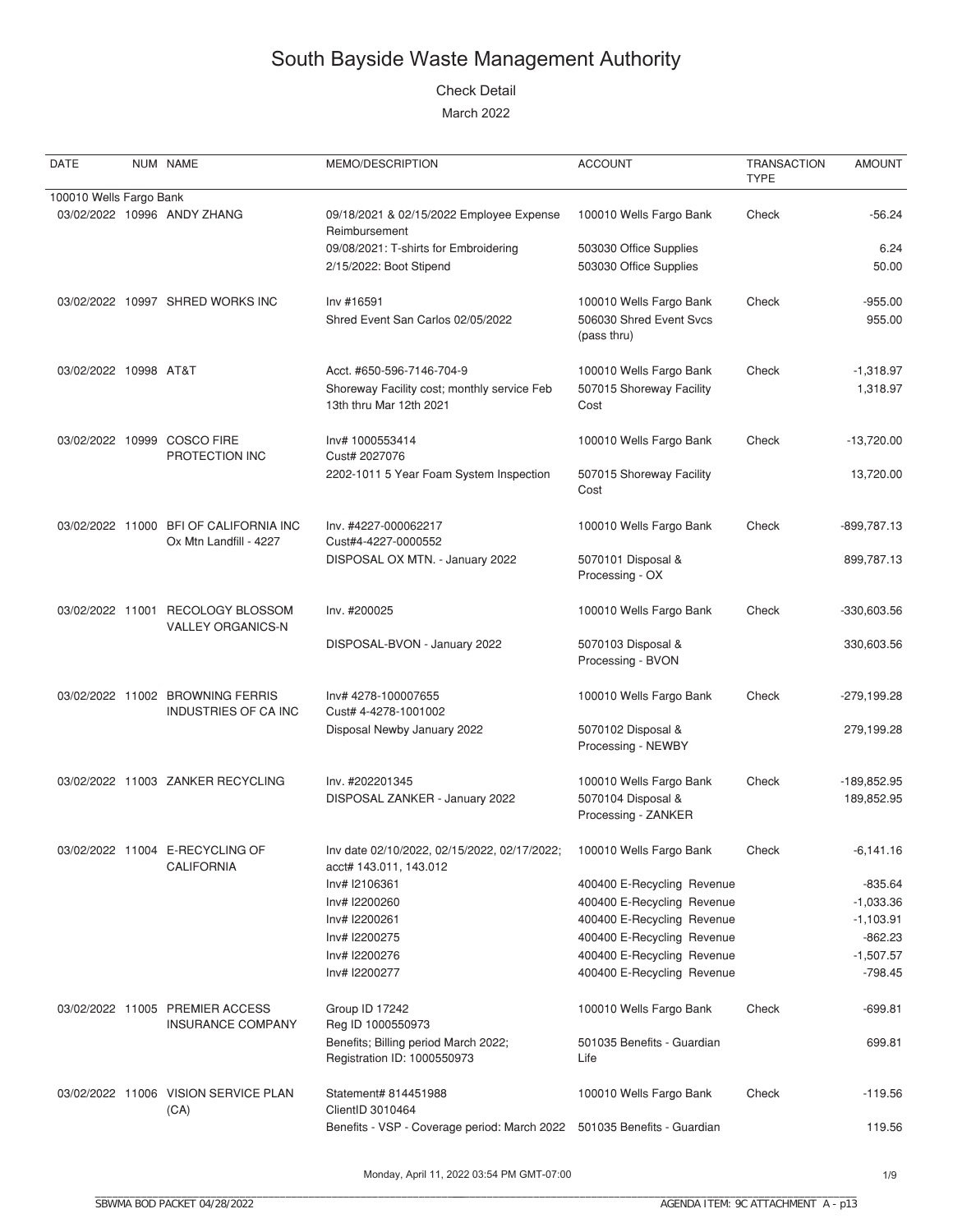#### Check Detail

March 2022

| DATE                    | NUM NAME                                                         | MEMO/DESCRIPTION                                                                                    | <b>ACCOUNT</b>                                                       | <b>TRANSACTION</b><br><b>TYPE</b> | <b>AMOUNT</b>             |
|-------------------------|------------------------------------------------------------------|-----------------------------------------------------------------------------------------------------|----------------------------------------------------------------------|-----------------------------------|---------------------------|
| 100010 Wells Fargo Bank |                                                                  |                                                                                                     |                                                                      |                                   |                           |
|                         | 03/02/2022 10996 ANDY ZHANG                                      | 09/18/2021 & 02/15/2022 Employee Expense<br>Reimbursement                                           | 100010 Wells Fargo Bank                                              | Check                             | $-56.24$                  |
|                         |                                                                  | 09/08/2021: T-shirts for Embroidering<br>2/15/2022: Boot Stipend                                    | 503030 Office Supplies<br>503030 Office Supplies                     |                                   | 6.24<br>50.00             |
|                         | 03/02/2022 10997 SHRED WORKS INC                                 | Inv #16591<br>Shred Event San Carlos 02/05/2022                                                     | 100010 Wells Fargo Bank<br>506030 Shred Event Svcs<br>(pass thru)    | Check                             | $-955.00$<br>955.00       |
| 03/02/2022 10998 AT&T   |                                                                  | Acct. #650-596-7146-704-9<br>Shoreway Facility cost; monthly service Feb<br>13th thru Mar 12th 2021 | 100010 Wells Fargo Bank<br>507015 Shoreway Facility<br>Cost          | Check                             | $-1,318.97$<br>1,318.97   |
|                         | 03/02/2022 10999 COSCO FIRE<br>PROTECTION INC                    | Inv# 1000553414<br>Cust# 2027076                                                                    | 100010 Wells Fargo Bank                                              | Check                             | $-13,720.00$              |
|                         |                                                                  | 2202-1011 5 Year Foam System Inspection                                                             | 507015 Shoreway Facility<br>Cost                                     |                                   | 13,720.00                 |
|                         | 03/02/2022 11000 BFI OF CALIFORNIA INC<br>Ox Mtn Landfill - 4227 | Inv. #4227-000062217<br>Cust#4-4227-0000552                                                         | 100010 Wells Fargo Bank                                              | Check                             | -899,787.13               |
|                         |                                                                  | DISPOSAL OX MTN. - January 2022                                                                     | 5070101 Disposal &<br>Processing - OX                                |                                   | 899,787.13                |
|                         | 03/02/2022 11001 RECOLOGY BLOSSOM<br><b>VALLEY ORGANICS-N</b>    | Inv. #200025                                                                                        | 100010 Wells Fargo Bank                                              | Check                             | -330,603.56               |
|                         |                                                                  | DISPOSAL-BVON - January 2022                                                                        | 5070103 Disposal &<br>Processing - BVON                              |                                   | 330,603.56                |
|                         | 03/02/2022 11002 BROWNING FERRIS<br>INDUSTRIES OF CA INC         | Inv# 4278-100007655<br>Cust# 4-4278-1001002                                                         | 100010 Wells Fargo Bank                                              | Check                             | -279,199.28               |
|                         |                                                                  | Disposal Newby January 2022                                                                         | 5070102 Disposal &<br>Processing - NEWBY                             |                                   | 279,199.28                |
|                         | 03/02/2022 11003 ZANKER RECYCLING                                | Inv. #202201345<br>DISPOSAL ZANKER - January 2022                                                   | 100010 Wells Fargo Bank<br>5070104 Disposal &<br>Processing - ZANKER | Check                             | -189,852.95<br>189,852.95 |
|                         | 03/02/2022 11004 E-RECYCLING OF<br><b>CALIFORNIA</b>             | Inv date 02/10/2022, 02/15/2022, 02/17/2022;<br>acct# 143.011, 143.012                              | 100010 Wells Fargo Bank                                              | Check                             | -6,141.16                 |
|                         |                                                                  | Inv# I2106361                                                                                       | 400400 E-Recycling Revenue                                           |                                   | $-835.64$                 |
|                         |                                                                  | Inv# I2200260                                                                                       | 400400 E-Recycling Revenue                                           |                                   | $-1,033.36$               |
|                         |                                                                  | Inv# I2200261                                                                                       | 400400 E-Recycling Revenue                                           |                                   | $-1,103.91$               |
|                         |                                                                  | Inv# I2200275                                                                                       | 400400 E-Recycling Revenue                                           |                                   | $-862.23$                 |
|                         |                                                                  | Inv# I2200276                                                                                       | 400400 E-Recycling Revenue                                           |                                   | $-1,507.57$               |
|                         |                                                                  | Inv# I2200277                                                                                       | 400400 E-Recycling Revenue                                           |                                   | $-798.45$                 |
|                         | 03/02/2022 11005 PREMIER ACCESS<br>INSURANCE COMPANY             | Group ID 17242<br>Reg ID 1000550973                                                                 | 100010 Wells Fargo Bank                                              | Check                             | $-699.81$                 |
|                         |                                                                  | Benefits; Billing period March 2022;<br>Registration ID: 1000550973                                 | 501035 Benefits - Guardian<br>Life                                   |                                   | 699.81                    |
|                         | 03/02/2022 11006 VISION SERVICE PLAN<br>(CA)                     | Statement# 814451988<br>ClientID 3010464                                                            | 100010 Wells Fargo Bank                                              | Check                             | $-119.56$                 |
|                         |                                                                  | Benefits - VSP - Coverage period: March 2022   501035 Benefits - Guardian                           |                                                                      |                                   | 119.56                    |

Monday, April 11, 2022 03:54 PM GMT-07:00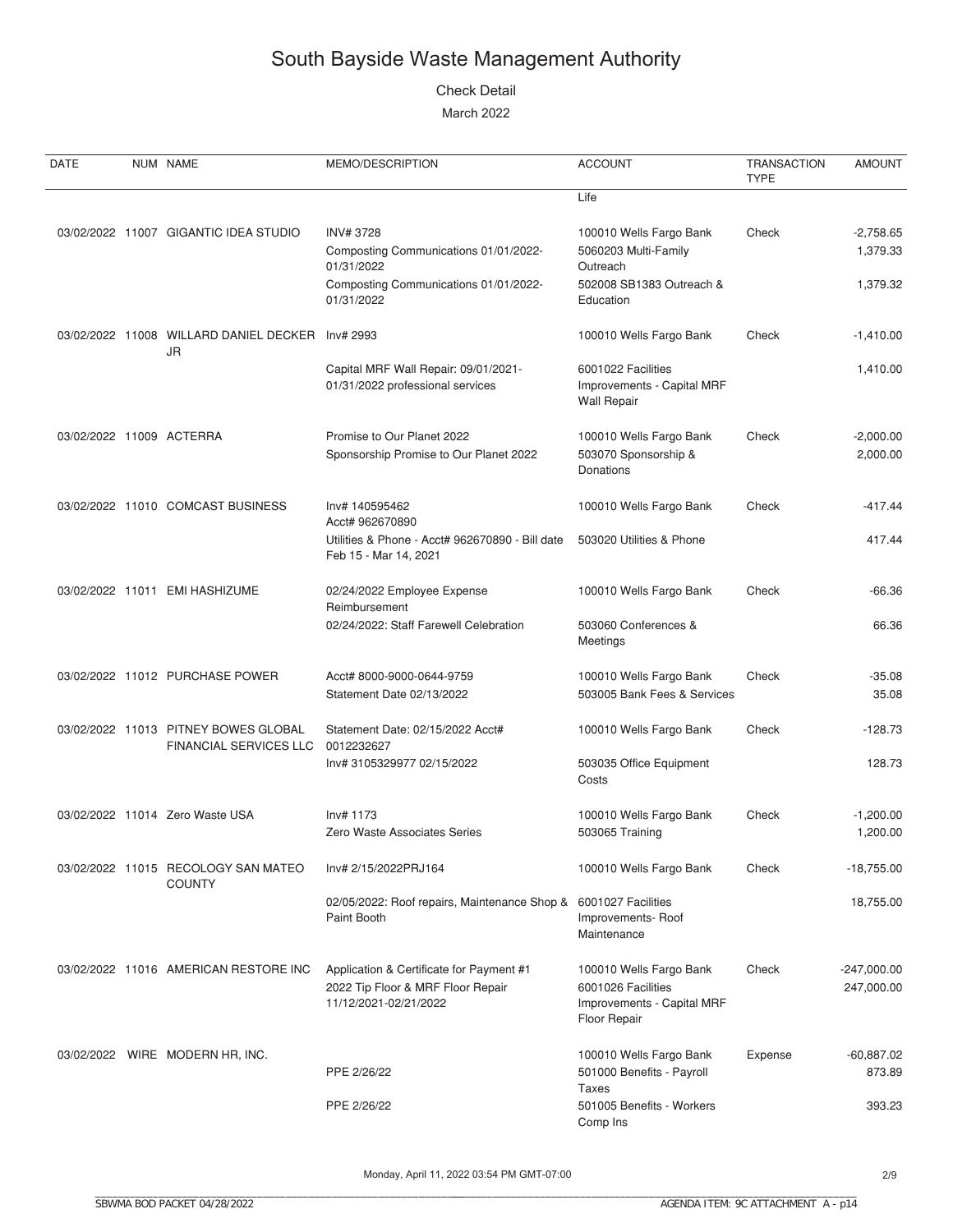#### Check Detail

| DATE                     | NUM NAME                                                       | MEMO/DESCRIPTION                                                                                                              | <b>ACCOUNT</b>                                                                                       | <b>TRANSACTION</b><br><b>TYPE</b> | <b>AMOUNT</b>                       |
|--------------------------|----------------------------------------------------------------|-------------------------------------------------------------------------------------------------------------------------------|------------------------------------------------------------------------------------------------------|-----------------------------------|-------------------------------------|
|                          |                                                                |                                                                                                                               | Life                                                                                                 |                                   |                                     |
|                          | 03/02/2022 11007 GIGANTIC IDEA STUDIO                          | <b>INV#3728</b><br>Composting Communications 01/01/2022-<br>01/31/2022<br>Composting Communications 01/01/2022-<br>01/31/2022 | 100010 Wells Fargo Bank<br>5060203 Multi-Family<br>Outreach<br>502008 SB1383 Outreach &<br>Education | Check                             | $-2,758.65$<br>1,379.33<br>1,379.32 |
|                          | 03/02/2022 11008 WILLARD DANIEL DECKER                         | Inv# 2993                                                                                                                     | 100010 Wells Fargo Bank                                                                              | Check                             | $-1,410.00$                         |
|                          | JR                                                             | Capital MRF Wall Repair: 09/01/2021-<br>01/31/2022 professional services                                                      | 6001022 Facilities<br>Improvements - Capital MRF<br><b>Wall Repair</b>                               |                                   | 1,410.00                            |
| 03/02/2022 11009 ACTERRA |                                                                | Promise to Our Planet 2022<br>Sponsorship Promise to Our Planet 2022                                                          | 100010 Wells Fargo Bank<br>503070 Sponsorship &<br>Donations                                         | Check                             | $-2,000.00$<br>2,000.00             |
|                          | 03/02/2022 11010 COMCAST BUSINESS                              | Inv# 140595462<br>Acct# 962670890                                                                                             | 100010 Wells Fargo Bank                                                                              | Check                             | $-417.44$                           |
|                          |                                                                | Utilities & Phone - Acct# 962670890 - Bill date<br>Feb 15 - Mar 14, 2021                                                      | 503020 Utilities & Phone                                                                             |                                   | 417.44                              |
|                          | 03/02/2022 11011 EMI HASHIZUME                                 | 02/24/2022 Employee Expense<br>Reimbursement                                                                                  | 100010 Wells Fargo Bank                                                                              | Check                             | $-66.36$                            |
|                          |                                                                | 02/24/2022: Staff Farewell Celebration                                                                                        | 503060 Conferences &<br>Meetings                                                                     |                                   | 66.36                               |
|                          | 03/02/2022 11012 PURCHASE POWER                                | Acct# 8000-9000-0644-9759<br>Statement Date 02/13/2022                                                                        | 100010 Wells Fargo Bank<br>503005 Bank Fees & Services                                               | Check                             | $-35.08$<br>35.08                   |
|                          | 03/02/2022 11013 PITNEY BOWES GLOBAL<br>FINANCIAL SERVICES LLC | Statement Date: 02/15/2022 Acct#<br>0012232627                                                                                | 100010 Wells Fargo Bank                                                                              | Check                             | $-128.73$                           |
|                          |                                                                | Inv# 3105329977 02/15/2022                                                                                                    | 503035 Office Equipment<br>Costs                                                                     |                                   | 128.73                              |
|                          | 03/02/2022 11014 Zero Waste USA                                | Inv# 1173<br>Zero Waste Associates Series                                                                                     | 100010 Wells Fargo Bank<br>503065 Training                                                           | Check                             | $-1,200.00$<br>1,200.00             |
|                          | 03/02/2022 11015 RECOLOGY SAN MATEO<br><b>COUNTY</b>           | Inv# 2/15/2022PRJ164                                                                                                          | 100010 Wells Fargo Bank                                                                              | Check                             | $-18,755.00$                        |
|                          |                                                                | 02/05/2022: Roof repairs, Maintenance Shop &<br>Paint Booth                                                                   | 6001027 Facilities<br>Improvements-Roof<br>Maintenance                                               |                                   | 18,755.00                           |
|                          | 03/02/2022 11016 AMERICAN RESTORE INC                          | Application & Certificate for Payment #1<br>2022 Tip Floor & MRF Floor Repair<br>11/12/2021-02/21/2022                        | 100010 Wells Fargo Bank<br>6001026 Facilities<br>Improvements - Capital MRF<br>Floor Repair          | Check                             | $-247,000.00$<br>247,000.00         |
|                          | 03/02/2022 WIRE MODERN HR, INC.                                | PPE 2/26/22                                                                                                                   | 100010 Wells Fargo Bank<br>501000 Benefits - Payroll<br>Taxes                                        | Expense                           | $-60,887.02$<br>873.89              |
|                          |                                                                | PPE 2/26/22                                                                                                                   | 501005 Benefits - Workers<br>Comp Ins                                                                |                                   | 393.23                              |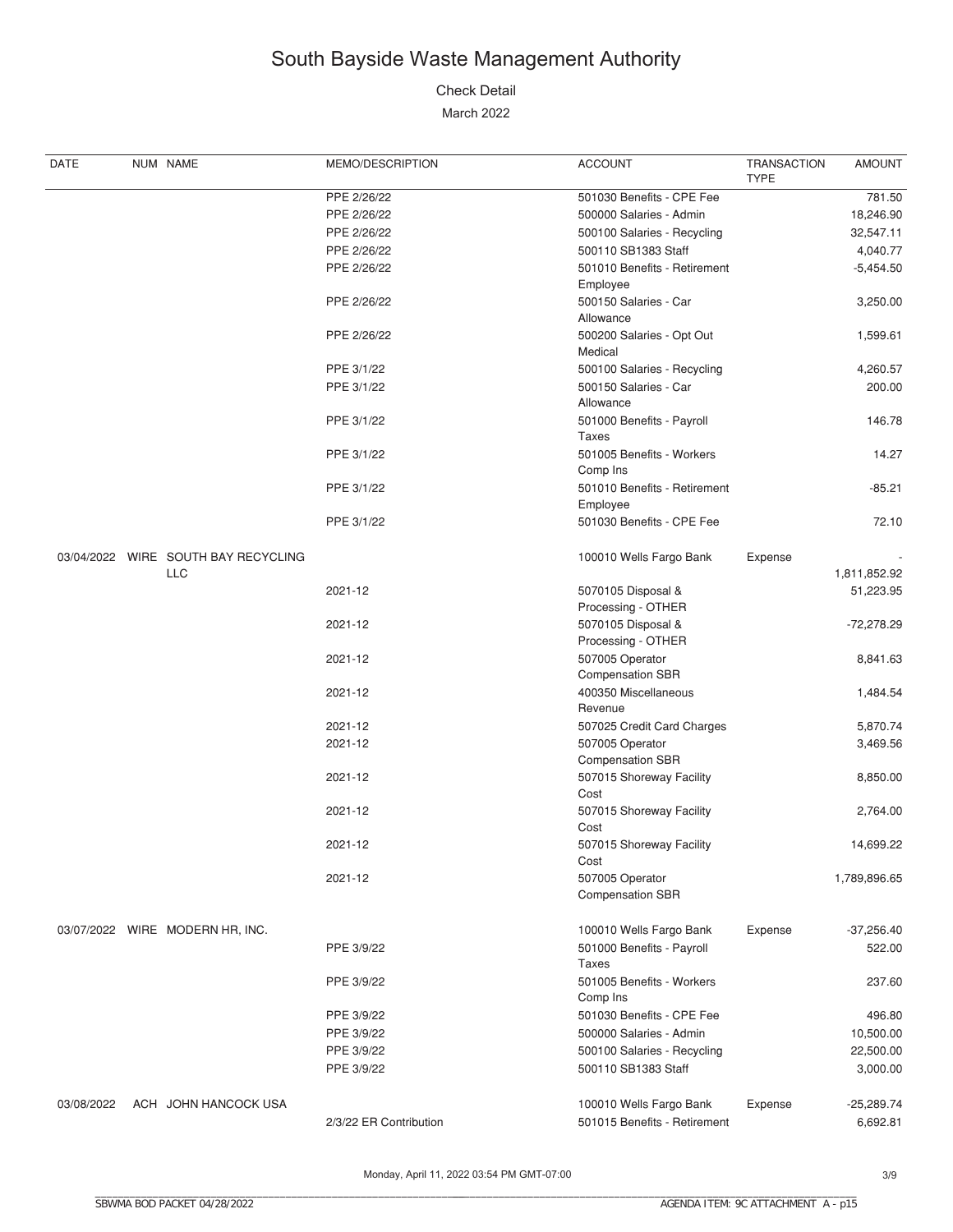#### Check Detail

| DATE       | NUM NAME                            | MEMO/DESCRIPTION       | <b>ACCOUNT</b>                            | <b>TRANSACTION</b><br><b>TYPE</b> | <b>AMOUNT</b> |
|------------|-------------------------------------|------------------------|-------------------------------------------|-----------------------------------|---------------|
|            |                                     | PPE 2/26/22            | 501030 Benefits - CPE Fee                 |                                   | 781.50        |
|            |                                     | PPE 2/26/22            | 500000 Salaries - Admin                   |                                   | 18,246.90     |
|            |                                     | PPE 2/26/22            | 500100 Salaries - Recycling               |                                   | 32,547.11     |
|            |                                     | PPE 2/26/22            | 500110 SB1383 Staff                       |                                   | 4,040.77      |
|            |                                     | PPE 2/26/22            | 501010 Benefits - Retirement              |                                   | $-5,454.50$   |
|            |                                     |                        | Employee                                  |                                   |               |
|            |                                     | PPE 2/26/22            | 500150 Salaries - Car                     |                                   | 3,250.00      |
|            |                                     |                        | Allowance                                 |                                   |               |
|            |                                     | PPE 2/26/22            | 500200 Salaries - Opt Out                 |                                   | 1,599.61      |
|            |                                     |                        | Medical                                   |                                   |               |
|            |                                     | PPE 3/1/22             | 500100 Salaries - Recycling               |                                   | 4,260.57      |
|            |                                     | PPE 3/1/22             | 500150 Salaries - Car                     |                                   |               |
|            |                                     |                        | Allowance                                 |                                   | 200.00        |
|            |                                     |                        |                                           |                                   |               |
|            |                                     | PPE 3/1/22             | 501000 Benefits - Payroll                 |                                   | 146.78        |
|            |                                     |                        | Taxes                                     |                                   |               |
|            |                                     | PPE 3/1/22             | 501005 Benefits - Workers                 |                                   | 14.27         |
|            |                                     |                        | Comp Ins                                  |                                   |               |
|            |                                     | PPE 3/1/22             | 501010 Benefits - Retirement              |                                   | $-85.21$      |
|            |                                     |                        | Employee                                  |                                   |               |
|            |                                     | PPE 3/1/22             | 501030 Benefits - CPE Fee                 |                                   | 72.10         |
|            | 03/04/2022 WIRE SOUTH BAY RECYCLING |                        | 100010 Wells Fargo Bank                   | Expense                           |               |
|            | <b>LLC</b>                          |                        |                                           |                                   | 1,811,852.92  |
|            |                                     | 2021-12                | 5070105 Disposal &                        |                                   | 51,223.95     |
|            |                                     |                        | Processing - OTHER                        |                                   |               |
|            |                                     | 2021-12                | 5070105 Disposal &                        |                                   | $-72,278.29$  |
|            |                                     |                        | Processing - OTHER                        |                                   |               |
|            |                                     | 2021-12                | 507005 Operator                           |                                   | 8,841.63      |
|            |                                     |                        | <b>Compensation SBR</b>                   |                                   |               |
|            |                                     | 2021-12                | 400350 Miscellaneous                      |                                   | 1,484.54      |
|            |                                     |                        | Revenue                                   |                                   |               |
|            |                                     | 2021-12                | 507025 Credit Card Charges                |                                   | 5,870.74      |
|            |                                     | 2021-12                | 507005 Operator                           |                                   | 3,469.56      |
|            |                                     |                        | <b>Compensation SBR</b>                   |                                   |               |
|            |                                     |                        |                                           |                                   |               |
|            |                                     | 2021-12                | 507015 Shoreway Facility                  |                                   | 8,850.00      |
|            |                                     |                        | Cost                                      |                                   |               |
|            |                                     | 2021-12                | 507015 Shoreway Facility                  |                                   | 2,764.00      |
|            |                                     |                        | Cost                                      |                                   |               |
|            |                                     | 2021-12                | 507015 Shoreway Facility                  |                                   | 14,699.22     |
|            |                                     |                        | Cost                                      |                                   |               |
|            |                                     | 2021-12                | 507005 Operator                           |                                   | 1,789,896.65  |
|            |                                     |                        | <b>Compensation SBR</b>                   |                                   |               |
|            | 03/07/2022 WIRE MODERN HR, INC.     |                        | 100010 Wells Fargo Bank                   | Expense                           | $-37,256.40$  |
|            |                                     | PPE 3/9/22             |                                           |                                   | 522.00        |
|            |                                     |                        | 501000 Benefits - Payroll<br><b>Taxes</b> |                                   |               |
|            |                                     |                        |                                           |                                   |               |
|            |                                     | PPE 3/9/22             | 501005 Benefits - Workers                 |                                   | 237.60        |
|            |                                     |                        | Comp Ins                                  |                                   |               |
|            |                                     | PPE 3/9/22             | 501030 Benefits - CPE Fee                 |                                   | 496.80        |
|            |                                     | PPE 3/9/22             | 500000 Salaries - Admin                   |                                   | 10,500.00     |
|            |                                     | PPE 3/9/22             | 500100 Salaries - Recycling               |                                   | 22,500.00     |
|            |                                     | PPE 3/9/22             | 500110 SB1383 Staff                       |                                   | 3,000.00      |
|            |                                     |                        |                                           |                                   |               |
| 03/08/2022 | ACH JOHN HANCOCK USA                |                        | 100010 Wells Fargo Bank                   | Expense                           | $-25,289.74$  |
|            |                                     | 2/3/22 ER Contribution | 501015 Benefits - Retirement              |                                   | 6,692.81      |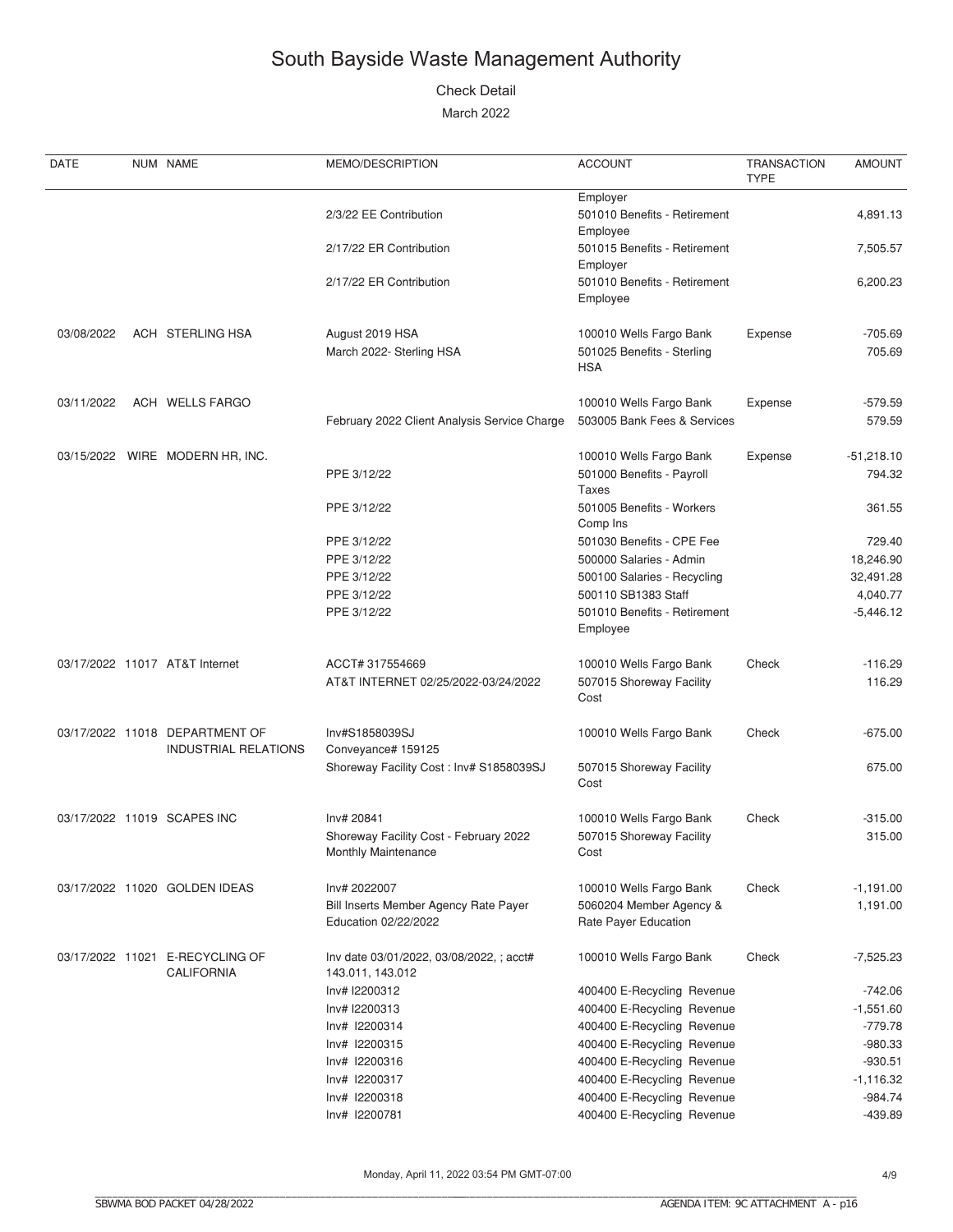Check Detail

| DATE       | NUM NAME                                                      | MEMO/DESCRIPTION                                              | <b>ACCOUNT</b>                                                      | <b>TRANSACTION</b><br><b>TYPE</b> | <b>AMOUNT</b>          |
|------------|---------------------------------------------------------------|---------------------------------------------------------------|---------------------------------------------------------------------|-----------------------------------|------------------------|
|            |                                                               | 2/3/22 EE Contribution                                        | Employer<br>501010 Benefits - Retirement<br>Employee                |                                   | 4,891.13               |
|            |                                                               | 2/17/22 ER Contribution                                       | 501015 Benefits - Retirement                                        |                                   | 7,505.57               |
|            |                                                               | 2/17/22 ER Contribution                                       | Employer<br>501010 Benefits - Retirement<br>Employee                |                                   | 6,200.23               |
| 03/08/2022 | ACH STERLING HSA                                              | August 2019 HSA<br>March 2022- Sterling HSA                   | 100010 Wells Fargo Bank<br>501025 Benefits - Sterling<br><b>HSA</b> | Expense                           | $-705.69$<br>705.69    |
| 03/11/2022 | ACH WELLS FARGO                                               | February 2022 Client Analysis Service Charge                  | 100010 Wells Fargo Bank<br>503005 Bank Fees & Services              | Expense                           | $-579.59$<br>579.59    |
|            | 03/15/2022 WIRE MODERN HR, INC.                               | PPE 3/12/22                                                   | 100010 Wells Fargo Bank<br>501000 Benefits - Payroll<br>Taxes       | Expense                           | $-51,218.10$<br>794.32 |
|            |                                                               | PPE 3/12/22                                                   | 501005 Benefits - Workers<br>Comp Ins                               |                                   | 361.55                 |
|            |                                                               | PPE 3/12/22                                                   | 501030 Benefits - CPE Fee                                           |                                   | 729.40                 |
|            |                                                               | PPE 3/12/22                                                   | 500000 Salaries - Admin                                             |                                   | 18,246.90              |
|            |                                                               | PPE 3/12/22                                                   | 500100 Salaries - Recycling                                         |                                   | 32,491.28              |
|            |                                                               | PPE 3/12/22                                                   | 500110 SB1383 Staff                                                 |                                   | 4,040.77               |
|            |                                                               | PPE 3/12/22                                                   | 501010 Benefits - Retirement<br>Employee                            |                                   | $-5,446.12$            |
|            | 03/17/2022 11017 AT&T Internet                                | ACCT# 317554669                                               | 100010 Wells Fargo Bank                                             | Check                             | $-116.29$              |
|            |                                                               | AT&T INTERNET 02/25/2022-03/24/2022                           | 507015 Shoreway Facility<br>Cost                                    |                                   | 116.29                 |
|            | 03/17/2022 11018 DEPARTMENT OF<br><b>INDUSTRIAL RELATIONS</b> | Inv#S1858039SJ<br>Conveyance# 159125                          | 100010 Wells Fargo Bank                                             | Check                             | $-675.00$              |
|            |                                                               | Shoreway Facility Cost: Inv# S1858039SJ                       | 507015 Shoreway Facility<br>Cost                                    |                                   | 675.00                 |
|            | 03/17/2022 11019 SCAPES INC                                   | Inv# 20841                                                    | 100010 Wells Fargo Bank                                             | Check                             | $-315.00$              |
|            |                                                               | Shoreway Facility Cost - February 2022<br>Monthly Maintenance | 507015 Shoreway Facility<br>Cost                                    |                                   | 315.00                 |
|            | 03/17/2022 11020 GOLDEN IDEAS                                 | Inv# 2022007                                                  | 100010 Wells Fargo Bank                                             | Check                             | $-1,191.00$            |
|            |                                                               | Bill Inserts Member Agency Rate Payer<br>Education 02/22/2022 | 5060204 Member Agency &<br>Rate Payer Education                     |                                   | 1,191.00               |
|            | 03/17/2022 11021 E-RECYCLING OF<br><b>CALIFORNIA</b>          | Inv date 03/01/2022, 03/08/2022,; acct#<br>143.011, 143.012   | 100010 Wells Fargo Bank                                             | Check                             | $-7,525.23$            |
|            |                                                               | Inv# I2200312                                                 | 400400 E-Recycling Revenue                                          |                                   | $-742.06$              |
|            |                                                               | Inv# I2200313                                                 | 400400 E-Recycling Revenue                                          |                                   | $-1,551.60$            |
|            |                                                               | Inv# I2200314                                                 | 400400 E-Recycling Revenue                                          |                                   | $-779.78$              |
|            |                                                               | Inv# I2200315                                                 | 400400 E-Recycling Revenue                                          |                                   | $-980.33$              |
|            |                                                               | Inv# I2200316                                                 | 400400 E-Recycling Revenue                                          |                                   | $-930.51$              |
|            |                                                               | Inv# I2200317                                                 | 400400 E-Recycling Revenue                                          |                                   | $-1,116.32$            |
|            |                                                               | Inv# I2200318                                                 | 400400 E-Recycling Revenue                                          |                                   | $-984.74$              |
|            |                                                               | Inv# I2200781                                                 | 400400 E-Recycling Revenue                                          |                                   | $-439.89$              |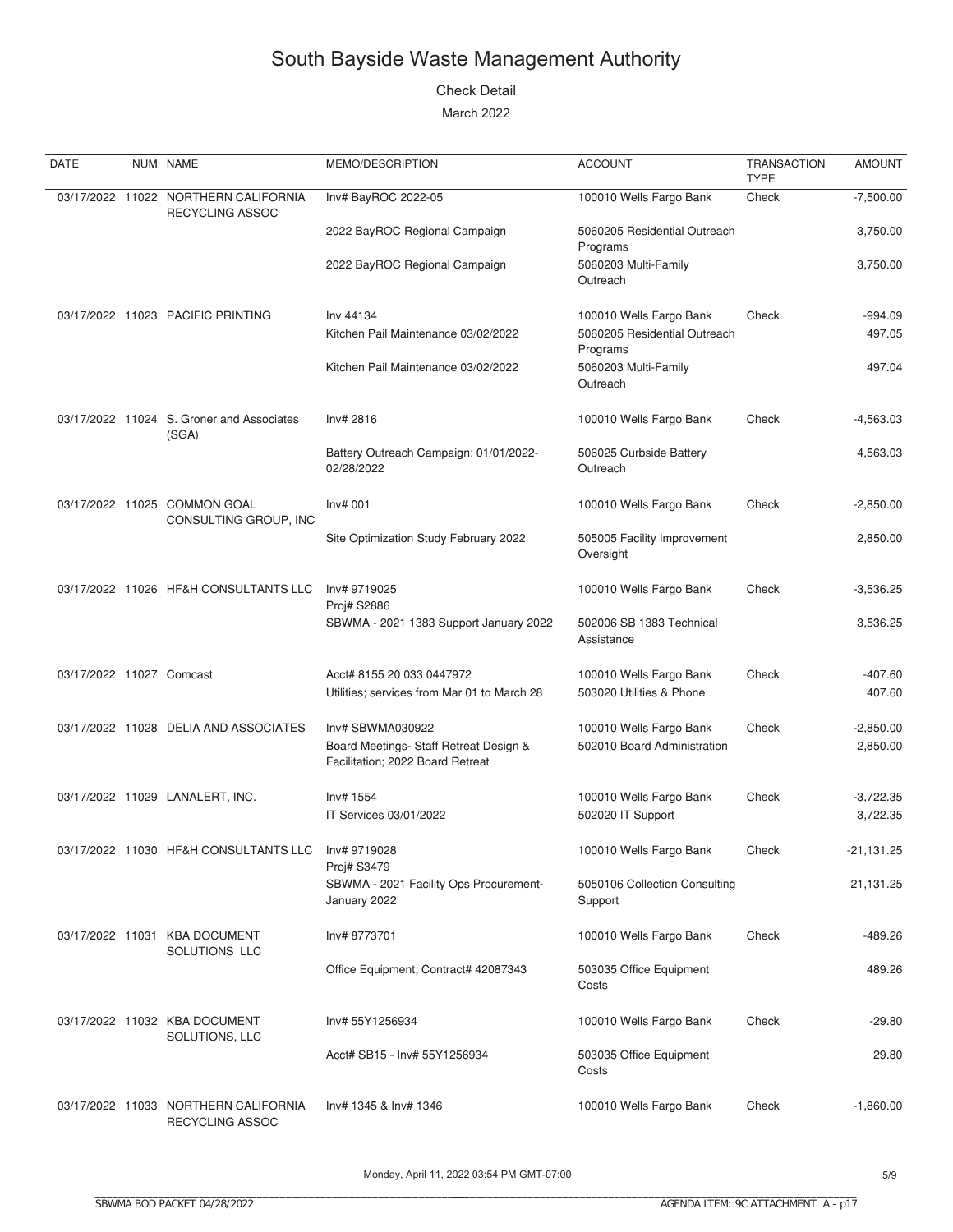#### **Check Detail**

| DATE                     | NUM NAME                                                | MEMO/DESCRIPTION                                                                               | <b>ACCOUNT</b>                                                      | <b>TRANSACTION</b><br><b>TYPE</b> | <b>AMOUNT</b>           |
|--------------------------|---------------------------------------------------------|------------------------------------------------------------------------------------------------|---------------------------------------------------------------------|-----------------------------------|-------------------------|
|                          | 03/17/2022 11022 NORTHERN CALIFORNIA<br>RECYCLING ASSOC | Inv# BayROC 2022-05                                                                            | 100010 Wells Fargo Bank                                             | Check                             | $-7,500.00$             |
|                          |                                                         | 2022 BayROC Regional Campaign                                                                  | 5060205 Residential Outreach<br>Programs                            |                                   | 3,750.00                |
|                          |                                                         | 2022 BayROC Regional Campaign                                                                  | 5060203 Multi-Family<br>Outreach                                    |                                   | 3,750.00                |
|                          | 03/17/2022 11023 PACIFIC PRINTING                       | Inv 44134<br>Kitchen Pail Maintenance 03/02/2022                                               | 100010 Wells Fargo Bank<br>5060205 Residential Outreach<br>Programs | Check                             | $-994.09$<br>497.05     |
|                          |                                                         | Kitchen Pail Maintenance 03/02/2022                                                            | 5060203 Multi-Family<br>Outreach                                    |                                   | 497.04                  |
|                          | 03/17/2022 11024 S. Groner and Associates<br>(SGA)      | Inv# 2816                                                                                      | 100010 Wells Fargo Bank                                             | Check                             | $-4,563.03$             |
|                          |                                                         | Battery Outreach Campaign: 01/01/2022-<br>02/28/2022                                           | 506025 Curbside Battery<br>Outreach                                 |                                   | 4,563.03                |
|                          | 03/17/2022 11025 COMMON GOAL<br>CONSULTING GROUP, INC   | Inv# 001                                                                                       | 100010 Wells Fargo Bank                                             | Check                             | $-2,850.00$             |
|                          |                                                         | Site Optimization Study February 2022                                                          | 505005 Facility Improvement<br>Oversight                            |                                   | 2,850.00                |
|                          | 03/17/2022 11026 HF&H CONSULTANTS LLC                   | Inv# 9719025<br>Proj# S2886                                                                    | 100010 Wells Fargo Bank                                             | Check                             | $-3,536.25$             |
|                          |                                                         | SBWMA - 2021 1383 Support January 2022                                                         | 502006 SB 1383 Technical<br>Assistance                              |                                   | 3,536.25                |
| 03/17/2022 11027 Comcast |                                                         | Acct# 8155 20 033 0447972<br>Utilities; services from Mar 01 to March 28                       | 100010 Wells Fargo Bank<br>503020 Utilities & Phone                 | Check                             | $-407.60$<br>407.60     |
|                          | 03/17/2022 11028 DELIA AND ASSOCIATES                   | Inv# SBWMA030922<br>Board Meetings- Staff Retreat Design &<br>Facilitation; 2022 Board Retreat | 100010 Wells Fargo Bank<br>502010 Board Administration              | Check                             | $-2,850.00$<br>2,850.00 |
|                          | 03/17/2022 11029 LANALERT, INC.                         | Inv# 1554<br>IT Services 03/01/2022                                                            | 100010 Wells Fargo Bank<br>502020 IT Support                        | Check                             | $-3,722.35$<br>3,722.35 |
|                          | 03/17/2022 11030 HF&H CONSULTANTS LLC                   | Inv# 9719028                                                                                   | 100010 Wells Fargo Bank                                             | Check                             | -21,131.25              |
|                          |                                                         | Proj# S3479<br>SBWMA - 2021 Facility Ops Procurement-<br>January 2022                          | 5050106 Collection Consulting<br>Support                            |                                   | 21,131.25               |
|                          | 03/17/2022 11031 KBA DOCUMENT<br>SOLUTIONS LLC          | Inv# 8773701                                                                                   | 100010 Wells Fargo Bank                                             | Check                             | $-489.26$               |
|                          |                                                         | Office Equipment; Contract# 42087343                                                           | 503035 Office Equipment<br>Costs                                    |                                   | 489.26                  |
|                          | 03/17/2022 11032 KBA DOCUMENT<br>SOLUTIONS, LLC         | Inv# 55Y1256934                                                                                | 100010 Wells Fargo Bank                                             | Check                             | $-29.80$                |
|                          |                                                         | Acct# SB15 - Inv# 55Y1256934                                                                   | 503035 Office Equipment<br>Costs                                    |                                   | 29.80                   |
|                          | 03/17/2022 11033 NORTHERN CALIFORNIA<br>RECYCLING ASSOC | Inv# 1345 & Inv# 1346                                                                          | 100010 Wells Fargo Bank                                             | Check                             | $-1,860.00$             |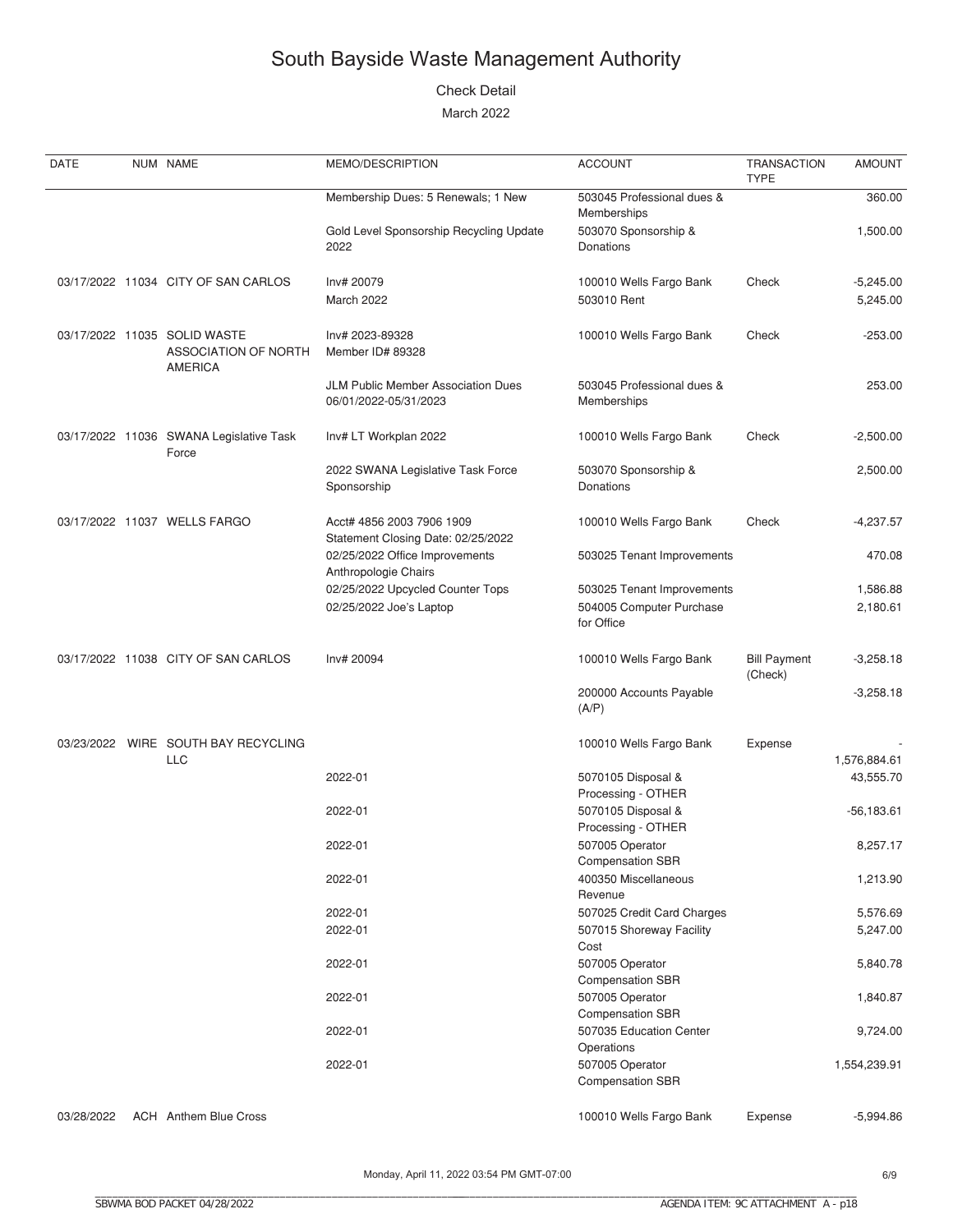#### Check Detail

| DATE       | NUM NAME                                                               | MEMO/DESCRIPTION                                                | <b>ACCOUNT</b>                             | TRANSACTION<br><b>TYPE</b>     | <b>AMOUNT</b> |
|------------|------------------------------------------------------------------------|-----------------------------------------------------------------|--------------------------------------------|--------------------------------|---------------|
|            |                                                                        | Membership Dues: 5 Renewals; 1 New                              | 503045 Professional dues &<br>Memberships  |                                | 360.00        |
|            |                                                                        | Gold Level Sponsorship Recycling Update<br>2022                 | 503070 Sponsorship &<br><b>Donations</b>   |                                | 1,500.00      |
|            | 03/17/2022 11034 CITY OF SAN CARLOS                                    | Inv# 20079                                                      | 100010 Wells Fargo Bank                    | Check                          | $-5,245.00$   |
|            |                                                                        | March 2022                                                      | 503010 Rent                                |                                | 5,245.00      |
|            | 03/17/2022 11035 SOLID WASTE<br>ASSOCIATION OF NORTH<br><b>AMERICA</b> | Inv# 2023-89328<br>Member ID# 89328                             | 100010 Wells Fargo Bank                    | Check                          | $-253.00$     |
|            |                                                                        | JLM Public Member Association Dues<br>06/01/2022-05/31/2023     | 503045 Professional dues &<br>Memberships  |                                | 253.00        |
|            | 03/17/2022 11036 SWANA Legislative Task<br>Force                       | Inv# LT Workplan 2022                                           | 100010 Wells Fargo Bank                    | Check                          | $-2,500.00$   |
|            |                                                                        | 2022 SWANA Legislative Task Force<br>Sponsorship                | 503070 Sponsorship &<br><b>Donations</b>   |                                | 2,500.00      |
|            | 03/17/2022 11037 WELLS FARGO                                           | Acct# 4856 2003 7906 1909<br>Statement Closing Date: 02/25/2022 | 100010 Wells Fargo Bank                    | Check                          | $-4,237.57$   |
|            |                                                                        | 02/25/2022 Office Improvements<br>Anthropologie Chairs          | 503025 Tenant Improvements                 |                                | 470.08        |
|            |                                                                        | 02/25/2022 Upcycled Counter Tops                                | 503025 Tenant Improvements                 |                                | 1,586.88      |
|            |                                                                        | 02/25/2022 Joe's Laptop                                         | 504005 Computer Purchase<br>for Office     |                                | 2,180.61      |
|            | 03/17/2022 11038 CITY OF SAN CARLOS                                    | Inv# 20094                                                      | 100010 Wells Fargo Bank                    | <b>Bill Payment</b><br>(Check) | $-3,258.18$   |
|            |                                                                        |                                                                 | 200000 Accounts Payable<br>(A/P)           |                                | $-3,258.18$   |
|            | 03/23/2022 WIRE SOUTH BAY RECYCLING<br><b>LLC</b>                      |                                                                 | 100010 Wells Fargo Bank                    | Expense                        | 1,576,884.61  |
|            |                                                                        | 2022-01                                                         | 5070105 Disposal &<br>Processing - OTHER   |                                | 43,555.70     |
|            |                                                                        | 2022-01                                                         | 5070105 Disposal &<br>Processing - OTHER   |                                | $-56,183.61$  |
|            |                                                                        | 2022-01                                                         | 507005 Operator<br><b>Compensation SBR</b> |                                | 8,257.17      |
|            |                                                                        | 2022-01                                                         | 400350 Miscellaneous<br>Revenue            |                                | 1,213.90      |
|            |                                                                        | 2022-01                                                         | 507025 Credit Card Charges                 |                                | 5,576.69      |
|            |                                                                        | 2022-01                                                         | 507015 Shoreway Facility<br>Cost           |                                | 5,247.00      |
|            |                                                                        | 2022-01                                                         | 507005 Operator<br><b>Compensation SBR</b> |                                | 5,840.78      |
|            |                                                                        | 2022-01                                                         | 507005 Operator<br><b>Compensation SBR</b> |                                | 1,840.87      |
|            |                                                                        | 2022-01                                                         | 507035 Education Center<br>Operations      |                                | 9,724.00      |
|            |                                                                        | 2022-01                                                         | 507005 Operator<br><b>Compensation SBR</b> |                                | 1,554,239.91  |
| 03/28/2022 | <b>ACH</b> Anthem Blue Cross                                           |                                                                 | 100010 Wells Fargo Bank                    | Expense                        | $-5,994.86$   |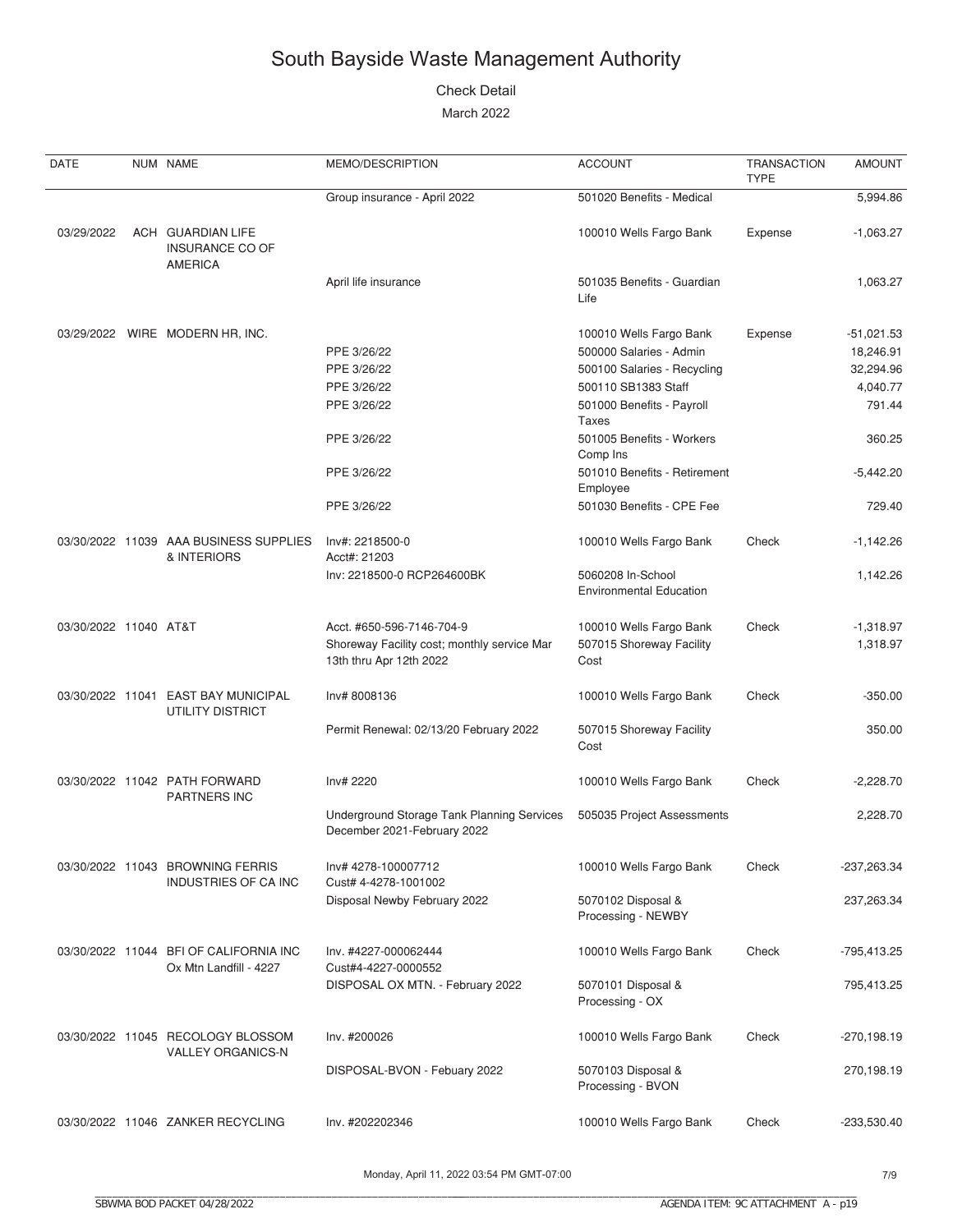#### Check Detail

| DATE                  | NUM NAME                                                         | MEMO/DESCRIPTION                                                          | <b>ACCOUNT</b>                                      | <b>TRANSACTION</b><br><b>TYPE</b> | <b>AMOUNT</b> |
|-----------------------|------------------------------------------------------------------|---------------------------------------------------------------------------|-----------------------------------------------------|-----------------------------------|---------------|
|                       |                                                                  | Group insurance - April 2022                                              | 501020 Benefits - Medical                           |                                   | 5,994.86      |
| 03/29/2022            | ACH GUARDIAN LIFE<br><b>INSURANCE CO OF</b><br><b>AMERICA</b>    |                                                                           | 100010 Wells Fargo Bank                             | Expense                           | $-1,063.27$   |
|                       |                                                                  | April life insurance                                                      | 501035 Benefits - Guardian<br>Life                  |                                   | 1,063.27      |
|                       | 03/29/2022 WIRE MODERN HR, INC.                                  |                                                                           | 100010 Wells Fargo Bank                             | Expense                           | $-51,021.53$  |
|                       |                                                                  | PPE 3/26/22                                                               | 500000 Salaries - Admin                             |                                   | 18,246.91     |
|                       |                                                                  | PPE 3/26/22                                                               | 500100 Salaries - Recycling                         |                                   | 32,294.96     |
|                       |                                                                  | PPE 3/26/22                                                               | 500110 SB1383 Staff                                 |                                   | 4,040.77      |
|                       |                                                                  | PPE 3/26/22                                                               | 501000 Benefits - Payroll<br><b>Taxes</b>           |                                   | 791.44        |
|                       |                                                                  | PPE 3/26/22                                                               | 501005 Benefits - Workers<br>Comp Ins               |                                   | 360.25        |
|                       |                                                                  | PPE 3/26/22                                                               | 501010 Benefits - Retirement<br>Employee            |                                   | $-5,442.20$   |
|                       |                                                                  | PPE 3/26/22                                                               | 501030 Benefits - CPE Fee                           |                                   | 729.40        |
|                       | 03/30/2022 11039 AAA BUSINESS SUPPLIES<br>& INTERIORS            | Inv#: 2218500-0<br>Acct#: 21203                                           | 100010 Wells Fargo Bank                             | Check                             | -1,142.26     |
|                       |                                                                  | Inv: 2218500-0 RCP264600BK                                                | 5060208 In-School<br><b>Environmental Education</b> |                                   | 1,142.26      |
| 03/30/2022 11040 AT&T |                                                                  | Acct. #650-596-7146-704-9                                                 | 100010 Wells Fargo Bank                             | Check                             | $-1,318.97$   |
|                       |                                                                  | Shoreway Facility cost; monthly service Mar<br>13th thru Apr 12th 2022    | 507015 Shoreway Facility<br>Cost                    |                                   | 1,318.97      |
|                       | 03/30/2022 11041 EAST BAY MUNICIPAL<br>UTILITY DISTRICT          | Inv# 8008136                                                              | 100010 Wells Fargo Bank                             | Check                             | $-350.00$     |
|                       |                                                                  | Permit Renewal: 02/13/20 February 2022                                    | 507015 Shoreway Facility<br>Cost                    |                                   | 350.00        |
|                       | 03/30/2022 11042 PATH FORWARD<br><b>PARTNERS INC</b>             | Inv# 2220                                                                 | 100010 Wells Fargo Bank                             | Check                             | $-2,228.70$   |
|                       |                                                                  | Underground Storage Tank Planning Services<br>December 2021-February 2022 | 505035 Project Assessments                          |                                   | 2,228.70      |
|                       | 03/30/2022 11043 BROWNING FERRIS<br><b>INDUSTRIES OF CA INC</b>  | Inv# 4278-100007712<br>Cust# 4-4278-1001002                               | 100010 Wells Fargo Bank                             | Check                             | -237,263.34   |
|                       |                                                                  | Disposal Newby February 2022                                              | 5070102 Disposal &<br>Processing - NEWBY            |                                   | 237,263.34    |
|                       | 03/30/2022 11044 BFI OF CALIFORNIA INC<br>Ox Mtn Landfill - 4227 | Inv. #4227-000062444<br>Cust#4-4227-0000552                               | 100010 Wells Fargo Bank                             | Check                             | -795,413.25   |
|                       |                                                                  | DISPOSAL OX MTN. - February 2022                                          | 5070101 Disposal &<br>Processing - OX               |                                   | 795,413.25    |
|                       | 03/30/2022 11045 RECOLOGY BLOSSOM<br><b>VALLEY ORGANICS-N</b>    | Inv. #200026                                                              | 100010 Wells Fargo Bank                             | Check                             | $-270,198.19$ |
|                       |                                                                  | DISPOSAL-BVON - Febuary 2022                                              | 5070103 Disposal &<br>Processing - BVON             |                                   | 270,198.19    |
|                       | 03/30/2022 11046 ZANKER RECYCLING                                | Inv. #202202346                                                           | 100010 Wells Fargo Bank                             | Check                             | $-233,530.40$ |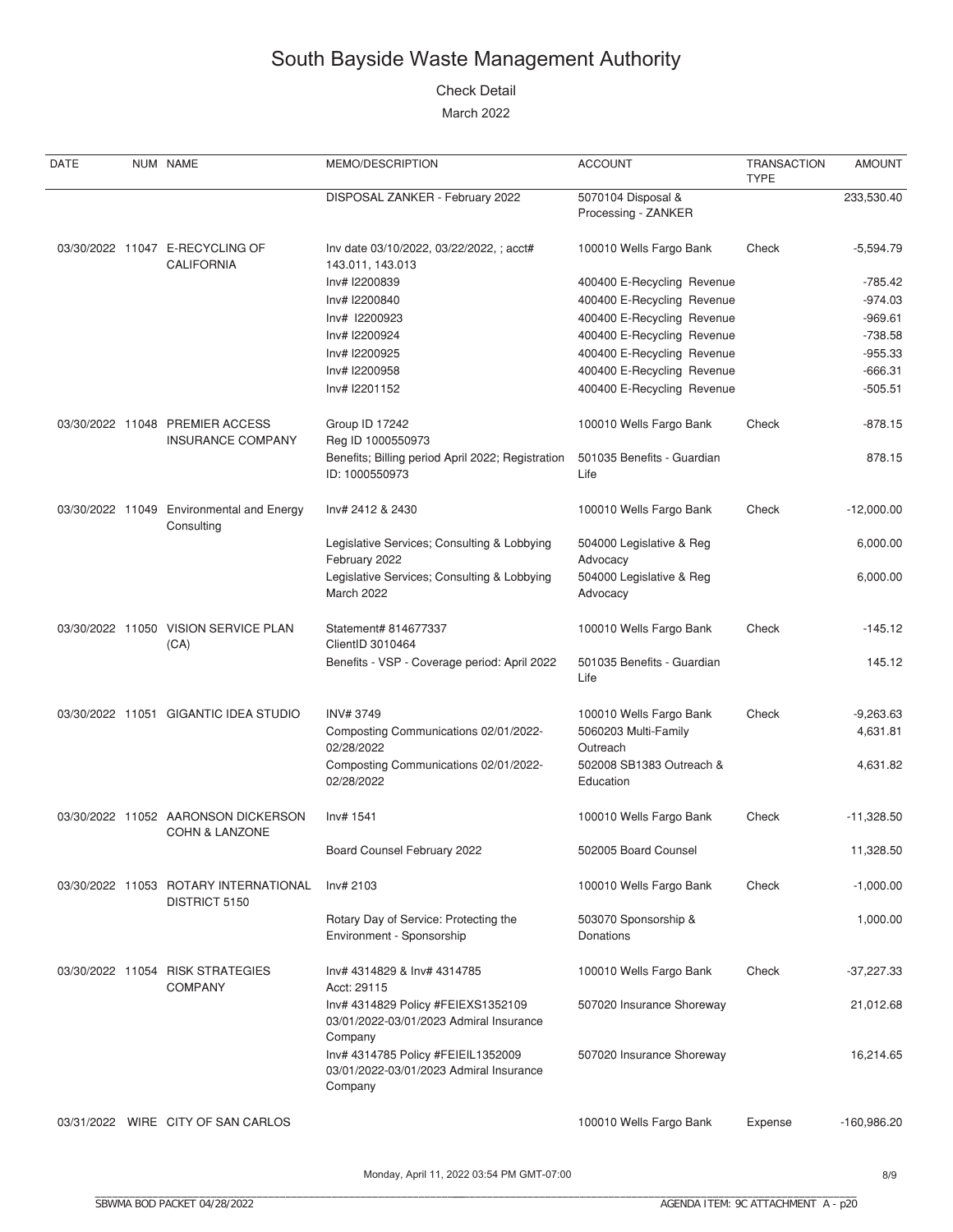#### Check Detail

| DATE | NUM NAME                                                         | MEMO/DESCRIPTION                                                                                    | <b>ACCOUNT</b>                            | <b>TRANSACTION</b><br><b>TYPE</b> | <b>AMOUNT</b> |
|------|------------------------------------------------------------------|-----------------------------------------------------------------------------------------------------|-------------------------------------------|-----------------------------------|---------------|
|      |                                                                  | DISPOSAL ZANKER - February 2022                                                                     | 5070104 Disposal &<br>Processing - ZANKER |                                   | 233,530.40    |
|      | 03/30/2022 11047 E-RECYCLING OF<br><b>CALIFORNIA</b>             | Inv date 03/10/2022, 03/22/2022,; acct#<br>143.011, 143.013                                         | 100010 Wells Fargo Bank                   | Check                             | $-5,594.79$   |
|      |                                                                  | Inv# I2200839                                                                                       | 400400 E-Recycling Revenue                |                                   | $-785.42$     |
|      |                                                                  | Inv# I2200840                                                                                       | 400400 E-Recycling Revenue                |                                   | $-974.03$     |
|      |                                                                  | Inv# I2200923                                                                                       | 400400 E-Recycling Revenue                |                                   | $-969.61$     |
|      |                                                                  | Inv# I2200924                                                                                       | 400400 E-Recycling Revenue                |                                   | $-738.58$     |
|      |                                                                  | Inv# I2200925                                                                                       | 400400 E-Recycling Revenue                |                                   | $-955.33$     |
|      |                                                                  | Inv# I2200958                                                                                       | 400400 E-Recycling Revenue                |                                   | $-666.31$     |
|      |                                                                  | Inv# I2201152                                                                                       | 400400 E-Recycling Revenue                |                                   | $-505.51$     |
|      | 03/30/2022 11048 PREMIER ACCESS<br><b>INSURANCE COMPANY</b>      | Group ID 17242<br>Reg ID 1000550973                                                                 | 100010 Wells Fargo Bank                   | Check                             | $-878.15$     |
|      |                                                                  | Benefits; Billing period April 2022; Registration<br>ID: 1000550973                                 | 501035 Benefits - Guardian<br>Life        |                                   | 878.15        |
|      | 03/30/2022 11049 Environmental and Energy<br>Consulting          | Inv# 2412 & 2430                                                                                    | 100010 Wells Fargo Bank                   | Check                             | $-12,000.00$  |
|      |                                                                  | Legislative Services; Consulting & Lobbying<br>February 2022                                        | 504000 Legislative & Reg<br>Advocacy      |                                   | 6,000.00      |
|      |                                                                  | Legislative Services; Consulting & Lobbying<br>March 2022                                           | 504000 Legislative & Reg<br>Advocacy      |                                   | 6,000.00      |
|      | 03/30/2022 11050 VISION SERVICE PLAN<br>(CA)                     | Statement# 814677337<br>ClientID 3010464                                                            | 100010 Wells Fargo Bank                   | Check                             | $-145.12$     |
|      |                                                                  | Benefits - VSP - Coverage period: April 2022                                                        | 501035 Benefits - Guardian<br>Life        |                                   | 145.12        |
|      | 03/30/2022 11051 GIGANTIC IDEA STUDIO                            | <b>INV#3749</b>                                                                                     | 100010 Wells Fargo Bank                   | Check                             | $-9,263.63$   |
|      |                                                                  | Composting Communications 02/01/2022-<br>02/28/2022                                                 | 5060203 Multi-Family<br>Outreach          |                                   | 4,631.81      |
|      |                                                                  | Composting Communications 02/01/2022-<br>02/28/2022                                                 | 502008 SB1383 Outreach &<br>Education     |                                   | 4,631.82      |
|      | 03/30/2022 11052 AARONSON DICKERSON<br><b>COHN &amp; LANZONE</b> | Inv# 1541                                                                                           | 100010 Wells Fargo Bank                   | Check                             | $-11,328.50$  |
|      |                                                                  | Board Counsel February 2022                                                                         | 502005 Board Counsel                      |                                   | 11,328.50     |
|      | 03/30/2022 11053 ROTARY INTERNATIONAL<br>DISTRICT 5150           | Inv# 2103                                                                                           | 100010 Wells Fargo Bank                   | Check                             | $-1,000.00$   |
|      |                                                                  | Rotary Day of Service: Protecting the<br>Environment - Sponsorship                                  | 503070 Sponsorship &<br>Donations         |                                   | 1,000.00      |
|      | 03/30/2022 11054 RISK STRATEGIES<br><b>COMPANY</b>               | Inv# 4314829 & Inv# 4314785<br>Acct: 29115                                                          | 100010 Wells Fargo Bank                   | Check                             | $-37,227.33$  |
|      |                                                                  | Inv# 4314829 Policy #FEIEXS1352109<br>03/01/2022-03/01/2023 Admiral Insurance                       | 507020 Insurance Shoreway                 |                                   | 21,012.68     |
|      |                                                                  | Company<br>Inv# 4314785 Policy #FEIEIL1352009<br>03/01/2022-03/01/2023 Admiral Insurance<br>Company | 507020 Insurance Shoreway                 |                                   | 16,214.65     |
|      | 03/31/2022 WIRE CITY OF SAN CARLOS                               |                                                                                                     | 100010 Wells Fargo Bank                   | Expense                           | $-160,986.20$ |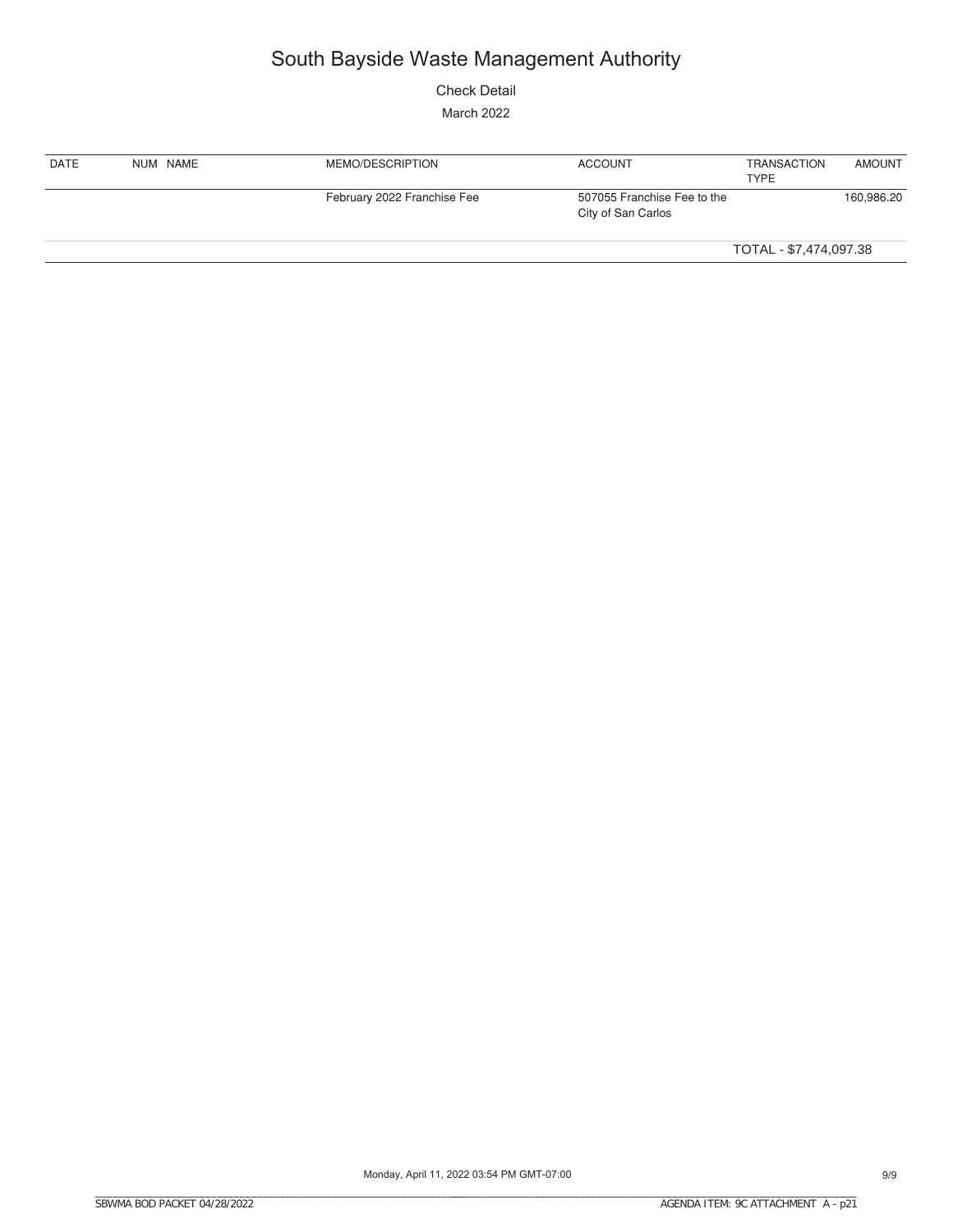Check Detail

| <b>DATE</b> | NUM NAME | MEMO/DESCRIPTION            | <b>ACCOUNT</b>                                    | TRANSACTION<br><b>TYPE</b> | <b>AMOUNT</b> |
|-------------|----------|-----------------------------|---------------------------------------------------|----------------------------|---------------|
|             |          | February 2022 Franchise Fee | 507055 Franchise Fee to the<br>City of San Carlos |                            | 160,986.20    |
|             |          |                             |                                                   | TOTAL - \$7,474,097.38     |               |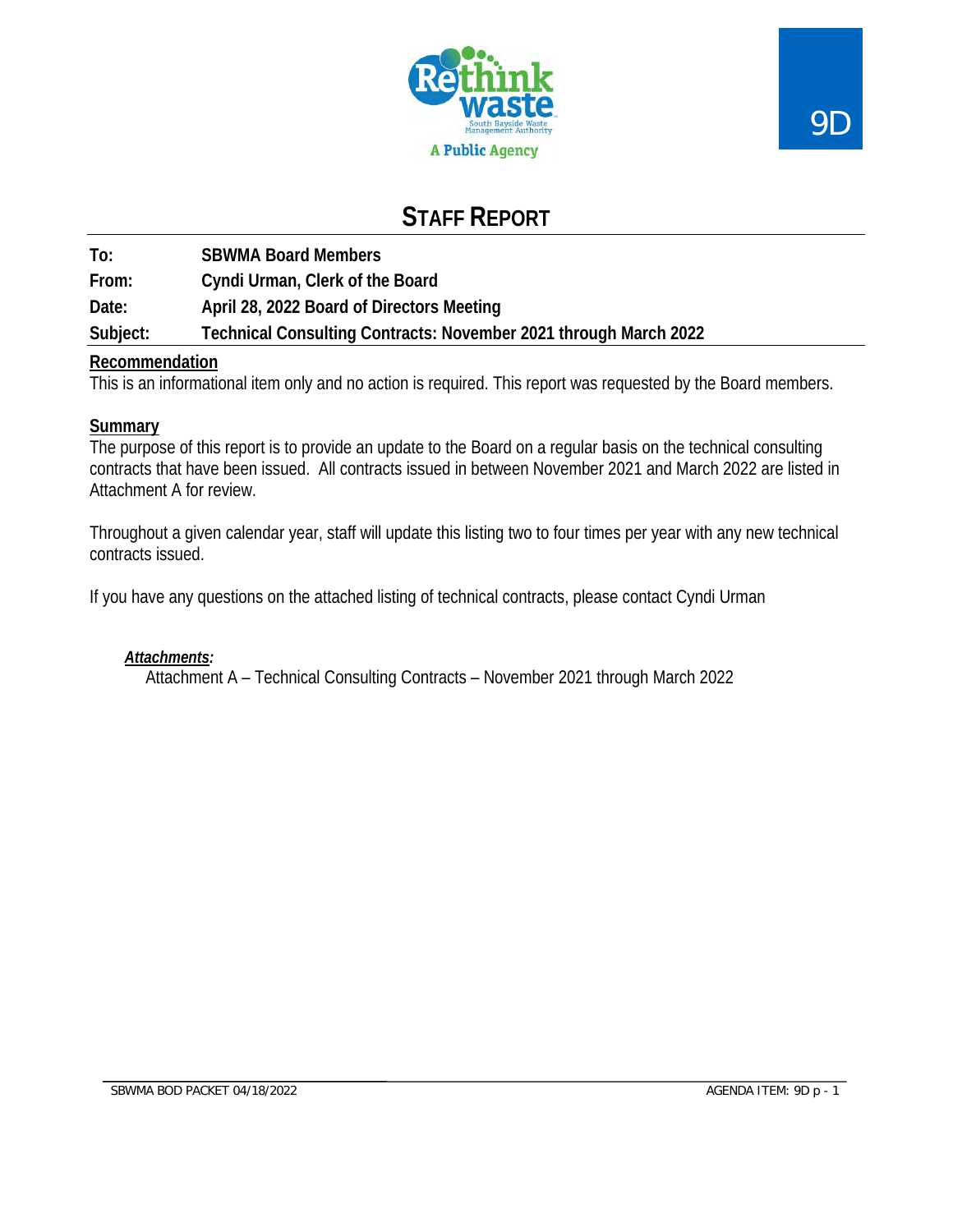

# **STAFF REPORT**

**To: SBWMA Board Members**

**From: Cyndi Urman, Clerk of the Board**

**Date: April 28, 2022 Board of Directors Meeting**

**Subject: Technical Consulting Contracts: November 2021 through March 2022**

## **Recommendation**

This is an informational item only and no action is required. This report was requested by the Board members.

## **Summary**

The purpose of this report is to provide an update to the Board on a regular basis on the technical consulting contracts that have been issued. All contracts issued in between November 2021 and March 2022 are listed in Attachment A for review.

Throughout a given calendar year, staff will update this listing two to four times per year with any new technical contracts issued.

If you have any questions on the attached listing of technical contracts, please contact Cyndi Urman

## *Attachments:*

Attachment A – Technical Consulting Contracts – November 2021 through March 2022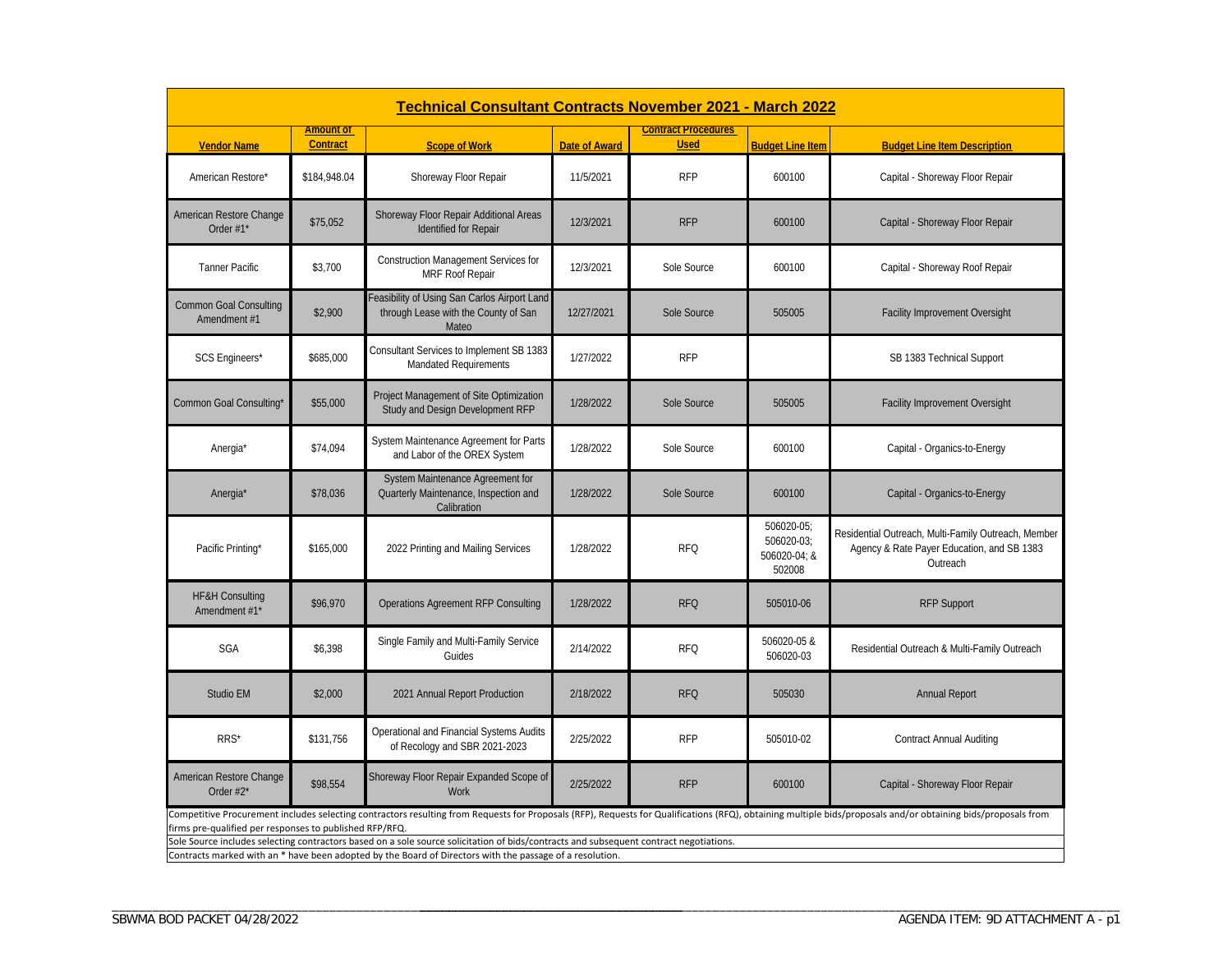|                                               | <b>Technical Consultant Contracts November 2021 - March 2022</b>                                                                                                                                                                                                                                                                                                                                                                    |                                                                                               |                      |                                           |                                                    |                                                                                                               |  |  |
|-----------------------------------------------|-------------------------------------------------------------------------------------------------------------------------------------------------------------------------------------------------------------------------------------------------------------------------------------------------------------------------------------------------------------------------------------------------------------------------------------|-----------------------------------------------------------------------------------------------|----------------------|-------------------------------------------|----------------------------------------------------|---------------------------------------------------------------------------------------------------------------|--|--|
| <b>Vendor Name</b>                            | <b>Amount of</b><br><b>Contract</b>                                                                                                                                                                                                                                                                                                                                                                                                 | <b>Scope of Work</b>                                                                          | <b>Date of Award</b> | <b>Contract Procedures</b><br><b>Used</b> | <b>Budget Line Item</b>                            | <b>Budget Line Item Description</b>                                                                           |  |  |
| American Restore*                             | \$184,948.04                                                                                                                                                                                                                                                                                                                                                                                                                        | Shoreway Floor Repair                                                                         | 11/5/2021            | <b>RFP</b>                                | 600100                                             | Capital - Shoreway Floor Repair                                                                               |  |  |
| American Restore Change<br>Order $#1^*$       | \$75,052                                                                                                                                                                                                                                                                                                                                                                                                                            | Shoreway Floor Repair Additional Areas<br><b>Identified for Repair</b>                        | 12/3/2021            | <b>RFP</b>                                | 600100                                             | Capital - Shoreway Floor Repair                                                                               |  |  |
| <b>Tanner Pacific</b>                         | \$3,700                                                                                                                                                                                                                                                                                                                                                                                                                             | Construction Management Services for<br>MRF Roof Repair                                       | 12/3/2021            | Sole Source                               | 600100                                             | Capital - Shoreway Roof Repair                                                                                |  |  |
| <b>Common Goal Consulting</b><br>Amendment #1 | \$2,900                                                                                                                                                                                                                                                                                                                                                                                                                             | Feasibility of Using San Carlos Airport Land<br>through Lease with the County of San<br>Mateo | 12/27/2021           | Sole Source                               | 505005                                             | Facility Improvement Oversight                                                                                |  |  |
| <b>SCS Engineers*</b>                         | \$685,000                                                                                                                                                                                                                                                                                                                                                                                                                           | Consultant Services to Implement SB 1383<br><b>Mandated Requirements</b>                      | 1/27/2022            | <b>RFP</b>                                |                                                    | SB 1383 Technical Support                                                                                     |  |  |
| Common Goal Consulting*                       | \$55,000                                                                                                                                                                                                                                                                                                                                                                                                                            | Project Management of Site Optimization<br>Study and Design Development RFP                   | 1/28/2022            | Sole Source                               | 505005                                             | Facility Improvement Oversight                                                                                |  |  |
| Anergia*                                      | \$74,094                                                                                                                                                                                                                                                                                                                                                                                                                            | System Maintenance Agreement for Parts<br>and Labor of the OREX System                        | 1/28/2022            | Sole Source                               | 600100                                             | Capital - Organics-to-Energy                                                                                  |  |  |
| Anergia*                                      | \$78,036                                                                                                                                                                                                                                                                                                                                                                                                                            | System Maintenance Agreement for<br>Quarterly Maintenance, Inspection and<br>Calibration      | 1/28/2022            | Sole Source                               | 600100                                             | Capital - Organics-to-Energy                                                                                  |  |  |
| Pacific Printing*                             | \$165,000                                                                                                                                                                                                                                                                                                                                                                                                                           | 2022 Printing and Mailing Services                                                            | 1/28/2022            | <b>RFQ</b>                                | 506020-05;<br>506020-03;<br>506020-04; &<br>502008 | Residential Outreach, Multi-Family Outreach, Member<br>Agency & Rate Payer Education, and SB 1383<br>Outreach |  |  |
| <b>HF&amp;H Consulting</b><br>Amendment #1*   | \$96,970                                                                                                                                                                                                                                                                                                                                                                                                                            | Operations Agreement RFP Consulting                                                           | 1/28/2022            | <b>RFQ</b>                                | 505010-06                                          | <b>RFP Support</b>                                                                                            |  |  |
| SGA                                           | \$6,398                                                                                                                                                                                                                                                                                                                                                                                                                             | Single Family and Multi-Family Service<br>Guides                                              | 2/14/2022            | <b>RFQ</b>                                | 506020-05 &<br>506020-03                           | Residential Outreach & Multi-Family Outreach                                                                  |  |  |
| Studio EM                                     | \$2,000                                                                                                                                                                                                                                                                                                                                                                                                                             | 2021 Annual Report Production                                                                 | 2/18/2022            | <b>RFQ</b>                                | 505030                                             | <b>Annual Report</b>                                                                                          |  |  |
| RRS*                                          | \$131,756                                                                                                                                                                                                                                                                                                                                                                                                                           | Operational and Financial Systems Audits<br>of Recology and SBR 2021-2023                     | 2/25/2022            | <b>RFP</b>                                | 505010-02                                          | <b>Contract Annual Auditing</b>                                                                               |  |  |
| American Restore Change<br>Order $#2^*$       | \$98.554                                                                                                                                                                                                                                                                                                                                                                                                                            | Shoreway Floor Repair Expanded Scope of<br><b>Work</b>                                        | 2/25/2022            | <b>RFP</b>                                | 600100                                             | Capital - Shoreway Floor Repair                                                                               |  |  |
|                                               | Competitive Procurement includes selecting contractors resulting from Requests for Proposals (RFP), Requests for Qualifications (RFQ), obtaining multiple bids/proposals and/or obtaining bids/proposals and/or obtaining bids<br>firms pre-qualified per responses to published RFP/RFQ.<br>Sole Source includes selecting contractors based on a sole source solicitation of bids/contracts and subsequent contract negotiations. |                                                                                               |                      |                                           |                                                    |                                                                                                               |  |  |

Contracts marked with an \* have been adopted by the Board of Directors with the passage of <sup>a</sup> resolution.

\_\_\_\_\_\_\_\_\_\_\_\_\_\_\_\_\_\_\_\_\_\_\_\_\_\_\_\_\_\_\_\_\_\_\_\_\_\_\_\_\_\_\_\_\_\_\_\_\_\_\_\_\_\_\_\_\_\_\_\_\_\_\_\_\_\_\_\_\_\_\_\_\_\_\_\_\_\_\_\_\_\_\_\_

\_\_\_\_\_\_\_\_\_\_\_\_\_\_\_\_\_\_\_\_\_\_\_\_\_\_\_\_\_\_\_\_\_\_\_\_\_\_\_\_\_\_\_\_\_\_\_\_\_\_\_\_\_\_\_\_\_\_\_\_\_\_\_\_\_\_\_\_\_\_\_\_\_\_\_\_\_\_\_\_\_\_\_\_\_\_\_\_\_\_\_\_\_\_\_\_\_\_\_\_\_\_\_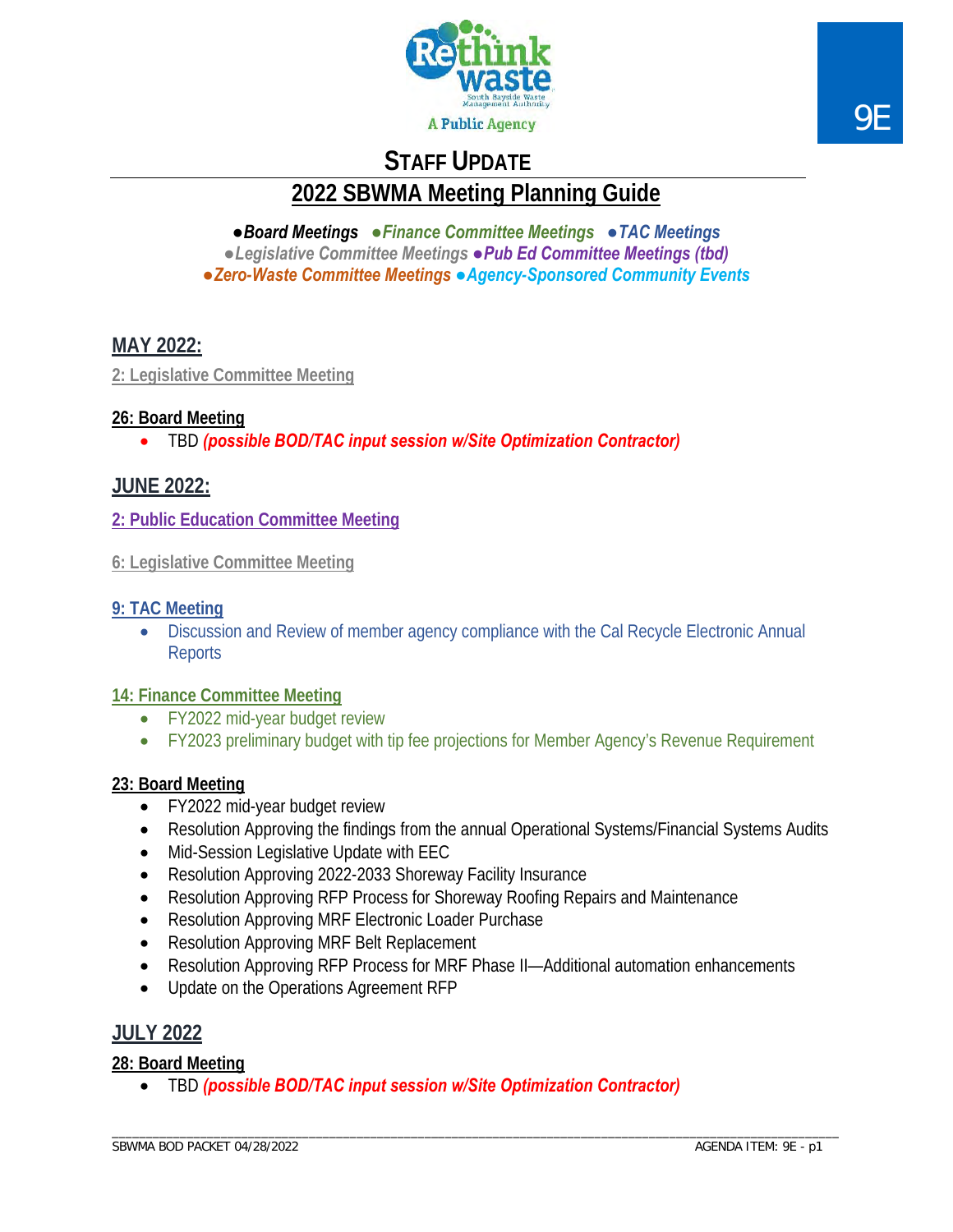

# **STAFF UPDATE**

**2022 SBWMA Meeting Planning Guide**

*●Board Meetings ●Finance Committee Meetings ●TAC Meetings ●Legislative Committee Meetings ●Pub Ed Committee Meetings (tbd) ●Zero-Waste Committee Meetings ●Agency-Sponsored Community Events*

## **MAY 2022:**

**2: Legislative Committee Meeting**

## **26: Board Meeting**

• TBD *(possible BOD/TAC input session w/Site Optimization Contractor)*

## **JUNE 2022:**

**2: Public Education Committee Meeting**

## **9: TAC Meeting**

• Discussion and Review of member agency compliance with the Cal Recycle Electronic Annual **Reports** 

## **14: Finance Committee Meeting**

- FY2022 mid-year budget review
- FY2023 preliminary budget with tip fee projections for Member Agency's Revenue Requirement

## **23: Board Meeting**

- FY2022 mid-year budget review
- Resolution Approving the findings from the annual Operational Systems/Financial Systems Audits
- Mid-Session Legislative Update with EEC
- Resolution Approving 2022-2033 Shoreway Facility Insurance
- Resolution Approving RFP Process for Shoreway Roofing Repairs and Maintenance
- Resolution Approving MRF Electronic Loader Purchase
- Resolution Approving MRF Belt Replacement
- Resolution Approving RFP Process for MRF Phase II—Additional automation enhancements
- Update on the Operations Agreement RFP

## **JULY 2022**

## **28: Board Meeting**

• TBD *(possible BOD/TAC input session w/Site Optimization Contractor)*

**<sup>6:</sup> Legislative Committee Meeting**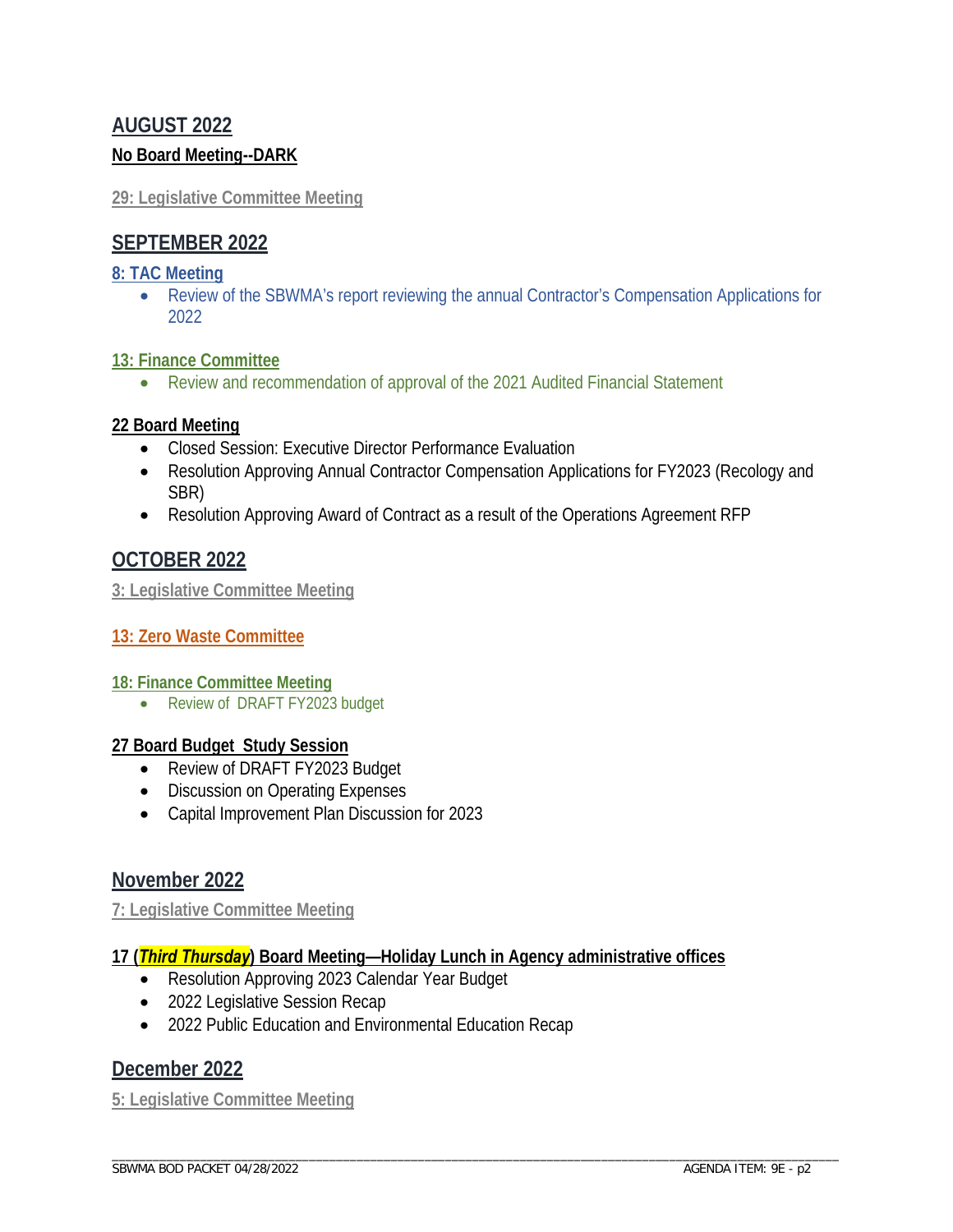## **AUGUST 2022 No Board Meeting--DARK**

## **29: Legislative Committee Meeting**

## **SEPTEMBER 2022**

## **8: TAC Meeting**

• Review of the SBWMA's report reviewing the annual Contractor's Compensation Applications for 2022

## **13: Finance Committee**

• Review and recommendation of approval of the 2021 Audited Financial Statement

## **22 Board Meeting**

- Closed Session: Executive Director Performance Evaluation
- Resolution Approving Annual Contractor Compensation Applications for FY2023 (Recology and SBR)
- Resolution Approving Award of Contract as a result of the Operations Agreement RFP

## **OCTOBER 2022**

**3: Legislative Committee Meeting**

## **13: Zero Waste Committee**

## **18: Finance Committee Meeting**

• Review of DRAFT FY2023 budget

## **27 Board Budget Study Session**

- Review of DRAFT FY2023 Budget
- Discussion on Operating Expenses
- Capital Improvement Plan Discussion for 2023

## **November 2022**

**7: Legislative Committee Meeting**

## **17 (***Third Thursday***) Board Meeting—Holiday Lunch in Agency administrative offices**

- Resolution Approving 2023 Calendar Year Budget
- 2022 Legislative Session Recap
- 2022 Public Education and Environmental Education Recap

## **December 2022**

**5: Legislative Committee Meeting**